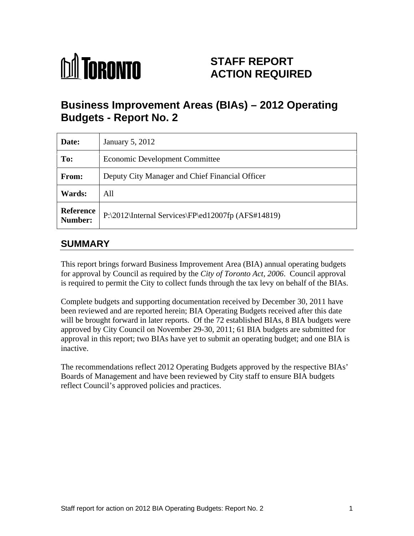

# **STAFF REPORT ACTION REQUIRED**

# **Business Improvement Areas (BIAs) – 2012 Operating Budgets - Report No. 2**

| Date:                       | January 5, 2012                                                                         |
|-----------------------------|-----------------------------------------------------------------------------------------|
| To:                         | <b>Economic Development Committee</b>                                                   |
| From:                       | Deputy City Manager and Chief Financial Officer                                         |
| Wards:                      | All                                                                                     |
| Reference<br><b>Number:</b> | $\text{P:\2012\left(\text{Internal Services}\F\text{P}\ed12007fp\ (AFS\#14819)\right)}$ |

# **SUMMARY**

This report brings forward Business Improvement Area (BIA) annual operating budgets for approval by Council as required by the *City of Toronto Act, 2006*. Council approval is required to permit the City to collect funds through the tax levy on behalf of the BIAs.

Complete budgets and supporting documentation received by December 30, 2011 have been reviewed and are reported herein; BIA Operating Budgets received after this date will be brought forward in later reports. Of the 72 established BIAs, 8 BIA budgets were approved by City Council on November 29-30, 2011; 61 BIA budgets are submitted for approval in this report; two BIAs have yet to submit an operating budget; and one BIA is inactive.

The recommendations reflect 2012 Operating Budgets approved by the respective BIAs' Boards of Management and have been reviewed by City staff to ensure BIA budgets reflect Council's approved policies and practices.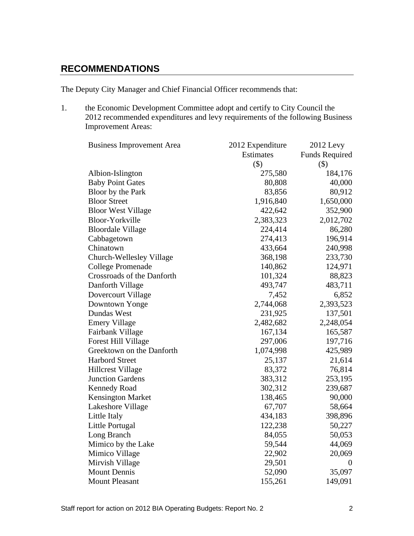### **RECOMMENDATIONS**

The Deputy City Manager and Chief Financial Officer recommends that:

1. the Economic Development Committee adopt and certify to City Council the 2012 recommended expenditures and levy requirements of the following Business Improvement Areas:

| <b>Business Improvement Area</b> | 2012 Expenditure | 2012 Levy             |
|----------------------------------|------------------|-----------------------|
|                                  | Estimates        | <b>Funds Required</b> |
|                                  | $(\$)$           | $($ \$)               |
| Albion-Islington                 | 275,580          | 184,176               |
| <b>Baby Point Gates</b>          | 80,808           | 40,000                |
| Bloor by the Park                | 83,856           | 80,912                |
| <b>Bloor Street</b>              | 1,916,840        | 1,650,000             |
| <b>Bloor West Village</b>        | 422,642          | 352,900               |
| Bloor-Yorkville                  | 2,383,323        | 2,012,702             |
| <b>Bloordale Village</b>         | 224,414          | 86,280                |
| Cabbagetown                      | 274,413          | 196,914               |
| Chinatown                        | 433,664          | 240,998               |
| Church-Wellesley Village         | 368,198          | 233,730               |
| <b>College Promenade</b>         | 140,862          | 124,971               |
| Crossroads of the Danforth       | 101,324          | 88,823                |
| Danforth Village                 | 493,747          | 483,711               |
| Dovercourt Village               | 7,452            | 6,852                 |
| Downtown Yonge                   | 2,744,068        | 2,393,523             |
| Dundas West                      | 231,925          | 137,501               |
| <b>Emery Village</b>             | 2,482,682        | 2,248,054             |
| Fairbank Village                 | 167,134          | 165,587               |
| Forest Hill Village              | 297,006          | 197,716               |
| Greektown on the Danforth        | 1,074,998        | 425,989               |
| <b>Harbord Street</b>            | 25,137           | 21,614                |
| <b>Hillcrest Village</b>         | 83,372           | 76,814                |
| <b>Junction Gardens</b>          | 383,312          | 253,195               |
| Kennedy Road                     | 302,312          | 239,687               |
| Kensington Market                | 138,465          | 90,000                |
| Lakeshore Village                | 67,707           | 58,664                |
| Little Italy                     | 434,183          | 398,896               |
| Little Portugal                  | 122,238          | 50,227                |
| Long Branch                      | 84,055           | 50,053                |
| Mimico by the Lake               | 59,544           | 44,069                |
| Mimico Village                   | 22,902           | 20,069                |
| Mirvish Village                  | 29,501           | $\overline{0}$        |
| <b>Mount Dennis</b>              | 52,090           | 35,097                |
| <b>Mount Pleasant</b>            | 155,261          | 149,091               |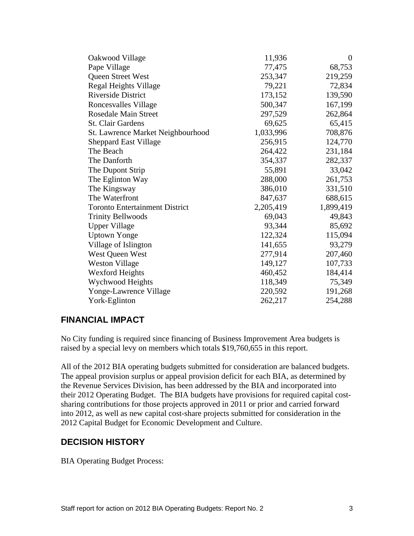| Oakwood Village                       | 11,936    | $\overline{0}$ |
|---------------------------------------|-----------|----------------|
| Pape Village                          | 77,475    | 68,753         |
| Queen Street West                     | 253,347   | 219,259        |
| Regal Heights Village                 | 79,221    | 72,834         |
| Riverside District                    | 173,152   | 139,590        |
| Roncesvalles Village                  | 500,347   | 167,199        |
| Rosedale Main Street                  | 297,529   | 262,864        |
| St. Clair Gardens                     | 69,625    | 65,415         |
| St. Lawrence Market Neighbourhood     | 1,033,996 | 708,876        |
| <b>Sheppard East Village</b>          | 256,915   | 124,770        |
| The Beach                             | 264,422   | 231,184        |
| The Danforth                          | 354,337   | 282,337        |
| The Dupont Strip                      | 55,891    | 33,042         |
| The Eglinton Way                      | 288,000   | 261,753        |
| The Kingsway                          | 386,010   | 331,510        |
| The Waterfront                        | 847,637   | 688,615        |
| <b>Toronto Entertainment District</b> | 2,205,419 | 1,899,419      |
| <b>Trinity Bellwoods</b>              | 69,043    | 49,843         |
| <b>Upper Village</b>                  | 93,344    | 85,692         |
| <b>Uptown Yonge</b>                   | 122,324   | 115,094        |
| Village of Islington                  | 141,655   | 93,279         |
| West Queen West                       | 277,914   | 207,460        |
| <b>Weston Village</b>                 | 149,127   | 107,733        |
| <b>Wexford Heights</b>                | 460,452   | 184,414        |
| Wychwood Heights                      | 118,349   | 75,349         |
| Yonge-Lawrence Village                | 220,592   | 191,268        |
| York-Eglinton                         | 262,217   | 254,288        |
|                                       |           |                |

### **FINANCIAL IMPACT**

No City funding is required since financing of Business Improvement Area budgets is raised by a special levy on members which totals \$19,760,655 in this report.

All of the 2012 BIA operating budgets submitted for consideration are balanced budgets. The appeal provision surplus or appeal provision deficit for each BIA, as determined by the Revenue Services Division, has been addressed by the BIA and incorporated into their 2012 Operating Budget. The BIA budgets have provisions for required capital cost sharing contributions for those projects approved in 2011 or prior and carried forward into 2012, as well as new capital cost-share projects submitted for consideration in the 2012 Capital Budget for Economic Development and Culture.

# **DECISION HISTORY**

BIA Operating Budget Process: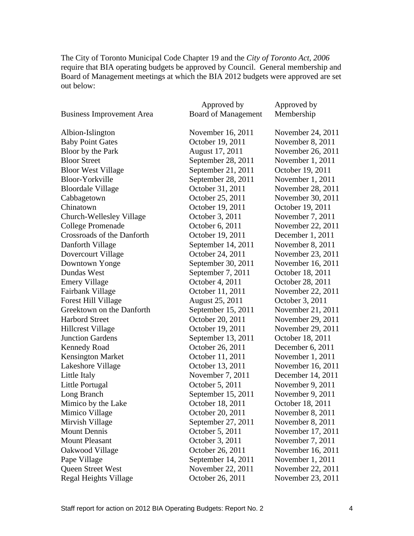The City of Toronto Municipal Code Chapter 19 and the *City of Toronto Act, 2006* require that BIA operating budgets be approved by Council. General membership and Board of Management meetings at which the BIA 2012 budgets were approved are set out below:

|                                  | Approved by                | Approved by        |
|----------------------------------|----------------------------|--------------------|
| <b>Business Improvement Area</b> | <b>Board of Management</b> | Membership         |
| Albion-Islington                 | November 16, 2011          | November 24, 2011  |
| <b>Baby Point Gates</b>          | October 19, 2011           | November 8, 2011   |
| Bloor by the Park                | August 17, 2011            | November 26, 2011  |
| <b>Bloor Street</b>              | September 28, 2011         | November 1, 2011   |
| <b>Bloor West Village</b>        | September 21, 2011         | October 19, 2011   |
| <b>Bloor-Yorkville</b>           | September 28, 2011         | November $1, 2011$ |
| <b>Bloordale Village</b>         | October 31, 2011           | November 28, 2011  |
| Cabbagetown                      | October 25, 2011           | November 30, 2011  |
| Chinatown                        | October 19, 2011           | October 19, 2011   |
| Church-Wellesley Village         | October 3, 2011            | November 7, 2011   |
|                                  |                            | November 22, 2011  |
| <b>College Promenade</b>         | October 6, 2011            |                    |
| Crossroads of the Danforth       | October 19, 2011           | December 1, 2011   |
| Danforth Village                 | September 14, 2011         | November 8, 2011   |
| Dovercourt Village               | October 24, 2011           | November 23, 2011  |
| Downtown Yonge                   | September 30, 2011         | November 16, 2011  |
| Dundas West                      | September 7, 2011          | October 18, 2011   |
| <b>Emery Village</b>             | October 4, 2011            | October 28, 2011   |
| Fairbank Village                 | October 11, 2011           | November 22, 2011  |
| <b>Forest Hill Village</b>       | August 25, 2011            | October 3, 2011    |
| Greektown on the Danforth        | September 15, 2011         | November 21, 2011  |
| <b>Harbord Street</b>            | October 20, 2011           | November 29, 2011  |
| <b>Hillcrest Village</b>         | October 19, 2011           | November 29, 2011  |
| <b>Junction Gardens</b>          | September 13, 2011         | October 18, 2011   |
| <b>Kennedy Road</b>              | October 26, 2011           | December 6, 2011   |
| <b>Kensington Market</b>         | October 11, 2011           | November 1, 2011   |
| Lakeshore Village                | October 13, 2011           | November 16, 2011  |
| Little Italy                     | November 7, 2011           | December 14, 2011  |
| Little Portugal                  | October 5, 2011            | November 9, 2011   |
| Long Branch                      | September 15, 2011         | November 9, 2011   |
| Mimico by the Lake               | October 18, 2011           | October 18, 2011   |
| Mimico Village                   | October 20, 2011           | November 8, 2011   |
| Mirvish Village                  | September 27, 2011         | November 8, 2011   |
| <b>Mount Dennis</b>              | October 5, 2011            | November 17, 2011  |
| <b>Mount Pleasant</b>            | October 3, 2011            | November 7, 2011   |
| Oakwood Village                  | October 26, 2011           | November 16, 2011  |
| Pape Village                     | September 14, 2011         | November 1, 2011   |
| Queen Street West                | November 22, 2011          | November 22, 2011  |
| <b>Regal Heights Village</b>     | October 26, 2011           | November 23, 2011  |
|                                  |                            |                    |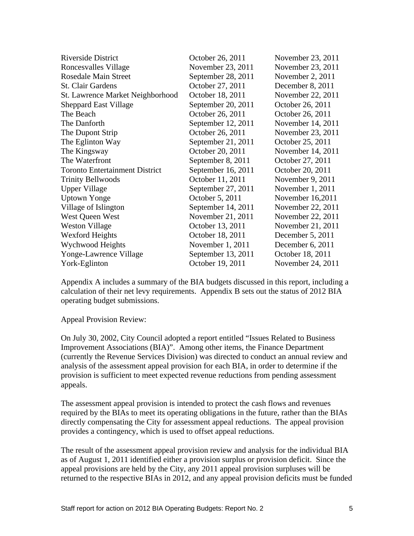| Riverside District                    | October 26, 2011   | November 23, 2011  |
|---------------------------------------|--------------------|--------------------|
| Roncesvalles Village                  | November 23, 2011  | November 23, 2011  |
| Rosedale Main Street                  | September 28, 2011 | November $2, 2011$ |
| St. Clair Gardens                     | October 27, 2011   | December 8, 2011   |
| St. Lawrence Market Neighborhood      | October 18, 2011   | November 22, 2011  |
| <b>Sheppard East Village</b>          | September 20, 2011 | October 26, 2011   |
| The Beach                             | October 26, 2011   | October 26, 2011   |
| The Danforth                          | September 12, 2011 | November 14, 2011  |
| The Dupont Strip                      | October 26, 2011   | November 23, 2011  |
| The Eglinton Way                      | September 21, 2011 | October 25, 2011   |
| The Kingsway                          | October 20, 2011   | November 14, 2011  |
| The Waterfront                        | September 8, 2011  | October 27, 2011   |
| <b>Toronto Entertainment District</b> | September 16, 2011 | October 20, 2011   |
| <b>Trinity Bellwoods</b>              | October 11, 2011   | November $9, 2011$ |
| <b>Upper Village</b>                  | September 27, 2011 | November 1, 2011   |
| <b>Uptown Yonge</b>                   | October 5, 2011    | November $16,2011$ |
| Village of Islington                  | September 14, 2011 | November 22, 2011  |
| West Queen West                       | November 21, 2011  | November 22, 2011  |
| <b>Weston Village</b>                 | October 13, 2011   | November 21, 2011  |
| <b>Wexford Heights</b>                | October 18, 2011   | December 5, 2011   |
| Wychwood Heights                      | November 1, 2011   | December 6, 2011   |
| Yonge-Lawrence Village                | September 13, 2011 | October 18, 2011   |
| York-Eglinton                         | October 19, 2011   | November 24, 2011  |
|                                       |                    |                    |

Appendix A includes a summary of the BIA budgets discussed in this report, including a calculation of their net levy requirements. Appendix B sets out the status of 2012 BIA operating budget submissions.

Appeal Provision Review:

On July 30, 2002, City Council adopted a report entitled "Issues Related to Business Improvement Associations (BIA)". Among other items, the Finance Department (currently the Revenue Services Division) was directed to conduct an annual review and analysis of the assessment appeal provision for each BIA, in order to determine if the provision is sufficient to meet expected revenue reductions from pending assessment appeals.

The assessment appeal provision is intended to protect the cash flows and revenues required by the BIAs to meet its operating obligations in the future, rather than the BIAs directly compensating the City for assessment appeal reductions. The appeal provision provides a contingency, which is used to offset appeal reductions.

The result of the assessment appeal provision review and analysis for the individual BIA as of August 1, 2011 identified either a provision surplus or provision deficit. Since the appeal provisions are held by the City, any 2011 appeal provision surpluses will be returned to the respective BIAs in 2012, and any appeal provision deficits must be funded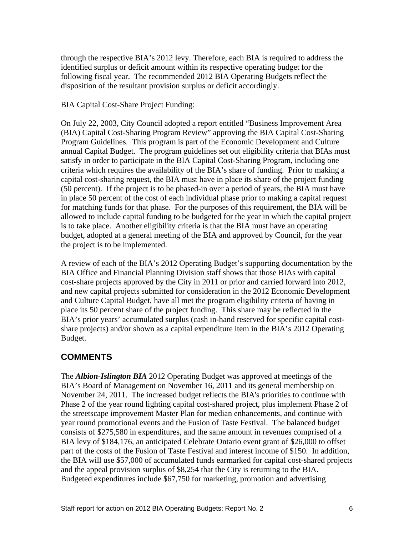through the respective BIA's 2012 levy. Therefore, each BIA is required to address the identified surplus or deficit amount within its respective operating budget for the following fiscal year. The recommended 2012 BIA Operating Budgets reflect the disposition of the resultant provision surplus or deficit accordingly.

BIA Capital Cost-Share Project Funding:

On July 22, 2003, City Council adopted a report entitled "Business Improvement Area (BIA) Capital Cost-Sharing Program Review" approving the BIA Capital Cost-Sharing Program Guidelines. This program is part of the Economic Development and Culture annual Capital Budget. The program guidelines set out eligibility criteria that BIAs must satisfy in order to participate in the BIA Capital Cost-Sharing Program, including one criteria which requires the availability of the BIA's share of funding. Prior to making a capital cost-sharing request, the BIA must have in place its share of the project funding (50 percent). If the project is to be phased-in over a period of years, the BIA must have in place 50 percent of the cost of each individual phase prior to making a capital request for matching funds for that phase. For the purposes of this requirement, the BIA will be allowed to include capital funding to be budgeted for the year in which the capital project is to take place. Another eligibility criteria is that the BIA must have an operating budget, adopted at a general meeting of the BIA and approved by Council, for the year the project is to be implemented.

A review of each of the BIA's 2012 Operating Budget's supporting documentation by the BIA Office and Financial Planning Division staff shows that those BIAs with capital cost-share projects approved by the City in 2011 or prior and carried forward into 2012, and new capital projects submitted for consideration in the 2012 Economic Development and Culture Capital Budget, have all met the program eligibility criteria of having in place its 50 percent share of the project funding. This share may be reflected in the BIA's prior years' accumulated surplus (cash in-hand reserved for specific capital cost share projects) and/or shown as a capital expenditure item in the BIA's 2012 Operating example. The set of the set of the set of the set of the set of the set of the set of the set of the set of the set of the set of the set of the set of the set of the set of the set of the set of the set of the set of the

# **COMMENTS**

The *Albion-Islington BIA* 2012 Operating Budget was approved at meetings of the BIA's Board of Management on November 16, 2011 and its general membership on November 24, 2011. The increased budget reflects the BIA's priorities to continue with Phase 2 of the year round lighting capital cost-shared project, plus implement Phase 2 of the streetscape improvement Master Plan for median enhancements, and continue with year round promotional events and the Fusion of Taste Festival. The balanced budget consists of \$275,580 in expenditures, and the same amount in revenues comprised of a BIA levy of \$184,176, an anticipated Celebrate Ontario event grant of \$26,000 to offset part of the costs of the Fusion of Taste Festival and interest income of \$150. In addition, the BIA will use \$57,000 of accumulated funds earmarked for capital cost-shared projects and the appeal provision surplus of \$8,254 that the City is returning to the BIA. Budgeted expenditures include \$67,750 for marketing, promotion and advertising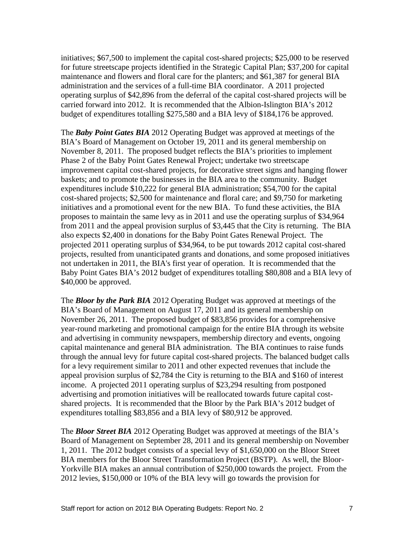initiatives; \$67,500 to implement the capital cost-shared projects; \$25,000 to be reserved for future streetscape projects identified in the Strategic Capital Plan; \$37,200 for capital maintenance and flowers and floral care for the planters; and \$61,387 for general BIA administration and the services of a full-time BIA coordinator. A 2011 projected operating surplus of \$42,896 from the deferral of the capital cost-shared projects will be carried forward into 2012. It is recommended that the Albion-Islington BIA's 2012 budget of expenditures totalling \$275,580 and a BIA levy of \$184,176 be approved.

The *Baby Point Gates BIA* 2012 Operating Budget was approved at meetings of the BIA's Board of Management on October 19, 2011 and its general membership on November 8, 2011. The proposed budget reflects the BIA's priorities to implement Phase 2 of the Baby Point Gates Renewal Project; undertake two streetscape improvement capital cost-shared projects, for decorative street signs and hanging flower baskets; and to promote the businesses in the BIA area to the community. Budget expenditures include \$10,222 for general BIA administration; \$54,700 for the capital cost-shared projects; \$2,500 for maintenance and floral care; and \$9,750 for marketing initiatives and a promotional event for the new BIA. To fund these activities, the BIA proposes to maintain the same levy as in 2011 and use the operating surplus of \$34,964 from 2011 and the appeal provision surplus of \$3,445 that the City is returning. The BIA also expects \$2,400 in donations for the Baby Point Gates Renewal Project. The projected 2011 operating surplus of \$34,964, to be put towards 2012 capital cost-shared projects, resulted from unanticipated grants and donations, and some proposed initiatives not undertaken in 2011, the BIA's first year of operation. It is recommended that the Baby Point Gates BIA's 2012 budget of expenditures totalling \$80,808 and a BIA levy of \$40,000 be approved.

The *Bloor by the Park BIA* 2012 Operating Budget was approved at meetings of the BIA's Board of Management on August 17, 2011 and its general membership on November 26, 2011. The proposed budget of \$83,856 provides for a comprehensive year-round marketing and promotional campaign for the entire BIA through its website and advertising in community newspapers, membership directory and events, ongoing capital maintenance and general BIA administration. The BIA continues to raise funds through the annual levy for future capital cost-shared projects. The balanced budget calls for a levy requirement similar to 2011 and other expected revenues that include the appeal provision surplus of \$2,784 the City is returning to the BIA and \$160 of interest income. A projected 2011 operating surplus of \$23,294 resulting from postponed advertising and promotion initiatives will be reallocated towards future capital cost shared projects. It is recommended that the Bloor by the Park BIA's 2012 budget of expenditures totalling \$83,856 and a BIA levy of \$80,912 be approved.

The *Bloor Street BIA* 2012 Operating Budget was approved at meetings of the BIA's Board of Management on September 28, 2011 and its general membership on November 1, 2011. The 2012 budget consists of a special levy of \$1,650,000 on the Bloor Street BIA members for the Bloor Street Transformation Project (BSTP). As well, the Bloor- Yorkville BIA makes an annual contribution of \$250,000 towards the project. From the 2012 levies, \$150,000 or 10% of the BIA levy will go towards the provision for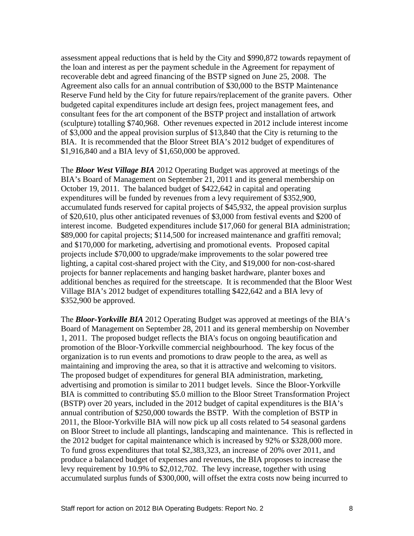assessment appeal reductions that is held by the City and \$990,872 towards repayment of the loan and interest as per the payment schedule in the Agreement for repayment of recoverable debt and agreed financing of the BSTP signed on June 25, 2008. The Agreement also calls for an annual contribution of \$30,000 to the BSTP Maintenance Reserve Fund held by the City for future repairs/replacement of the granite pavers. Other budgeted capital expenditures include art design fees, project management fees, and consultant fees for the art component of the BSTP project and installation of artwork (sculpture) totalling \$740,968. Other revenues expected in 2012 include interest income of \$3,000 and the appeal provision surplus of \$13,840 that the City is returning to the BIA. It is recommended that the Bloor Street BIA's 2012 budget of expenditures of \$1,916,840 and a BIA levy of \$1,650,000 be approved.

The *Bloor West Village BIA* 2012 Operating Budget was approved at meetings of the BIA's Board of Management on September 21, 2011 and its general membership on October 19, 2011. The balanced budget of \$422,642 in capital and operating expenditures will be funded by revenues from a levy requirement of \$352,900, accumulated funds reserved for capital projects of \$45,932, the appeal provision surplus of \$20,610, plus other anticipated revenues of \$3,000 from festival events and \$200 of interest income. Budgeted expenditures include \$17,060 for general BIA administration; \$89,000 for capital projects; \$114,500 for increased maintenance and graffiti removal; and \$170,000 for marketing, advertising and promotional events. Proposed capital projects include \$70,000 to upgrade/make improvements to the solar powered tree lighting, a capital cost-shared project with the City, and \$19,000 for non-cost-shared projects for banner replacements and hanging basket hardware, planter boxes and additional benches as required for the streetscape. It is recommended that the Bloor West Village BIA's 2012 budget of expenditures totalling \$422,642 and a BIA levy of \$352,900 be approved.

The *Bloor-Yorkville BIA* 2012 Operating Budget was approved at meetings of the BIA's Board of Management on September 28, 2011 and its general membership on November 1, 2011. The proposed budget reflects the BIA's focus on ongoing beautification and promotion of the Bloor-Yorkville commercial neighbourhood. The key focus of the organization is to run events and promotions to draw people to the area, as well as maintaining and improving the area, so that it is attractive and welcoming to visitors. The proposed budget of expenditures for general BIA administration, marketing, advertising and promotion is similar to 2011 budget levels. Since the Bloor-Yorkville BIA is committed to contributing \$5.0 million to the Bloor Street Transformation Project (BSTP) over 20 years, included in the 2012 budget of capital expenditures is the BIA's annual contribution of \$250,000 towards the BSTP. With the completion of BSTP in 2011, the Bloor-Yorkville BIA will now pick up all costs related to 54 seasonal gardens on Bloor Street to include all plantings, landscaping and maintenance. This is reflected in the 2012 budget for capital maintenance which is increased by 92% or \$328,000 more. To fund gross expenditures that total \$2,383,323, an increase of 20% over 2011, and produce a balanced budget of expenses and revenues, the BIA proposes to increase the levy requirement by 10.9% to \$2,012,702. The levy increase, together with using accumulated surplus funds of \$300,000, will offset the extra costs now being incurred to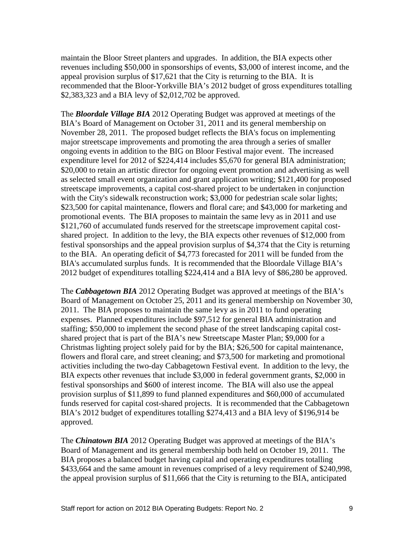maintain the Bloor Street planters and upgrades. In addition, the BIA expects other revenues including \$50,000 in sponsorships of events, \$3,000 of interest income, and the appeal provision surplus of \$17,621 that the City is returning to the BIA. It is recommended that the Bloor-Yorkville BIA's 2012 budget of gross expenditures totalling \$2,383,323 and a BIA levy of \$2,012,702 be approved.

The *Bloordale Village BIA* 2012 Operating Budget was approved at meetings of the BIA's Board of Management on October 31, 2011 and its general membership on November 28, 2011. The proposed budget reflects the BIA's focus on implementing major streetscape improvements and promoting the area through a series of smaller ongoing events in addition to the BIG on Bloor Festival major event. The increased expenditure level for 2012 of \$224,414 includes \$5,670 for general BIA administration; \$20,000 to retain an artistic director for ongoing event promotion and advertising as well as selected small event organization and grant application writing; \$121,400 for proposed streetscape improvements, a capital cost-shared project to be undertaken in conjunction with the City's sidewalk reconstruction work; \$3,000 for pedestrian scale solar lights; \$23,500 for capital maintenance, flowers and floral care; and \$43,000 for marketing and promotional events. The BIA proposes to maintain the same levy as in 2011 and use \$121,760 of accumulated funds reserved for the streetscape improvement capital cost shared project. In addition to the levy, the BIA expects other revenues of \$12,000 from festival sponsorships and the appeal provision surplus of \$4,374 that the City is returning to the BIA. An operating deficit of \$4,773 forecasted for 2011 will be funded from the BIA's accumulated surplus funds. It is recommended that the Bloordale Village BIA's 2012 budget of expenditures totalling \$224,414 and a BIA levy of \$86,280 be approved.

The *Cabbagetown BIA* 2012 Operating Budget was approved at meetings of the BIA's Board of Management on October 25, 2011 and its general membership on November 30, 2011. The BIA proposes to maintain the same levy as in 2011 to fund operating expenses. Planned expenditures include \$97,512 for general BIA administration and staffing; \$50,000 to implement the second phase of the street landscaping capital cost shared project that is part of the BIA's new Streetscape Master Plan; \$9,000 for a Christmas lighting project solely paid for by the BIA; \$26,500 for capital maintenance, flowers and floral care, and street cleaning; and \$73,500 for marketing and promotional activities including the two-day Cabbagetown Festival event. In addition to the levy, the BIA expects other revenues that include \$3,000 in federal government grants, \$2,000 in festival sponsorships and \$600 of interest income. The BIA will also use the appeal provision surplus of \$11,899 to fund planned expenditures and \$60,000 of accumulated funds reserved for capital cost-shared projects. It is recommended that the Cabbagetown BIA's 2012 budget of expenditures totalling \$274,413 and a BIA levy of \$196,914 be approved.

The *Chinatown BIA* 2012 Operating Budget was approved at meetings of the BIA's Board of Management and its general membership both held on October 19, 2011. The BIA proposes a balanced budget having capital and operating expenditures totalling \$433,664 and the same amount in revenues comprised of a levy requirement of \$240,998, the appeal provision surplus of \$11,666 that the City is returning to the BIA, anticipated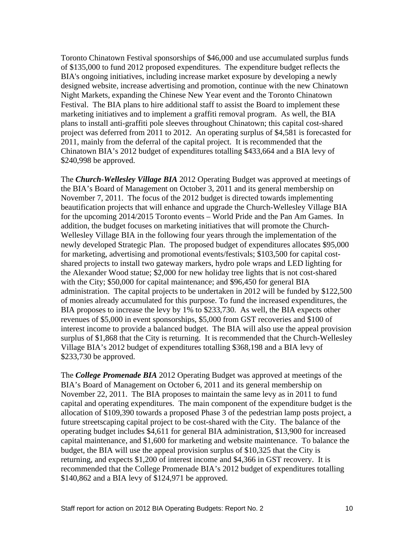Toronto Chinatown Festival sponsorships of \$46,000 and use accumulated surplus funds of \$135,000 to fund 2012 proposed expenditures. The expenditure budget reflects the BIA's ongoing initiatives, including increase market exposure by developing a newly designed website, increase advertising and promotion, continue with the new Chinatown Night Markets, expanding the Chinese New Year event and the Toronto Chinatown Festival. The BIA plans to hire additional staff to assist the Board to implement these marketing initiatives and to implement a graffiti removal program. As well, the BIA plans to install anti-graffiti pole sleeves throughout Chinatown; this capital cost-shared project was deferred from 2011 to 2012. An operating surplus of \$4,581 is forecasted for 2011, mainly from the deferral of the capital project. It is recommended that the Chinatown BIA's 2012 budget of expenditures totalling \$433,664 and a BIA levy of \$240,998 be approved.

The *Church-Wellesley Village BIA* 2012 Operating Budget was approved at meetings of the BIA's Board of Management on October 3, 2011 and its general membership on November 7, 2011. The focus of the 2012 budget is directed towards implementing beautification projects that will enhance and upgrade the Church-Wellesley Village BIA for the upcoming 2014/2015 Toronto events – World Pride and the Pan Am Games. In addition, the budget focuses on marketing initiatives that will promote the Church- Wellesley Village BIA in the following four years through the implementation of the newly developed Strategic Plan. The proposed budget of expenditures allocates \$95,000 for marketing, advertising and promotional events/festivals; \$103,500 for capital cost shared projects to install two gateway markers, hydro pole wraps and LED lighting for the Alexander Wood statue; \$2,000 for new holiday tree lights that is not cost-shared with the City; \$50,000 for capital maintenance; and \$96,450 for general BIA administration. The capital projects to be undertaken in 2012 will be funded by \$122,500 of monies already accumulated for this purpose. To fund the increased expenditures, the BIA proposes to increase the levy by 1% to \$233,730. As well, the BIA expects other revenues of \$5,000 in event sponsorships, \$5,000 from GST recoveries and \$100 of interest income to provide a balanced budget. The BIA will also use the appeal provision surplus of \$1,868 that the City is returning. It is recommended that the Church-Wellesley Village BIA's 2012 budget of expenditures totalling \$368,198 and a BIA levy of \$233,730 be approved.

The *College Promenade BIA* 2012 Operating Budget was approved at meetings of the BIA's Board of Management on October 6, 2011 and its general membership on November 22, 2011. The BIA proposes to maintain the same levy as in 2011 to fund capital and operating expenditures. The main component of the expenditure budget is the allocation of \$109,390 towards a proposed Phase 3 of the pedestrian lamp posts project, a future streetscaping capital project to be cost-shared with the City. The balance of the operating budget includes \$4,611 for general BIA administration, \$13,900 for increased capital maintenance, and \$1,600 for marketing and website maintenance. To balance the budget, the BIA will use the appeal provision surplus of \$10,325 that the City is returning, and expects \$1,200 of interest income and \$4,366 in GST recovery. It is recommended that the College Promenade BIA's 2012 budget of expenditures totalling \$140,862 and a BIA levy of \$124,971 be approved.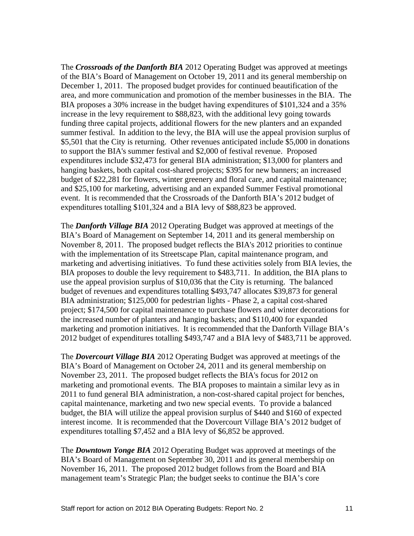The *Crossroads of the Danforth BIA* 2012 Operating Budget was approved at meetings of the BIA's Board of Management on October 19, 2011 and its general membership on December 1, 2011. The proposed budget provides for continued beautification of the area, and more communication and promotion of the member businesses in the BIA. The BIA proposes a 30% increase in the budget having expenditures of \$101,324 and a 35% increase in the levy requirement to \$88,823, with the additional levy going towards funding three capital projects, additional flowers for the new planters and an expanded summer festival. In addition to the levy, the BIA will use the appeal provision surplus of \$5,501 that the City is returning. Other revenues anticipated include \$5,000 in donations to support the BIA's summer festival and \$2,000 of festival revenue. Proposed expenditures include \$32,473 for general BIA administration; \$13,000 for planters and hanging baskets, both capital cost-shared projects; \$395 for new banners; an increased budget of \$22,281 for flowers, winter greenery and floral care, and capital maintenance; and \$25,100 for marketing, advertising and an expanded Summer Festival promotional event. It is recommended that the Crossroads of the Danforth BIA's 2012 budget of expenditures totalling \$101,324 and a BIA levy of \$88,823 be approved.

The *Danforth Village BIA* 2012 Operating Budget was approved at meetings of the BIA's Board of Management on September 14, 2011 and its general membership on November 8, 2011. The proposed budget reflects the BIA's 2012 priorities to continue with the implementation of its Streetscape Plan, capital maintenance program, and marketing and advertising initiatives. To fund these activities solely from BIA levies, the BIA proposes to double the levy requirement to \$483,711. In addition, the BIA plans to use the appeal provision surplus of \$10,036 that the City is returning. The balanced budget of revenues and expenditures totalling \$493,747 allocates \$39,873 for general BIA administration; \$125,000 for pedestrian lights - Phase 2, a capital cost-shared project; \$174,500 for capital maintenance to purchase flowers and winter decorations for the increased number of planters and hanging baskets; and \$110,400 for expanded marketing and promotion initiatives. It is recommended that the Danforth Village BIA's 2012 budget of expenditures totalling \$493,747 and a BIA levy of \$483,711 be approved.

The *Dovercourt Village BIA* 2012 Operating Budget was approved at meetings of the BIA's Board of Management on October 24, 2011 and its general membership on November 23, 2011. The proposed budget reflects the BIA's focus for 2012 on marketing and promotional events. The BIA proposes to maintain a similar levy as in 2011 to fund general BIA administration, a non-cost-shared capital project for benches, capital maintenance, marketing and two new special events. To provide a balanced budget, the BIA will utilize the appeal provision surplus of \$440 and \$160 of expected interest income. It is recommended that the Dovercourt Village BIA's 2012 budget of expenditures totalling \$7,452 and a BIA levy of \$6,852 be approved.

The *Downtown Yonge BIA* 2012 Operating Budget was approved at meetings of the BIA's Board of Management on September 30, 2011 and its general membership on November 16, 2011. The proposed 2012 budget follows from the Board and BIA management team's Strategic Plan; the budget seeks to continue the BIA's core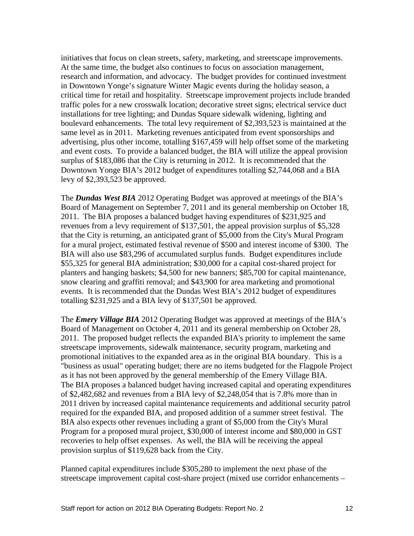initiatives that focus on clean streets, safety, marketing, and streetscape improvements. At the same time, the budget also continues to focus on association management, research and information, and advocacy. The budget provides for continued investment in Downtown Yonge's signature Winter Magic events during the holiday season, a critical time for retail and hospitality. Streetscape improvement projects include branded traffic poles for a new crosswalk location; decorative street signs; electrical service duct installations for tree lighting; and Dundas Square sidewalk widening, lighting and boulevard enhancements. The total levy requirement of \$2,393,523 is maintained at the same level as in 2011. Marketing revenues anticipated from event sponsorships and advertising, plus other income, totalling \$167,459 will help offset some of the marketing and event costs. To provide a balanced budget, the BIA will utilize the appeal provision surplus of \$183,086 that the City is returning in 2012. It is recommended that the Downtown Yonge BIA's 2012 budget of expenditures totalling \$2,744,068 and a BIA levy of \$2,393,523 be approved.

The *Dundas West BIA* 2012 Operating Budget was approved at meetings of the BIA's Board of Management on September 7, 2011 and its general membership on October 18, 2011. The BIA proposes a balanced budget having expenditures of \$231,925 and revenues from a levy requirement of \$137,501, the appeal provision surplus of \$5,328 that the City is returning, an anticipated grant of \$5,000 from the City's Mural Program for a mural project, estimated festival revenue of \$500 and interest income of \$300. The BIA will also use \$83,296 of accumulated surplus funds. Budget expenditures include \$55,325 for general BIA administration; \$30,000 for a capital cost-shared project for planters and hanging baskets; \$4,500 for new banners; \$85,700 for capital maintenance, snow clearing and graffiti removal; and \$43,900 for area marketing and promotional events. It is recommended that the Dundas West BIA's 2012 budget of expenditures totalling \$231,925 and a BIA levy of \$137,501 be approved.

The *Emery Village BIA* 2012 Operating Budget was approved at meetings of the BIA's Board of Management on October 4, 2011 and its general membership on October 28, 2011. The proposed budget reflects the expanded BIA's priority to implement the same streetscape improvements, sidewalk maintenance, security program, marketing and promotional initiatives to the expanded area as in the original BIA boundary. This is a "business as usual" operating budget; there are no items budgeted for the Flagpole Project as it has not been approved by the general membership of the Emery Village BIA. The BIA proposes a balanced budget having increased capital and operating expenditures of \$2,482,682 and revenues from a BIA levy of \$2,248,054 that is 7.8% more than in 2011 driven by increased capital maintenance requirements and additional security patrol required for the expanded BIA, and proposed addition of a summer street festival. The BIA also expects other revenues including a grant of \$5,000 from the City's Mural Program for a proposed mural project, \$30,000 of interest income and \$80,000 in GST recoveries to help offset expenses. As well, the BIA will be receiving the appeal provision surplus of \$119,628 back from the City.

Planned capital expenditures include \$305,280 to implement the next phase of the streetscape improvement capital cost-share project (mixed use corridor enhancements –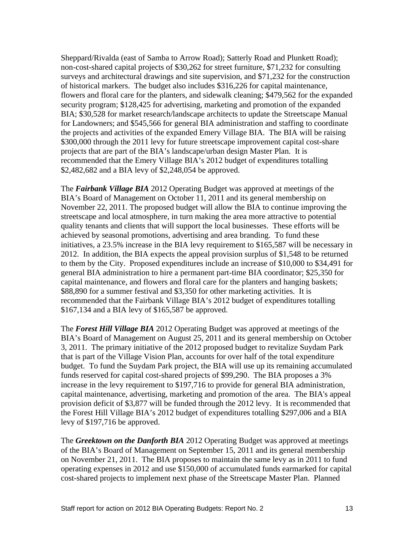Sheppard/Rivalda (east of Samba to Arrow Road); Satterly Road and Plunkett Road); non-cost-shared capital projects of \$30,262 for street furniture, \$71,232 for consulting surveys and architectural drawings and site supervision, and \$71,232 for the construction of historical markers. The budget also includes \$316,226 for capital maintenance, flowers and floral care for the planters, and sidewalk cleaning; \$479,562 for the expanded security program; \$128,425 for advertising, marketing and promotion of the expanded BIA; \$30,528 for market research/landscape architects to update the Streetscape Manual for Landowners; and \$545,566 for general BIA administration and staffing to coordinate the projects and activities of the expanded Emery Village BIA. The BIA will be raising \$300,000 through the 2011 levy for future streetscape improvement capital cost-share projects that are part of the BIA's landscape/urban design Master Plan. It is recommended that the Emery Village BIA's 2012 budget of expenditures totalling \$2,482,682 and a BIA levy of \$2,248,054 be approved.

The *Fairbank Village BIA* 2012 Operating Budget was approved at meetings of the BIA's Board of Management on October 11, 2011 and its general membership on November 22, 2011. The proposed budget will allow the BIA to continue improving the streetscape and local atmosphere, in turn making the area more attractive to potential quality tenants and clients that will support the local businesses. These efforts will be achieved by seasonal promotions, advertising and area branding. To fund these initiatives, a 23.5% increase in the BIA levy requirement to \$165,587 will be necessary in 2012. In addition, the BIA expects the appeal provision surplus of \$1,548 to be returned to them by the City. Proposed expenditures include an increase of \$10,000 to \$34,491 for general BIA administration to hire a permanent part-time BIA coordinator; \$25,350 for capital maintenance, and flowers and floral care for the planters and hanging baskets; \$88,890 for a summer festival and \$3,350 for other marketing activities. It is recommended that the Fairbank Village BIA's 2012 budget of expenditures totalling \$167,134 and a BIA levy of \$165,587 be approved.

The *Forest Hill Village BIA* 2012 Operating Budget was approved at meetings of the BIA's Board of Management on August 25, 2011 and its general membership on October 3, 2011. The primary initiative of the 2012 proposed budget to revitalize Suydam Park that is part of the Village Vision Plan, accounts for over half of the total expenditure budget. To fund the Suydam Park project, the BIA will use up its remaining accumulated funds reserved for capital cost-shared projects of \$99,290. The BIA proposes a 3% increase in the levy requirement to \$197,716 to provide for general BIA administration, capital maintenance, advertising, marketing and promotion of the area. The BIA's appeal provision deficit of \$3,877 will be funded through the 2012 levy. It is recommended that the Forest Hill Village BIA's 2012 budget of expenditures totalling \$297,006 and a BIA levy of \$197,716 be approved.

The *Greektown on the Danforth BIA* 2012 Operating Budget was approved at meetings of the BIA's Board of Management on September 15, 2011 and its general membership on November 21, 2011. The BIA proposes to maintain the same levy as in 2011 to fund operating expenses in 2012 and use \$150,000 of accumulated funds earmarked for capital cost-shared projects to implement next phase of the Streetscape Master Plan. Planned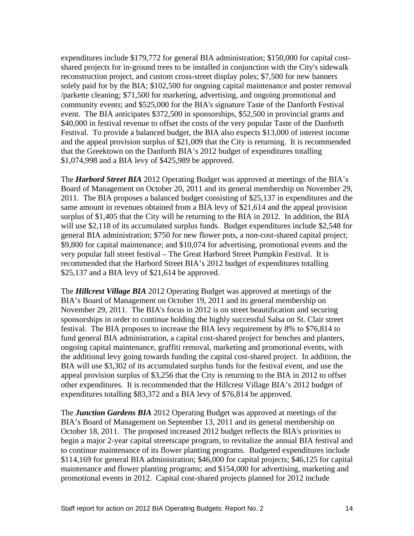expenditures include \$179,772 for general BIA administration; \$150,000 for capital cost shared projects for in-ground trees to be installed in conjunction with the City's sidewalk reconstruction project, and custom cross-street display poles; \$7,500 for new banners solely paid for by the BIA; \$102,500 for ongoing capital maintenance and poster removal /parkette cleaning; \$71,500 for marketing, advertising, and ongoing promotional and community events; and \$525,000 for the BIA's signature Taste of the Danforth Festival event. The BIA anticipates \$372,500 in sponsorships, \$52,500 in provincial grants and \$40,000 in festival revenue to offset the costs of the very popular Taste of the Danforth Festival. To provide a balanced budget, the BIA also expects \$13,000 of interest income and the appeal provision surplus of \$21,009 that the City is returning. It is recommended that the Greektown on the Danforth BIA's 2012 budget of expenditures totalling \$1,074,998 and a BIA levy of \$425,989 be approved.

The *Harbord Street BIA* 2012 Operating Budget was approved at meetings of the BIA's Board of Management on October 20, 2011 and its general membership on November 29, 2011. The BIA proposes a balanced budget consisting of \$25,137 in expenditures and the same amount in revenues obtained from a BIA levy of \$21,614 and the appeal provision surplus of \$1,405 that the City will be returning to the BIA in 2012. In addition, the BIA will use \$2,118 of its accumulated surplus funds. Budget expenditures include \$2,548 for general BIA administration; \$750 for new flower pots, a non-cost-shared capital project; \$9,800 for capital maintenance; and \$10,074 for advertising, promotional events and the very popular fall street festival – The Great Harbord Street Pumpkin Festival. It is recommended that the Harbord Street BIA's 2012 budget of expenditures totalling \$25,137 and a BIA levy of \$21,614 be approved.

The *Hillcrest Village BIA* 2012 Operating Budget was approved at meetings of the BIA's Board of Management on October 19, 2011 and its general membership on November 29, 2011. The BIA's focus in 2012 is on street beautification and securing sponsorships in order to continue holding the highly successful Salsa on St. Clair street festival. The BIA proposes to increase the BIA levy requirement by 8% to \$76,814 to fund general BIA administration, a capital cost-shared project for benches and planters, ongoing capital maintenance, graffiti removal, marketing and promotional events, with the additional levy going towards funding the capital cost-shared project. In addition, the BIA will use \$3,302 of its accumulated surplus funds for the festival event, and use the appeal provision surplus of \$3,256 that the City is returning to the BIA in 2012 to offset other expenditures. It is recommended that the Hillcrest Village BIA's 2012 budget of expenditures totalling \$83,372 and a BIA levy of \$76,814 be approved.

The *Junction Gardens BIA* 2012 Operating Budget was approved at meetings of the BIA's Board of Management on September 13, 2011 and its general membership on October 18, 2011. The proposed increased 2012 budget reflects the BIA's priorities to begin a major 2-year capital streetscape program, to revitalize the annual BIA festival and to continue maintenance of its flower planting programs. Budgeted expenditures include \$114,169 for general BIA administration; \$46,000 for capital projects; \$46,125 for capital maintenance and flower planting programs; and \$154,000 for advertising, marketing and promotional events in 2012. Capital cost-shared projects planned for 2012 include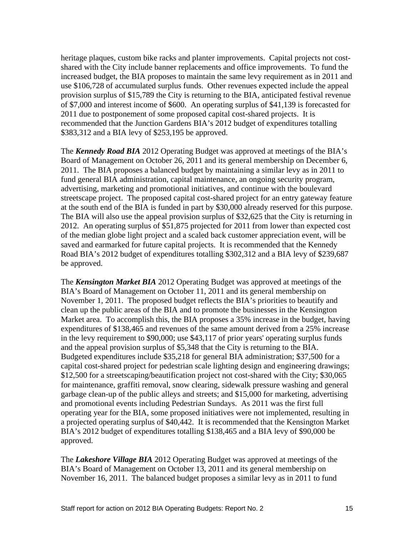heritage plaques, custom bike racks and planter improvements. Capital projects not cost shared with the City include banner replacements and office improvements. To fund the increased budget, the BIA proposes to maintain the same levy requirement as in 2011 and use \$106,728 of accumulated surplus funds. Other revenues expected include the appeal provision surplus of \$15,789 the City is returning to the BIA, anticipated festival revenue of \$7,000 and interest income of \$600. An operating surplus of \$41,139 is forecasted for 2011 due to postponement of some proposed capital cost-shared projects. It is recommended that the Junction Gardens BIA's 2012 budget of expenditures totalling \$383,312 and a BIA levy of \$253,195 be approved.

The *Kennedy Road BIA* 2012 Operating Budget was approved at meetings of the BIA's Board of Management on October 26, 2011 and its general membership on December 6, 2011. The BIA proposes a balanced budget by maintaining a similar levy as in 2011 to fund general BIA administration, capital maintenance, an ongoing security program, advertising, marketing and promotional initiatives, and continue with the boulevard streetscape project. The proposed capital cost-shared project for an entry gateway feature at the south end of the BIA is funded in part by \$30,000 already reserved for this purpose. The BIA will also use the appeal provision surplus of \$32,625 that the City is returning in 2012. An operating surplus of \$51,875 projected for 2011 from lower than expected cost of the median globe light project and a scaled back customer appreciation event, will be saved and earmarked for future capital projects. It is recommended that the Kennedy Road BIA's 2012 budget of expenditures totalling \$302,312 and a BIA levy of \$239,687 be approved.

The *Kensington Market BIA* 2012 Operating Budget was approved at meetings of the BIA's Board of Management on October 11, 2011 and its general membership on November 1, 2011. The proposed budget reflects the BIA's priorities to beautify and clean up the public areas of the BIA and to promote the businesses in the Kensington Market area. To accomplish this, the BIA proposes a 35% increase in the budget, having expenditures of \$138,465 and revenues of the same amount derived from a 25% increase in the levy requirement to \$90,000; use \$43,117 of prior years' operating surplus funds and the appeal provision surplus of \$5,348 that the City is returning to the BIA. Budgeted expenditures include \$35,218 for general BIA administration; \$37,500 for a capital cost-shared project for pedestrian scale lighting design and engineering drawings; \$12,500 for a streetscaping/beautification project not cost-shared with the City; \$30,065 for maintenance, graffiti removal, snow clearing, sidewalk pressure washing and general garbage clean-up of the public alleys and streets; and \$15,000 for marketing, advertising and promotional events including Pedestrian Sundays. As 2011 was the first full operating year for the BIA, some proposed initiatives were not implemented, resulting in a projected operating surplus of \$40,442. It is recommended that the Kensington Market BIA's 2012 budget of expenditures totalling \$138,465 and a BIA levy of \$90,000 be approved.

The *Lakeshore Village BIA* 2012 Operating Budget was approved at meetings of the BIA's Board of Management on October 13, 2011 and its general membership on November 16, 2011. The balanced budget proposes a similar levy as in 2011 to fund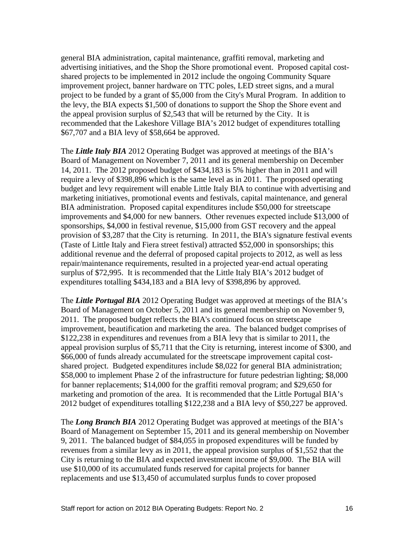general BIA administration, capital maintenance, graffiti removal, marketing and advertising initiatives, and the Shop the Shore promotional event. Proposed capital cost shared projects to be implemented in 2012 include the ongoing Community Square improvement project, banner hardware on TTC poles, LED street signs, and a mural project to be funded by a grant of \$5,000 from the City's Mural Program. In addition to the levy, the BIA expects \$1,500 of donations to support the Shop the Shore event and the appeal provision surplus of \$2,543 that will be returned by the City. It is recommended that the Lakeshore Village BIA's 2012 budget of expenditures totalling \$67,707 and a BIA levy of \$58,664 be approved.

The *Little Italy BIA* 2012 Operating Budget was approved at meetings of the BIA's Board of Management on November 7, 2011 and its general membership on December 14, 2011. The 2012 proposed budget of \$434,183 is 5% higher than in 2011 and will require a levy of \$398,896 which is the same level as in 2011. The proposed operating budget and levy requirement will enable Little Italy BIA to continue with advertising and marketing initiatives, promotional events and festivals, capital maintenance, and general BIA administration. Proposed capital expenditures include \$50,000 for streetscape improvements and \$4,000 for new banners. Other revenues expected include \$13,000 of sponsorships, \$4,000 in festival revenue, \$15,000 from GST recovery and the appeal provision of \$3,287 that the City is returning. In 2011, the BIA's signature festival events (Taste of Little Italy and Fiera street festival) attracted \$52,000 in sponsorships; this additional revenue and the deferral of proposed capital projects to 2012, as well as less repair/maintenance requirements, resulted in a projected year-end actual operating surplus of \$72,995. It is recommended that the Little Italy BIA's 2012 budget of expenditures totalling \$434,183 and a BIA levy of \$398,896 by approved.

The *Little Portugal BIA* 2012 Operating Budget was approved at meetings of the BIA's Board of Management on October 5, 2011 and its general membership on November 9, 2011. The proposed budget reflects the BIA's continued focus on streetscape improvement, beautification and marketing the area. The balanced budget comprises of \$122,238 in expenditures and revenues from a BIA levy that is similar to 2011, the appeal provision surplus of \$5,711 that the City is returning, interest income of \$300, and \$66,000 of funds already accumulated for the streetscape improvement capital cost shared project. Budgeted expenditures include \$8,022 for general BIA administration; \$58,000 to implement Phase 2 of the infrastructure for future pedestrian lighting; \$8,000 for banner replacements; \$14,000 for the graffiti removal program; and \$29,650 for marketing and promotion of the area. It is recommended that the Little Portugal BIA's 2012 budget of expenditures totalling \$122,238 and a BIA levy of \$50,227 be approved.

The *Long Branch BIA* 2012 Operating Budget was approved at meetings of the BIA's Board of Management on September 15, 2011 and its general membership on November 9, 2011. The balanced budget of \$84,055 in proposed expenditures will be funded by revenues from a similar levy as in 2011, the appeal provision surplus of \$1,552 that the City is returning to the BIA and expected investment income of \$9,000. The BIA will use \$10,000 of its accumulated funds reserved for capital projects for banner replacements and use \$13,450 of accumulated surplus funds to cover proposed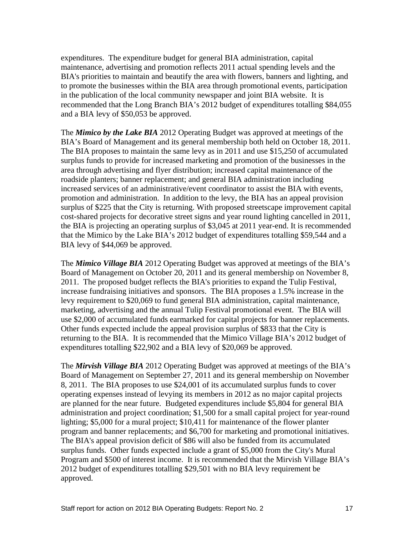expenditures. The expenditure budget for general BIA administration, capital maintenance, advertising and promotion reflects 2011 actual spending levels and the BIA's priorities to maintain and beautify the area with flowers, banners and lighting, and to promote the businesses within the BIA area through promotional events, participation in the publication of the local community newspaper and joint BIA website. It is recommended that the Long Branch BIA's 2012 budget of expenditures totalling \$84,055 and a BIA levy of \$50,053 be approved.

The *Mimico by the Lake BIA* 2012 Operating Budget was approved at meetings of the BIA's Board of Management and its general membership both held on October 18, 2011. The BIA proposes to maintain the same levy as in 2011 and use \$15,250 of accumulated surplus funds to provide for increased marketing and promotion of the businesses in the area through advertising and flyer distribution; increased capital maintenance of the roadside planters; banner replacement; and general BIA administration including increased services of an administrative/event coordinator to assist the BIA with events, promotion and administration. In addition to the levy, the BIA has an appeal provision surplus of \$225 that the City is returning. With proposed streetscape improvement capital cost-shared projects for decorative street signs and year round lighting cancelled in 2011, the BIA is projecting an operating surplus of \$3,045 at 2011 year-end. It is recommended that the Mimico by the Lake BIA's 2012 budget of expenditures totalling \$59,544 and a BIA levy of \$44,069 be approved.

The *Mimico Village BIA* 2012 Operating Budget was approved at meetings of the BIA's Board of Management on October 20, 2011 and its general membership on November 8, 2011. The proposed budget reflects the BIA's priorities to expand the Tulip Festival, increase fundraising initiatives and sponsors. The BIA proposes a 1.5% increase in the levy requirement to \$20,069 to fund general BIA administration, capital maintenance, marketing, advertising and the annual Tulip Festival promotional event. The BIA will use \$2,000 of accumulated funds earmarked for capital projects for banner replacements. Other funds expected include the appeal provision surplus of \$833 that the City is returning to the BIA. It is recommended that the Mimico Village BIA's 2012 budget of expenditures totalling \$22,902 and a BIA levy of \$20,069 be approved.

The *Mirvish Village BIA* 2012 Operating Budget was approved at meetings of the BIA's Board of Management on September 27, 2011 and its general membership on November 8, 2011. The BIA proposes to use \$24,001 of its accumulated surplus funds to cover operating expenses instead of levying its members in 2012 as no major capital projects are planned for the near future. Budgeted expenditures include \$5,804 for general BIA administration and project coordination; \$1,500 for a small capital project for year-round lighting; \$5,000 for a mural project; \$10,411 for maintenance of the flower planter program and banner replacements; and \$6,700 for marketing and promotional initiatives. The BIA's appeal provision deficit of \$86 will also be funded from its accumulated surplus funds. Other funds expected include a grant of \$5,000 from the City's Mural Program and \$500 of interest income. It is recommended that the Mirvish Village BIA's 2012 budget of expenditures totalling \$29,501 with no BIA levy requirement be approved.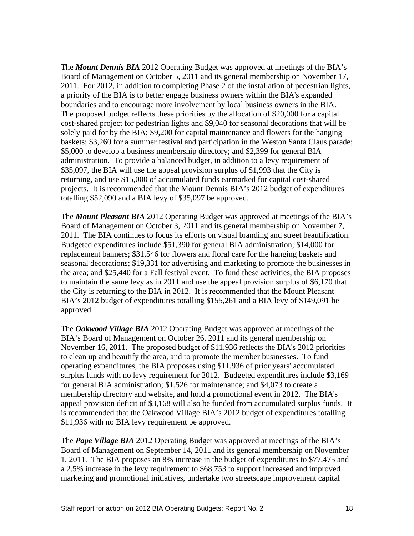The *Mount Dennis BIA* 2012 Operating Budget was approved at meetings of the BIA's Board of Management on October 5, 2011 and its general membership on November 17, 2011. For 2012, in addition to completing Phase 2 of the installation of pedestrian lights, a priority of the BIA is to better engage business owners within the BIA's expanded boundaries and to encourage more involvement by local business owners in the BIA. The proposed budget reflects these priorities by the allocation of \$20,000 for a capital cost-shared project for pedestrian lights and \$9,040 for seasonal decorations that will be solely paid for by the BIA; \$9,200 for capital maintenance and flowers for the hanging baskets; \$3,260 for a summer festival and participation in the Weston Santa Claus parade; \$5,000 to develop a business membership directory; and \$2,399 for general BIA administration. To provide a balanced budget, in addition to a levy requirement of \$35,097, the BIA will use the appeal provision surplus of \$1,993 that the City is returning, and use \$15,000 of accumulated funds earmarked for capital cost-shared projects. It is recommended that the Mount Dennis BIA's 2012 budget of expenditures totalling \$52,090 and a BIA levy of \$35,097 be approved.

The *Mount Pleasant BIA* 2012 Operating Budget was approved at meetings of the BIA's Board of Management on October 3, 2011 and its general membership on November 7, 2011. The BIA continues to focus its efforts on visual branding and street beautification. Budgeted expenditures include \$51,390 for general BIA administration; \$14,000 for replacement banners; \$31,546 for flowers and floral care for the hanging baskets and seasonal decorations; \$19,331 for advertising and marketing to promote the businesses in the area; and \$25,440 for a Fall festival event. To fund these activities, the BIA proposes to maintain the same levy as in 2011 and use the appeal provision surplus of \$6,170 that the City is returning to the BIA in 2012. It is recommended that the Mount Pleasant BIA's 2012 budget of expenditures totalling \$155,261 and a BIA levy of \$149,091 be approved.

The *Oakwood Village BIA* 2012 Operating Budget was approved at meetings of the BIA's Board of Management on October 26, 2011 and its general membership on November 16, 2011. The proposed budget of \$11,936 reflects the BIA's 2012 priorities to clean up and beautify the area, and to promote the member businesses. To fund operating expenditures, the BIA proposes using \$11,936 of prior years' accumulated surplus funds with no levy requirement for 2012. Budgeted expenditures include \$3,169 for general BIA administration; \$1,526 for maintenance; and \$4,073 to create a membership directory and website, and hold a promotional event in 2012. The BIA's appeal provision deficit of \$3,168 will also be funded from accumulated surplus funds. It is recommended that the Oakwood Village BIA's 2012 budget of expenditures totalling \$11,936 with no BIA levy requirement be approved.

The *Pape Village BIA* 2012 Operating Budget was approved at meetings of the BIA's Board of Management on September 14, 2011 and its general membership on November 1, 2011. The BIA proposes an 8% increase in the budget of expenditures to \$77,475 and a 2.5% increase in the levy requirement to \$68,753 to support increased and improved marketing and promotional initiatives, undertake two streetscape improvement capital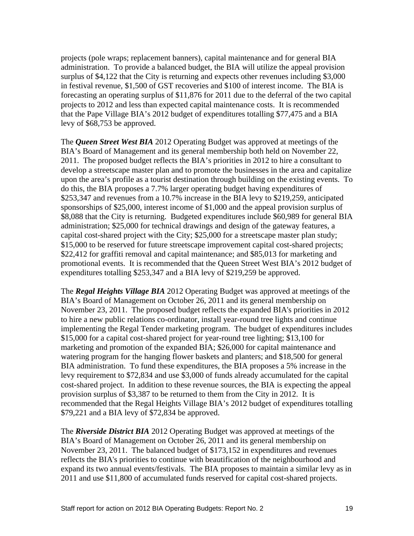projects (pole wraps; replacement banners), capital maintenance and for general BIA administration. To provide a balanced budget, the BIA will utilize the appeal provision surplus of \$4,122 that the City is returning and expects other revenues including \$3,000 in festival revenue, \$1,500 of GST recoveries and \$100 of interest income. The BIA is forecasting an operating surplus of \$11,876 for 2011 due to the deferral of the two capital projects to 2012 and less than expected capital maintenance costs. It is recommended that the Pape Village BIA's 2012 budget of expenditures totalling \$77,475 and a BIA levy of \$68,753 be approved.

The *Queen Street West BIA* 2012 Operating Budget was approved at meetings of the BIA's Board of Management and its general membership both held on November 22, 2011. The proposed budget reflects the BIA's priorities in 2012 to hire a consultant to develop a streetscape master plan and to promote the businesses in the area and capitalize upon the area's profile as a tourist destination through building on the existing events. To do this, the BIA proposes a 7.7% larger operating budget having expenditures of \$253,347 and revenues from a 10.7% increase in the BIA levy to \$219,259, anticipated sponsorships of \$25,000, interest income of \$1,000 and the appeal provision surplus of \$8,088 that the City is returning. Budgeted expenditures include \$60,989 for general BIA administration; \$25,000 for technical drawings and design of the gateway features, a capital cost-shared project with the City; \$25,000 for a streetscape master plan study; \$15,000 to be reserved for future streetscape improvement capital cost-shared projects; \$22,412 for graffiti removal and capital maintenance; and \$85,013 for marketing and promotional events. It is recommended that the Queen Street West BIA's 2012 budget of expenditures totalling \$253,347 and a BIA levy of \$219,259 be approved.

The *Regal Heights Village BIA* 2012 Operating Budget was approved at meetings of the BIA's Board of Management on October 26, 2011 and its general membership on November 23, 2011. The proposed budget reflects the expanded BIA's priorities in 2012 to hire a new public relations co-ordinator, install year-round tree lights and continue implementing the Regal Tender marketing program. The budget of expenditures includes \$15,000 for a capital cost-shared project for year-round tree lighting; \$13,100 for marketing and promotion of the expanded BIA; \$26,000 for capital maintenance and watering program for the hanging flower baskets and planters; and \$18,500 for general BIA administration. To fund these expenditures, the BIA proposes a 5% increase in the levy requirement to \$72,834 and use \$3,000 of funds already accumulated for the capital cost-shared project. In addition to these revenue sources, the BIA is expecting the appeal provision surplus of \$3,387 to be returned to them from the City in 2012. It is recommended that the Regal Heights Village BIA's 2012 budget of expenditures totalling \$79,221 and a BIA levy of \$72,834 be approved.

The *Riverside District BIA* 2012 Operating Budget was approved at meetings of the BIA's Board of Management on October 26, 2011 and its general membership on November 23, 2011. The balanced budget of \$173,152 in expenditures and revenues reflects the BIA's priorities to continue with beautification of the neighbourhood and expand its two annual events/festivals. The BIA proposes to maintain a similar levy as in 2011 and use \$11,800 of accumulated funds reserved for capital cost-shared projects.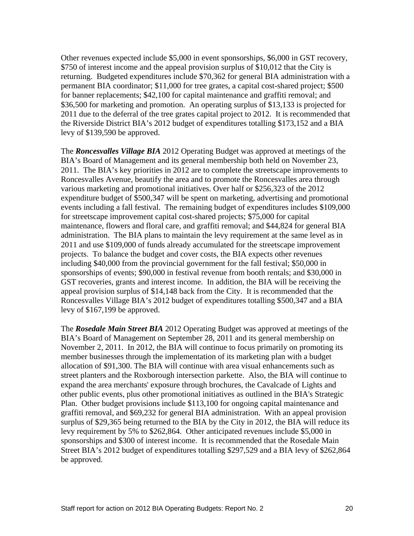Other revenues expected include \$5,000 in event sponsorships, \$6,000 in GST recovery, \$750 of interest income and the appeal provision surplus of \$10,012 that the City is returning. Budgeted expenditures include \$70,362 for general BIA administration with a permanent BIA coordinator; \$11,000 for tree grates, a capital cost-shared project; \$500 for banner replacements; \$42,100 for capital maintenance and graffiti removal; and \$36,500 for marketing and promotion. An operating surplus of \$13,133 is projected for 2011 due to the deferral of the tree grates capital project to 2012. It is recommended that the Riverside District BIA's 2012 budget of expenditures totalling \$173,152 and a BIA levy of \$139,590 be approved.

The *Roncesvalles Village BIA* 2012 Operating Budget was approved at meetings of the BIA's Board of Management and its general membership both held on November 23, 2011. The BIA's key priorities in 2012 are to complete the streetscape improvements to Roncesvalles Avenue, beautify the area and to promote the Roncesvalles area through various marketing and promotional initiatives. Over half or \$256,323 of the 2012 expenditure budget of \$500,347 will be spent on marketing, advertising and promotional events including a fall festival. The remaining budget of expenditures includes \$109,000 for streetscape improvement capital cost-shared projects; \$75,000 for capital maintenance, flowers and floral care, and graffiti removal; and \$44,824 for general BIA administration. The BIA plans to maintain the levy requirement at the same level as in 2011 and use \$109,000 of funds already accumulated for the streetscape improvement projects. To balance the budget and cover costs, the BIA expects other revenues including \$40,000 from the provincial government for the fall festival; \$50,000 in sponsorships of events; \$90,000 in festival revenue from booth rentals; and \$30,000 in GST recoveries, grants and interest income. In addition, the BIA will be receiving the appeal provision surplus of \$14,148 back from the City. It is recommended that the Roncesvalles Village BIA's 2012 budget of expenditures totalling \$500,347 and a BIA levy of \$167,199 be approved.

The *Rosedale Main Street BIA* 2012 Operating Budget was approved at meetings of the BIA's Board of Management on September 28, 2011 and its general membership on November 2, 2011. In 2012, the BIA will continue to focus primarily on promoting its member businesses through the implementation of its marketing plan with a budget allocation of \$91,300. The BIA will continue with area visual enhancements such as street planters and the Roxborough intersection parkette. Also, the BIA will continue to expand the area merchants' exposure through brochures, the Cavalcade of Lights and other public events, plus other promotional initiatives as outlined in the BIA's Strategic Plan. Other budget provisions include \$113,100 for ongoing capital maintenance and graffiti removal, and \$69,232 for general BIA administration. With an appeal provision surplus of \$29,365 being returned to the BIA by the City in 2012, the BIA will reduce its levy requirement by 5% to \$262,864. Other anticipated revenues include \$5,000 in sponsorships and \$300 of interest income. It is recommended that the Rosedale Main Street BIA's 2012 budget of expenditures totalling \$297,529 and a BIA levy of \$262,864 be approved.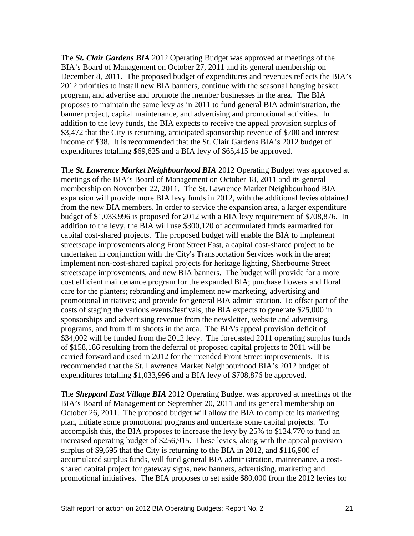The *St. Clair Gardens BIA* 2012 Operating Budget was approved at meetings of the BIA's Board of Management on October 27, 2011 and its general membership on December 8, 2011. The proposed budget of expenditures and revenues reflects the BIA's 2012 priorities to install new BIA banners, continue with the seasonal hanging basket program, and advertise and promote the member businesses in the area. The BIA proposes to maintain the same levy as in 2011 to fund general BIA administration, the banner project, capital maintenance, and advertising and promotional activities. In addition to the levy funds, the BIA expects to receive the appeal provision surplus of \$3,472 that the City is returning, anticipated sponsorship revenue of \$700 and interest income of \$38. It is recommended that the St. Clair Gardens BIA's 2012 budget of expenditures totalling \$69,625 and a BIA levy of \$65,415 be approved.

The *St. Lawrence Market Neighbourhood BIA* 2012 Operating Budget was approved at meetings of the BIA's Board of Management on October 18, 2011 and its general membership on November 22, 2011. The St. Lawrence Market Neighbourhood BIA expansion will provide more BIA levy funds in 2012, with the additional levies obtained from the new BIA members. In order to service the expansion area, a larger expenditure budget of \$1,033,996 is proposed for 2012 with a BIA levy requirement of \$708,876. In addition to the levy, the BIA will use \$300,120 of accumulated funds earmarked for capital cost-shared projects. The proposed budget will enable the BIA to implement streetscape improvements along Front Street East, a capital cost-shared project to be undertaken in conjunction with the City's Transportation Services work in the area; implement non-cost-shared capital projects for heritage lighting, Sherbourne Street streetscape improvements, and new BIA banners. The budget will provide for a more cost efficient maintenance program for the expanded BIA; purchase flowers and floral care for the planters; rebranding and implement new marketing, advertising and promotional initiatives; and provide for general BIA administration. To offset part of the costs of staging the various events/festivals, the BIA expects to generate \$25,000 in sponsorships and advertising revenue from the newsletter, website and advertising programs, and from film shoots in the area. The BIA's appeal provision deficit of \$34,002 will be funded from the 2012 levy. The forecasted 2011 operating surplus funds of \$158,186 resulting from the deferral of proposed capital projects to 2011 will be carried forward and used in 2012 for the intended Front Street improvements. It is recommended that the St. Lawrence Market Neighbourhood BIA's 2012 budget of expenditures totalling \$1,033,996 and a BIA levy of \$708,876 be approved.

The *Sheppard East Village BIA* 2012 Operating Budget was approved at meetings of the BIA's Board of Management on September 20, 2011 and its general membership on October 26, 2011. The proposed budget will allow the BIA to complete its marketing plan, initiate some promotional programs and undertake some capital projects. To accomplish this, the BIA proposes to increase the levy by 25% to \$124,770 to fund an increased operating budget of \$256,915. These levies, along with the appeal provision surplus of \$9,695 that the City is returning to the BIA in 2012, and \$116,900 of accumulated surplus funds, will fund general BIA administration, maintenance, a cost shared capital project for gateway signs, new banners, advertising, marketing and promotional initiatives. The BIA proposes to set aside \$80,000 from the 2012 levies for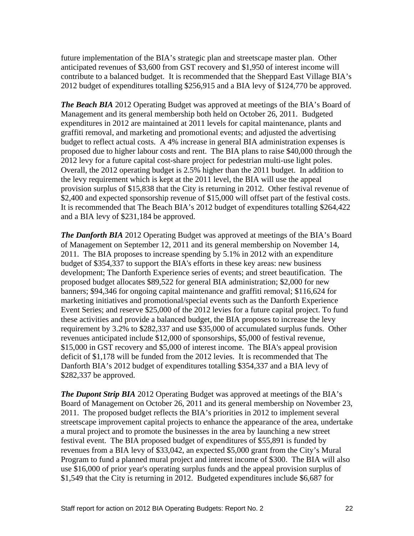future implementation of the BIA's strategic plan and streetscape master plan. Other anticipated revenues of \$3,600 from GST recovery and \$1,950 of interest income will contribute to a balanced budget. It is recommended that the Sheppard East Village BIA's 2012 budget of expenditures totalling \$256,915 and a BIA levy of \$124,770 be approved.

*The Beach BIA* 2012 Operating Budget was approved at meetings of the BIA's Board of Management and its general membership both held on October 26, 2011. Budgeted expenditures in 2012 are maintained at 2011 levels for capital maintenance, plants and graffiti removal, and marketing and promotional events; and adjusted the advertising budget to reflect actual costs. A 4% increase in general BIA administration expenses is proposed due to higher labour costs and rent. The BIA plans to raise \$40,000 through the 2012 levy for a future capital cost-share project for pedestrian multi-use light poles. Overall, the 2012 operating budget is 2.5% higher than the 2011 budget. In addition to the levy requirement which is kept at the 2011 level, the BIA will use the appeal provision surplus of \$15,838 that the City is returning in 2012. Other festival revenue of \$2,400 and expected sponsorship revenue of \$15,000 will offset part of the festival costs. It is recommended that The Beach BIA's 2012 budget of expenditures totalling \$264,422 and a BIA levy of \$231,184 be approved.

*The Danforth BIA* 2012 Operating Budget was approved at meetings of the BIA's Board of Management on September 12, 2011 and its general membership on November 14, 2011. The BIA proposes to increase spending by 5.1% in 2012 with an expenditure budget of \$354,337 to support the BIA's efforts in these key areas: new business development; The Danforth Experience series of events; and street beautification. The proposed budget allocates \$89,522 for general BIA administration; \$2,000 for new banners; \$94,346 for ongoing capital maintenance and graffiti removal; \$116,624 for marketing initiatives and promotional/special events such as the Danforth Experience Event Series; and reserve \$25,000 of the 2012 levies for a future capital project. To fund these activities and provide a balanced budget, the BIA proposes to increase the levy requirement by 3.2% to \$282,337 and use \$35,000 of accumulated surplus funds. Other revenues anticipated include \$12,000 of sponsorships, \$5,000 of festival revenue, \$15,000 in GST recovery and \$5,000 of interest income. The BIA's appeal provision deficit of \$1,178 will be funded from the 2012 levies. It is recommended that The Danforth BIA's 2012 budget of expenditures totalling \$354,337 and a BIA levy of \$282,337 be approved.

*The Dupont Strip BIA* 2012 Operating Budget was approved at meetings of the BIA's Board of Management on October 26, 2011 and its general membership on November 23, 2011. The proposed budget reflects the BIA's priorities in 2012 to implement several streetscape improvement capital projects to enhance the appearance of the area, undertake a mural project and to promote the businesses in the area by launching a new street festival event. The BIA proposed budget of expenditures of \$55,891 is funded by revenues from a BIA levy of \$33,042, an expected \$5,000 grant from the City's Mural Program to fund a planned mural project and interest income of \$300. The BIA will also use \$16,000 of prior year's operating surplus funds and the appeal provision surplus of \$1,549 that the City is returning in 2012. Budgeted expenditures include \$6,687 for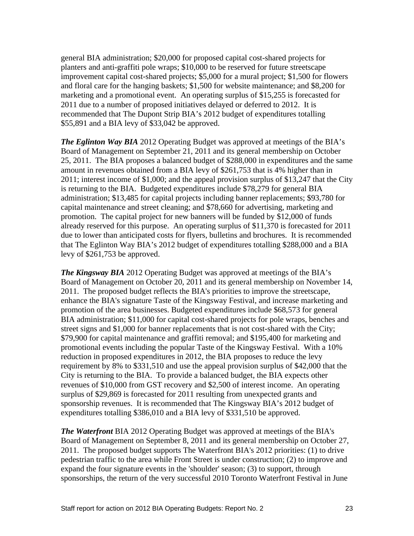general BIA administration; \$20,000 for proposed capital cost-shared projects for planters and anti-graffiti pole wraps; \$10,000 to be reserved for future streetscape improvement capital cost-shared projects; \$5,000 for a mural project; \$1,500 for flowers and floral care for the hanging baskets; \$1,500 for website maintenance; and \$8,200 for marketing and a promotional event. An operating surplus of \$15,255 is forecasted for 2011 due to a number of proposed initiatives delayed or deferred to 2012. It is recommended that The Dupont Strip BIA's 2012 budget of expenditures totalling \$55,891 and a BIA levy of \$33,042 be approved.

*The Eglinton Way BIA* 2012 Operating Budget was approved at meetings of the BIA's Board of Management on September 21, 2011 and its general membership on October 25, 2011. The BIA proposes a balanced budget of \$288,000 in expenditures and the same amount in revenues obtained from a BIA levy of \$261,753 that is 4% higher than in 2011; interest income of \$1,000; and the appeal provision surplus of \$13,247 that the City is returning to the BIA. Budgeted expenditures include \$78,279 for general BIA administration; \$13,485 for capital projects including banner replacements; \$93,780 for capital maintenance and street cleaning; and \$78,660 for advertising, marketing and promotion. The capital project for new banners will be funded by \$12,000 of funds already reserved for this purpose. An operating surplus of \$11,370 is forecasted for 2011 due to lower than anticipated costs for flyers, bulletins and brochures. It is recommended that The Eglinton Way BIA's 2012 budget of expenditures totalling \$288,000 and a BIA levy of \$261,753 be approved.

*The Kingsway BIA* 2012 Operating Budget was approved at meetings of the BIA's Board of Management on October 20, 2011 and its general membership on November 14, 2011. The proposed budget reflects the BIA's priorities to improve the streetscape, enhance the BIA's signature Taste of the Kingsway Festival, and increase marketing and promotion of the area businesses. Budgeted expenditures include \$68,573 for general BIA administration; \$11,000 for capital cost-shared projects for pole wraps, benches and street signs and \$1,000 for banner replacements that is not cost-shared with the City; \$79,900 for capital maintenance and graffiti removal; and \$195,400 for marketing and promotional events including the popular Taste of the Kingsway Festival. With a 10% reduction in proposed expenditures in 2012, the BIA proposes to reduce the levy requirement by 8% to \$331,510 and use the appeal provision surplus of \$42,000 that the City is returning to the BIA. To provide a balanced budget, the BIA expects other revenues of \$10,000 from GST recovery and \$2,500 of interest income. An operating surplus of \$29,869 is forecasted for 2011 resulting from unexpected grants and sponsorship revenues. It is recommended that The Kingsway BIA's 2012 budget of expenditures totalling \$386,010 and a BIA levy of \$331,510 be approved.

*The Waterfront* BIA 2012 Operating Budget was approved at meetings of the BIA's Board of Management on September 8, 2011 and its general membership on October 27, 2011. The proposed budget supports The Waterfront BIA's 2012 priorities: (1) to drive pedestrian traffic to the area while Front Street is under construction; (2) to improve and expand the four signature events in the 'shoulder' season; (3) to support, through sponsorships, the return of the very successful 2010 Toronto Waterfront Festival in June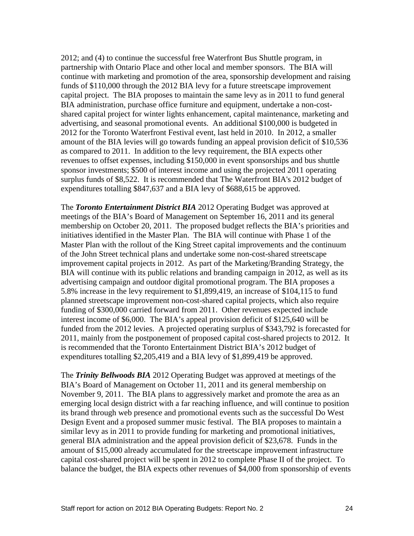2012; and (4) to continue the successful free Waterfront Bus Shuttle program, in partnership with Ontario Place and other local and member sponsors. The BIA will continue with marketing and promotion of the area, sponsorship development and raising funds of \$110,000 through the 2012 BIA levy for a future streetscape improvement capital project. The BIA proposes to maintain the same levy as in 2011 to fund general BIA administration, purchase office furniture and equipment, undertake a non-cost shared capital project for winter lights enhancement, capital maintenance, marketing and advertising, and seasonal promotional events. An additional \$100,000 is budgeted in 2012 for the Toronto Waterfront Festival event, last held in 2010. In 2012, a smaller amount of the BIA levies will go towards funding an appeal provision deficit of \$10,536 as compared to 2011. In addition to the levy requirement, the BIA expects other revenues to offset expenses, including \$150,000 in event sponsorships and bus shuttle sponsor investments; \$500 of interest income and using the projected 2011 operating surplus funds of \$8,522. It is recommended that The Waterfront BIA's 2012 budget of expenditures totalling \$847,637 and a BIA levy of \$688,615 be approved.

The *Toronto Entertainment District BIA* 2012 Operating Budget was approved at meetings of the BIA's Board of Management on September 16, 2011 and its general membership on October 20, 2011. The proposed budget reflects the BIA's priorities and initiatives identified in the Master Plan. The BIA will continue with Phase 1 of the Master Plan with the rollout of the King Street capital improvements and the continuum of the John Street technical plans and undertake some non-cost-shared streetscape improvement capital projects in 2012. As part of the Marketing/Branding Strategy, the BIA will continue with its public relations and branding campaign in 2012, as well as its advertising campaign and outdoor digital promotional program. The BIA proposes a 5.8% increase in the levy requirement to \$1,899,419, an increase of \$104,115 to fund planned streetscape improvement non-cost-shared capital projects, which also require funding of \$300,000 carried forward from 2011. Other revenues expected include interest income of \$6,000. The BIA's appeal provision deficit of \$125,640 will be funded from the 2012 levies. A projected operating surplus of \$343,792 is forecasted for 2011, mainly from the postponement of proposed capital cost-shared projects to 2012. It is recommended that the Toronto Entertainment District BIA's 2012 budget of expenditures totalling \$2,205,419 and a BIA levy of \$1,899,419 be approved.

The *Trinity Bellwoods BIA* 2012 Operating Budget was approved at meetings of the BIA's Board of Management on October 11, 2011 and its general membership on November 9, 2011. The BIA plans to aggressively market and promote the area as an emerging local design district with a far reaching influence, and will continue to position its brand through web presence and promotional events such as the successful Do West Design Event and a proposed summer music festival. The BIA proposes to maintain a similar levy as in 2011 to provide funding for marketing and promotional initiatives, general BIA administration and the appeal provision deficit of \$23,678. Funds in the amount of \$15,000 already accumulated for the streetscape improvement infrastructure capital cost-shared project will be spent in 2012 to complete Phase II of the project. To balance the budget, the BIA expects other revenues of \$4,000 from sponsorship of events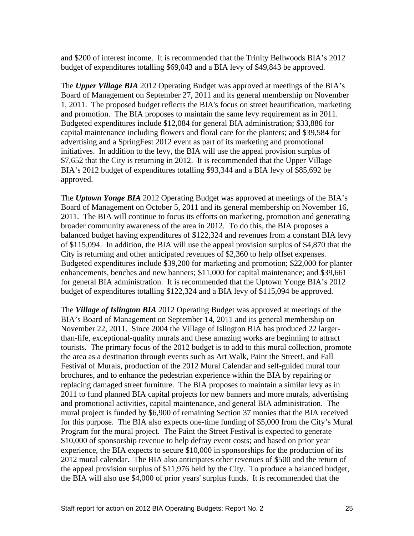and \$200 of interest income. It is recommended that the Trinity Bellwoods BIA's 2012 budget of expenditures totalling \$69,043 and a BIA levy of \$49,843 be approved.

The *Upper Village BIA* 2012 Operating Budget was approved at meetings of the BIA's Board of Management on September 27, 2011 and its general membership on November 1, 2011. The proposed budget reflects the BIA's focus on street beautification, marketing and promotion. The BIA proposes to maintain the same levy requirement as in 2011. Budgeted expenditures include \$12,084 for general BIA administration; \$33,886 for capital maintenance including flowers and floral care for the planters; and \$39,584 for advertising and a SpringFest 2012 event as part of its marketing and promotional initiatives. In addition to the levy, the BIA will use the appeal provision surplus of \$7,652 that the City is returning in 2012. It is recommended that the Upper Village BIA's 2012 budget of expenditures totalling \$93,344 and a BIA levy of \$85,692 be approved.

The *Uptown Yonge BIA* 2012 Operating Budget was approved at meetings of the BIA's Board of Management on October 5, 2011 and its general membership on November 16, 2011. The BIA will continue to focus its efforts on marketing, promotion and generating broader community awareness of the area in 2012. To do this, the BIA proposes a balanced budget having expenditures of \$122,324 and revenues from a constant BIA levy of \$115,094. In addition, the BIA will use the appeal provision surplus of \$4,870 that the City is returning and other anticipated revenues of \$2,360 to help offset expenses. Budgeted expenditures include \$39,200 for marketing and promotion; \$22,000 for planter enhancements, benches and new banners; \$11,000 for capital maintenance; and \$39,661 for general BIA administration. It is recommended that the Uptown Yonge BIA's 2012 budget of expenditures totalling \$122,324 and a BIA levy of \$115,094 be approved.

The *Village of Islington BIA* 2012 Operating Budget was approved at meetings of the BIA's Board of Management on September 14, 2011 and its general membership on November 22, 2011. Since 2004 the Village of Islington BIA has produced 22 largerthan-life, exceptional-quality murals and these amazing works are beginning to attract tourists. The primary focus of the 2012 budget is to add to this mural collection, promote the area as a destination through events such as Art Walk, Paint the Street!, and Fall Festival of Murals, production of the 2012 Mural Calendar and self-guided mural tour brochures, and to enhance the pedestrian experience within the BIA by repairing or replacing damaged street furniture. The BIA proposes to maintain a similar levy as in 2011 to fund planned BIA capital projects for new banners and more murals, advertising and promotional activities, capital maintenance, and general BIA administration. The mural project is funded by \$6,900 of remaining Section 37 monies that the BIA received for this purpose. The BIA also expects one-time funding of \$5,000 from the City's Mural Program for the mural project. The Paint the Street Festival is expected to generate \$10,000 of sponsorship revenue to help defray event costs; and based on prior year experience, the BIA expects to secure \$10,000 in sponsorships for the production of its 2012 mural calendar. The BIA also anticipates other revenues of \$500 and the return of the appeal provision surplus of \$11,976 held by the City. To produce a balanced budget, the BIA will also use \$4,000 of prior years' surplus funds. It is recommended that the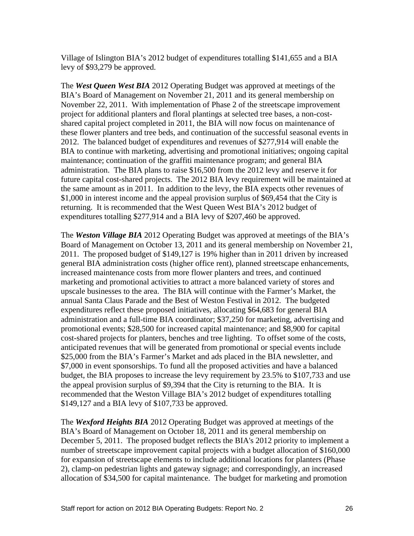Village of Islington BIA's 2012 budget of expenditures totalling \$141,655 and a BIA levy of \$93,279 be approved.

The *West Queen West BIA* 2012 Operating Budget was approved at meetings of the BIA's Board of Management on November 21, 2011 and its general membership on November 22, 2011. With implementation of Phase 2 of the streetscape improvement project for additional planters and floral plantings at selected tree bases, a non-cost shared capital project completed in 2011, the BIA will now focus on maintenance of these flower planters and tree beds, and continuation of the successful seasonal events in 2012. The balanced budget of expenditures and revenues of \$277,914 will enable the BIA to continue with marketing, advertising and promotional initiatives; ongoing capital maintenance; continuation of the graffiti maintenance program; and general BIA administration. The BIA plans to raise \$16,500 from the 2012 levy and reserve it for future capital cost-shared projects. The 2012 BIA levy requirement will be maintained at the same amount as in 2011. In addition to the levy, the BIA expects other revenues of \$1,000 in interest income and the appeal provision surplus of \$69,454 that the City is returning. It is recommended that the West Queen West BIA's 2012 budget of expenditures totalling \$277,914 and a BIA levy of \$207,460 be approved.

The *Weston Village BIA* 2012 Operating Budget was approved at meetings of the BIA's Board of Management on October 13, 2011 and its general membership on November 21, 2011. The proposed budget of \$149,127 is 19% higher than in 2011 driven by increased general BIA administration costs (higher office rent), planned streetscape enhancements, increased maintenance costs from more flower planters and trees, and continued marketing and promotional activities to attract a more balanced variety of stores and upscale businesses to the area. The BIA will continue with the Farmer's Market, the annual Santa Claus Parade and the Best of Weston Festival in 2012. The budgeted expenditures reflect these proposed initiatives, allocating \$64,683 for general BIA administration and a full-time BIA coordinator; \$37,250 for marketing, advertising and promotional events; \$28,500 for increased capital maintenance; and \$8,900 for capital cost-shared projects for planters, benches and tree lighting. To offset some of the costs, anticipated revenues that will be generated from promotional or special events include \$25,000 from the BIA's Farmer's Market and ads placed in the BIA newsletter, and \$7,000 in event sponsorships. To fund all the proposed activities and have a balanced budget, the BIA proposes to increase the levy requirement by 23.5% to \$107,733 and use the appeal provision surplus of \$9,394 that the City is returning to the BIA. It is recommended that the Weston Village BIA's 2012 budget of expenditures totalling \$149,127 and a BIA levy of \$107,733 be approved.

The *Wexford Heights BIA* 2012 Operating Budget was approved at meetings of the BIA's Board of Management on October 18, 2011 and its general membership on December 5, 2011. The proposed budget reflects the BIA's 2012 priority to implement a number of streetscape improvement capital projects with a budget allocation of \$160,000 for expansion of streetscape elements to include additional locations for planters (Phase 2), clamp-on pedestrian lights and gateway signage; and correspondingly, an increased allocation of \$34,500 for capital maintenance. The budget for marketing and promotion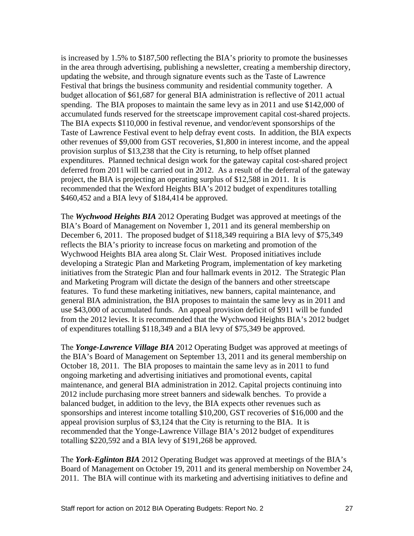is increased by 1.5% to \$187,500 reflecting the BIA's priority to promote the businesses in the area through advertising, publishing a newsletter, creating a membership directory, updating the website, and through signature events such as the Taste of Lawrence Festival that brings the business community and residential community together. A budget allocation of \$61,687 for general BIA administration is reflective of 2011 actual spending. The BIA proposes to maintain the same levy as in 2011 and use \$142,000 of accumulated funds reserved for the streetscape improvement capital cost-shared projects. The BIA expects \$110,000 in festival revenue, and vendor/event sponsorships of the Taste of Lawrence Festival event to help defray event costs. In addition, the BIA expects other revenues of \$9,000 from GST recoveries, \$1,800 in interest income, and the appeal provision surplus of \$13,238 that the City is returning, to help offset planned expenditures. Planned technical design work for the gateway capital cost-shared project deferred from 2011 will be carried out in 2012. As a result of the deferral of the gateway project, the BIA is projecting an operating surplus of \$12,588 in 2011. It is recommended that the Wexford Heights BIA's 2012 budget of expenditures totalling \$460,452 and a BIA levy of \$184,414 be approved.

The *Wychwood Heights BIA* 2012 Operating Budget was approved at meetings of the BIA's Board of Management on November 1, 2011 and its general membership on December 6, 2011. The proposed budget of \$118,349 requiring a BIA levy of \$75,349 reflects the BIA's priority to increase focus on marketing and promotion of the Wychwood Heights BIA area along St. Clair West. Proposed initiatives include developing a Strategic Plan and Marketing Program, implementation of key marketing initiatives from the Strategic Plan and four hallmark events in 2012. The Strategic Plan and Marketing Program will dictate the design of the banners and other streetscape features. To fund these marketing initiatives, new banners, capital maintenance, and general BIA administration, the BIA proposes to maintain the same levy as in 2011 and use \$43,000 of accumulated funds. An appeal provision deficit of \$911 will be funded from the 2012 levies. It is recommended that the Wychwood Heights BIA's 2012 budget of expenditures totalling \$118,349 and a BIA levy of \$75,349 be approved.

The *Yonge-Lawrence Village BIA* 2012 Operating Budget was approved at meetings of the BIA's Board of Management on September 13, 2011 and its general membership on October 18, 2011. The BIA proposes to maintain the same levy as in 2011 to fund ongoing marketing and advertising initiatives and promotional events, capital maintenance, and general BIA administration in 2012. Capital projects continuing into 2012 include purchasing more street banners and sidewalk benches. To provide a balanced budget, in addition to the levy, the BIA expects other revenues such as sponsorships and interest income totalling \$10,200, GST recoveries of \$16,000 and the appeal provision surplus of \$3,124 that the City is returning to the BIA. It is recommended that the Yonge-Lawrence Village BIA's 2012 budget of expenditures totalling \$220,592 and a BIA levy of \$191,268 be approved.

The *York-Eglinton BIA* 2012 Operating Budget was approved at meetings of the BIA's Board of Management on October 19, 2011 and its general membership on November 24, 2011. The BIA will continue with its marketing and advertising initiatives to define and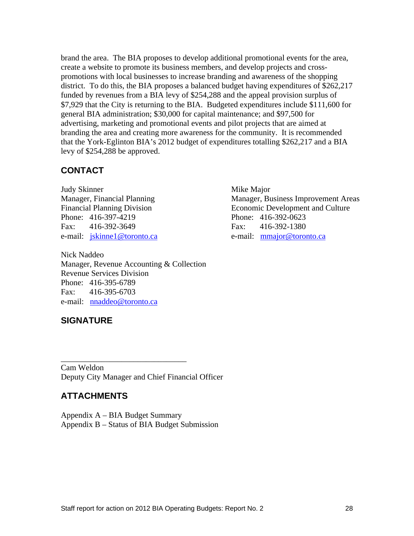brand the area. The BIA proposes to develop additional promotional events for the area, create a website to promote its business members, and develop projects and cross promotions with local businesses to increase branding and awareness of the shopping district. To do this, the BIA proposes a balanced budget having expenditures of \$262,217 funded by revenues from a BIA levy of \$254,288 and the appeal provision surplus of \$7,929 that the City is returning to the BIA. Budgeted expenditures include \$111,600 for general BIA administration; \$30,000 for capital maintenance; and \$97,500 for advertising, marketing and promotional events and pilot projects that are aimed at branding the area and creating more awareness for the community. It is recommended that the York-Eglinton BIA's 2012 budget of expenditures totalling \$262,217 and a BIA levy of \$254,288 be approved.

# **CONTACT**

Nick Naddeo Manager, Revenue Accounting & Collection Revenue Services Division Phone: 416-395-6789 Fax: 416-395-6703 e-mail: nnaddeo@toronto.ca

### Judy Skinner Mike Major Manager, Financial Planning Manager, Business Improvement Areas Financial Planning Division Economic Development and Culture Phone: 416-397-4219 Phone: 416-392-0623 Fax: 416-392-3649 Fax: 416-392-1380 e-mail: jskinnel@toronto.ca e-mail: mmajor@toronto.ca

**SIGNATURE**

Cam Weldon Deputy City Manager and Chief Financial Officer

# **ATTACHMENTS**

Appendix A – BIA Budget Summary Appendix B – Status of BIA Budget Submission

 $\overline{\phantom{a}}$  , we can assume that the contract of  $\overline{\phantom{a}}$  , we can assume that the contract of  $\overline{\phantom{a}}$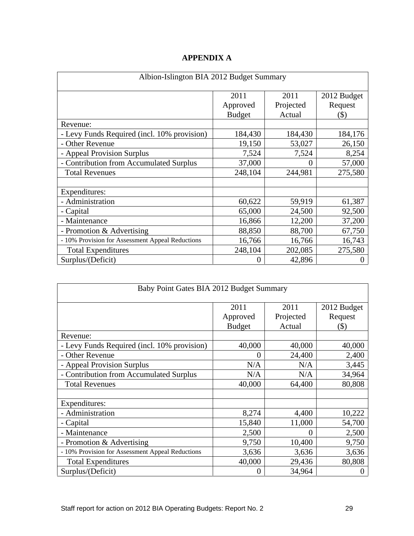| Albion-Islington BIA 2012 Budget Summary       |               |           |             |  |
|------------------------------------------------|---------------|-----------|-------------|--|
|                                                | 2011          | 2011      | 2012 Budget |  |
|                                                | Approved      | Projected | Request     |  |
|                                                | <b>Budget</b> | Actual    | $($ \$)     |  |
| Revenue:                                       |               |           |             |  |
| - Levy Funds Required (incl. 10% provision)    | 184,430       | 184,430   | 184,176     |  |
| - Other Revenue                                | 19,150        | 53,027    | 26,150      |  |
| - Appeal Provision Surplus                     | 7,524         | 7,524     | 8,254       |  |
| - Contribution from Accumulated Surplus        | 37,000        |           | 57,000      |  |
| <b>Total Revenues</b>                          | 248,104       | 244,981   | 275,580     |  |
| Expenditures:                                  |               |           |             |  |
| - Administration                               | 60,622        | 59,919    | 61,387      |  |
| - Capital                                      | 65,000        | 24,500    | 92,500      |  |
| Maintenance                                    | 16,866        | 12,200    | 37,200      |  |
| - Promotion & Advertising                      | 88,850        | 88,700    | 67,750      |  |
| 10% Provision for Assessment Appeal Reductions | 16,766        | 16,766    | 16,743      |  |
| <b>Total Expenditures</b>                      | 248,104       | 202,085   | 275,580     |  |
| Surplus/(Deficit)                              |               | 42,896    |             |  |

### **APPENDIX A**

| Baby Point Gates BIA 2012 Budget Summary         |          |           |             |
|--------------------------------------------------|----------|-----------|-------------|
|                                                  | 2011     | 2011      | 2012 Budget |
|                                                  | Approved | Projected | Request     |
|                                                  | Budget   | Actual    | (S)         |
| Revenue:                                         |          |           |             |
| - Levy Funds Required (incl. 10% provision)      | 40,000   | 40,000    | 40,000      |
| - Other Revenue                                  |          | 24,400    | 2,400       |
| - Appeal Provision Surplus                       | N/A      | N/A       | 3,445       |
| - Contribution from Accumulated Surplus          | N/A      | N/A       | 34,964      |
| <b>Total Revenues</b>                            | 40,000   | 64,400    | 80,808      |
|                                                  |          |           |             |
| Expenditures:                                    |          |           |             |
| - Administration                                 | 8,274    | 4,400     | 10,222      |
| - Capital                                        | 15,840   | 11,000    | 54,700      |
| - Maintenance                                    | 2,500    |           | 2,500       |
| - Promotion & Advertising                        | 9,750    | 10,400    | 9,750       |
| - 10% Provision for Assessment Appeal Reductions | 3,636    | 3,636     | 3,636       |
| <b>Total Expenditures</b>                        | 40,000   | 29,436    | 80,808      |
| Surplus/(Deficit)                                |          | 34,964    |             |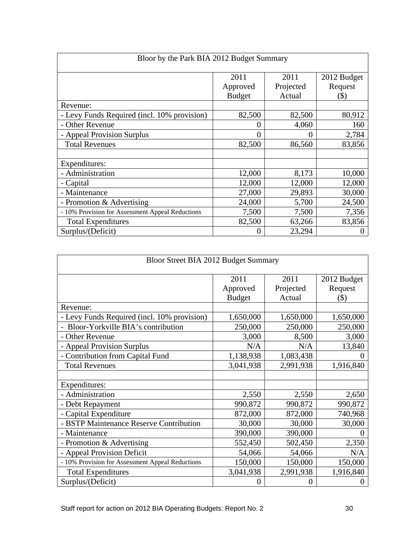| Bloor by the Park BIA 2012 Budget Summary      |               |           |             |
|------------------------------------------------|---------------|-----------|-------------|
|                                                | 2011          | 2011      | 2012 Budget |
|                                                | Approved      | Projected | Request     |
|                                                | <b>Budget</b> | Actual    | $($ \$)     |
| Revenue:                                       |               |           |             |
| Levy Funds Required (incl. 10% provision)      | 82,500        | 82,500    | 80,912      |
| - Other Revenue                                |               | 4,060     | 160         |
| - Appeal Provision Surplus                     |               |           | 2,784       |
| <b>Total Revenues</b>                          | 82,500        | 86,560    | 83,856      |
| Expenditures:                                  |               |           |             |
| - Administration                               | 12,000        | 8,173     | 10,000      |
| - Capital                                      | 12,000        | 12,000    | 12,000      |
| - Maintenance                                  | 27,000        | 29,893    | 30,000      |
| - Promotion & Advertising                      | 24,000        | 5,700     | 24,500      |
| 10% Provision for Assessment Appeal Reductions | 7,500         | 7,500     | 7,356       |
| <b>Total Expenditures</b>                      | 82,500        | 63,266    | 83,856      |
| Surplus/(Deficit)                              |               | 23,294    |             |

| Bloor Street BIA 2012 Budget Summary             |                           |                     |                |
|--------------------------------------------------|---------------------------|---------------------|----------------|
|                                                  |                           |                     |                |
|                                                  | 2011                      | 2011                | 2012 Budget    |
|                                                  | Approved<br><b>Budget</b> | Projected<br>Actual | Request<br>(S) |
| Revenue:                                         |                           |                     |                |
| - Levy Funds Required (incl. 10% provision)      | 1,650,000                 | 1,650,000           | 1,650,000      |
| - Bloor-Yorkville BIA's contribution             | 250,000                   | 250,000             | 250,000        |
| - Other Revenue                                  | 3,000                     | 8,500               | 3,000          |
| - Appeal Provision Surplus                       | N/A                       | N/A                 | 13,840         |
| - Contribution from Capital Fund                 | 1,138,938                 | 1,083,438           |                |
| <b>Total Revenues</b>                            | 3,041,938                 | 2,991,938           | 1,916,840      |
|                                                  |                           |                     |                |
| Expenditures:                                    |                           |                     |                |
| - Administration                                 | 2,550                     | 2,550               | 2,650          |
| - Debt Repayment                                 | 990,872                   | 990,872             | 990,872        |
| - Capital Expenditure                            | 872,000                   | 872,000             | 740,968        |
| - BSTP Maintenance Reserve Contribution          | 30,000                    | 30,000              | 30,000         |
| - Maintenance                                    | 390,000                   | 390,000             |                |
| - Promotion & Advertising                        | 552,450                   | 502,450             | 2,350          |
| - Appeal Provision Deficit                       | 54,066                    | 54,066              | N/A            |
| - 10% Provision for Assessment Appeal Reductions | 150,000                   | 150,000             | 150,000        |
| <b>Total Expenditures</b>                        | 3,041,938                 | 2,991,938           | 1,916,840      |
| Surplus/(Deficit)                                |                           |                     |                |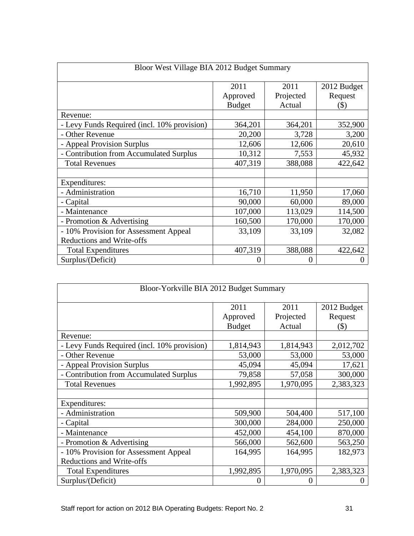|                                             | Bloor West Village BIA 2012 Budget Summary |                   |                        |  |  |
|---------------------------------------------|--------------------------------------------|-------------------|------------------------|--|--|
|                                             | 2011<br>Approved                           | 2011<br>Projected | 2012 Budget<br>Request |  |  |
|                                             | <b>Budget</b>                              | Actual            | (S)                    |  |  |
| Revenue:                                    |                                            |                   |                        |  |  |
| - Levy Funds Required (incl. 10% provision) | 364,201                                    | 364,201           | 352,900                |  |  |
| - Other Revenue                             | 20,200                                     | 3,728             | 3,200                  |  |  |
| - Appeal Provision Surplus                  | 12,606                                     | 12,606            | 20,610                 |  |  |
| - Contribution from Accumulated Surplus     | 10,312                                     | 7,553             | 45,932                 |  |  |
| <b>Total Revenues</b>                       | 407,319                                    | 388,088           | 422,642                |  |  |
| Expenditures:                               |                                            |                   |                        |  |  |
| - Administration                            | 16,710                                     | 11,950            | 17,060                 |  |  |
| - Capital                                   | 90,000                                     | 60,000            | 89,000                 |  |  |
| - Maintenance                               | 107,000                                    | 113,029           | 114,500                |  |  |
| - Promotion & Advertising                   | 160,500                                    | 170,000           | 170,000                |  |  |
| - 10% Provision for Assessment Appeal       | 33,109                                     | 33,109            | 32,082                 |  |  |
| Reductions and Write-offs                   |                                            |                   |                        |  |  |
| <b>Total Expenditures</b>                   | 407,319                                    | 388,088           | 422,642                |  |  |
| Surplus/(Deficit)                           |                                            |                   |                        |  |  |

| Bloor-Yorkville BIA 2012 Budget Summary     |                  |                   |                        |  |
|---------------------------------------------|------------------|-------------------|------------------------|--|
|                                             | 2011<br>Approved | 2011<br>Projected | 2012 Budget<br>Request |  |
|                                             | Budget           | Actual            | $($ \$)                |  |
| Revenue:                                    |                  |                   |                        |  |
| - Levy Funds Required (incl. 10% provision) | 1,814,943        | 1,814,943         | 2,012,702              |  |
| - Other Revenue                             | 53,000           | 53,000            | 53,000                 |  |
| - Appeal Provision Surplus                  | 45,094           | 45,094            | 17,621                 |  |
| - Contribution from Accumulated Surplus     | 79,858           | 57,058            | 300,000                |  |
| <b>Total Revenues</b>                       | 1,992,895        | 1,970,095         | 2,383,323              |  |
| Expenditures:                               |                  |                   |                        |  |
| - Administration                            | 509,900          | 504,400           | 517,100                |  |
| - Capital                                   | 300,000          | 284,000           | 250,000                |  |
| - Maintenance                               | 452,000          | 454,100           | 870,000                |  |
| - Promotion & Advertising                   | 566,000          | 562,600           | 563,250                |  |
| - 10% Provision for Assessment Appeal       | 164,995          | 164,995           | 182,973                |  |
| <b>Reductions and Write-offs</b>            |                  |                   |                        |  |
| <b>Total Expenditures</b>                   | 1,992,895        | 1,970,095         | 2,383,323              |  |
| Surplus/(Deficit)                           |                  |                   |                        |  |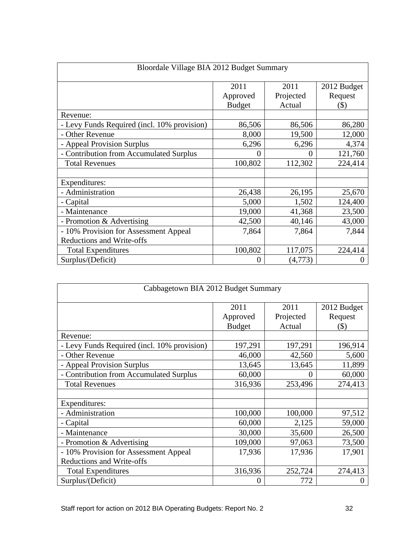| Bloordale Village BIA 2012 Budget Summary   |                  |                   |                        |  |
|---------------------------------------------|------------------|-------------------|------------------------|--|
|                                             | 2011<br>Approved | 2011<br>Projected | 2012 Budget<br>Request |  |
|                                             | <b>Budget</b>    | Actual            | (S)                    |  |
| Revenue:                                    |                  |                   |                        |  |
| - Levy Funds Required (incl. 10% provision) | 86,506           | 86,506            | 86,280                 |  |
| - Other Revenue                             | 8,000            | 19,500            | 12,000                 |  |
| - Appeal Provision Surplus                  | 6,296            | 6,296             | 4,374                  |  |
| - Contribution from Accumulated Surplus     |                  |                   | 121,760                |  |
| <b>Total Revenues</b>                       | 100,802          | 112,302           | 224,414                |  |
|                                             |                  |                   |                        |  |
| Expenditures:                               |                  |                   |                        |  |
| - Administration                            | 26,438           | 26,195            | 25,670                 |  |
| - Capital                                   | 5,000            | 1,502             | 124,400                |  |
| - Maintenance                               | 19,000           | 41,368            | 23,500                 |  |
| - Promotion & Advertising                   | 42,500           | 40,146            | 43,000                 |  |
| - 10% Provision for Assessment Appeal       | 7,864            | 7,864             | 7,844                  |  |
| Reductions and Write-offs                   |                  |                   |                        |  |
| <b>Total Expenditures</b>                   | 100,802          | 117,075           | 224,414                |  |
| Surplus/(Deficit)                           |                  | (4,773)           |                        |  |

| Cabbagetown BIA 2012 Budget Summary         |                  |                   |                        |  |  |
|---------------------------------------------|------------------|-------------------|------------------------|--|--|
|                                             | 2011<br>Approved | 2011<br>Projected | 2012 Budget<br>Request |  |  |
|                                             | Budget           | Actual            | $($ \$)                |  |  |
| Revenue:                                    |                  |                   |                        |  |  |
| - Levy Funds Required (incl. 10% provision) | 197,291          | 197,291           | 196,914                |  |  |
| - Other Revenue                             | 46,000           | 42,560            | 5,600                  |  |  |
| - Appeal Provision Surplus                  | 13,645           | 13,645            | 11,899                 |  |  |
| - Contribution from Accumulated Surplus     | 60,000           | $\Omega$          | 60,000                 |  |  |
| <b>Total Revenues</b>                       | 316,936          | 253,496           | 274,413                |  |  |
| Expenditures:                               |                  |                   |                        |  |  |
| - Administration                            | 100,000          | 100,000           | 97,512                 |  |  |
| - Capital                                   | 60,000           | 2,125             | 59,000                 |  |  |
| - Maintenance                               | 30,000           | 35,600            | 26,500                 |  |  |
| - Promotion & Advertising                   | 109,000          | 97,063            | 73,500                 |  |  |
| - 10% Provision for Assessment Appeal       | 17,936           | 17,936            | 17,901                 |  |  |
| Reductions and Write-offs                   |                  |                   |                        |  |  |
| <b>Total Expenditures</b>                   | 316,936          | 252,724           | 274,413                |  |  |
| Surplus/(Deficit)                           |                  | 772               |                        |  |  |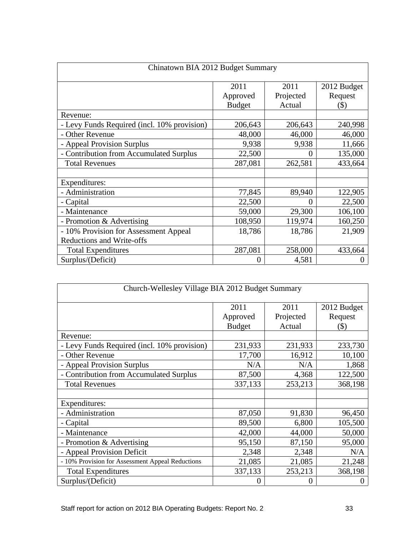| Chinatown BIA 2012 Budget Summary           |                  |                   |                        |  |  |
|---------------------------------------------|------------------|-------------------|------------------------|--|--|
|                                             | 2011<br>Approved | 2011<br>Projected | 2012 Budget<br>Request |  |  |
|                                             | <b>Budget</b>    | Actual            | $($ \$)                |  |  |
| Revenue:                                    |                  |                   |                        |  |  |
| - Levy Funds Required (incl. 10% provision) | 206,643          | 206,643           | 240,998                |  |  |
| - Other Revenue                             | 48,000           | 46,000            | 46,000                 |  |  |
| - Appeal Provision Surplus                  | 9,938            | 9,938             | 11,666                 |  |  |
| - Contribution from Accumulated Surplus     | 22,500           | $\Omega$          | 135,000                |  |  |
| <b>Total Revenues</b>                       | 287,081          | 262,581           | 433,664                |  |  |
| Expenditures:                               |                  |                   |                        |  |  |
| - Administration                            | 77,845           | 89,940            | 122,905                |  |  |
| - Capital                                   | 22,500           | $\Omega$          | 22,500                 |  |  |
| Maintenance                                 | 59,000           | 29,300            | 106,100                |  |  |
| - Promotion & Advertising                   | 108,950          | 119,974           | 160,250                |  |  |
| - 10% Provision for Assessment Appeal       | 18,786           | 18,786            | 21,909                 |  |  |
| <b>Reductions and Write-offs</b>            |                  |                   |                        |  |  |
| <b>Total Expenditures</b>                   | 287,081          | 258,000           | 433,664                |  |  |
| Surplus/(Deficit)                           |                  | 4,581             |                        |  |  |

|                                                  | Church-Wellesley Village BIA 2012 Budget Summary |                             |                                   |
|--------------------------------------------------|--------------------------------------------------|-----------------------------|-----------------------------------|
|                                                  | 2011<br>Approved<br><b>Budget</b>                | 2011<br>Projected<br>Actual | 2012 Budget<br>Request<br>$($ \$) |
| Revenue:                                         |                                                  |                             |                                   |
| - Levy Funds Required (incl. 10% provision)      | 231,933                                          | 231,933                     | 233,730                           |
| - Other Revenue                                  | 17,700                                           | 16,912                      | 10,100                            |
| - Appeal Provision Surplus                       | N/A                                              | N/A                         | 1,868                             |
| - Contribution from Accumulated Surplus          | 87,500                                           | 4,368                       | 122,500                           |
| <b>Total Revenues</b>                            | 337,133                                          | 253,213                     | 368,198                           |
| Expenditures:                                    |                                                  |                             |                                   |
| - Administration                                 | 87,050                                           | 91,830                      | 96,450                            |
| - Capital                                        | 89,500                                           | 6,800                       | 105,500                           |
| - Maintenance                                    | 42,000                                           | 44,000                      | 50,000                            |
| - Promotion & Advertising                        | 95,150                                           | 87,150                      | 95,000                            |
| - Appeal Provision Deficit                       | 2,348                                            | 2,348                       | N/A                               |
| - 10% Provision for Assessment Appeal Reductions | 21,085                                           | 21,085                      | 21,248                            |
| <b>Total Expenditures</b>                        | 337,133                                          | 253,213                     | 368,198                           |
| Surplus/(Deficit)                                |                                                  |                             |                                   |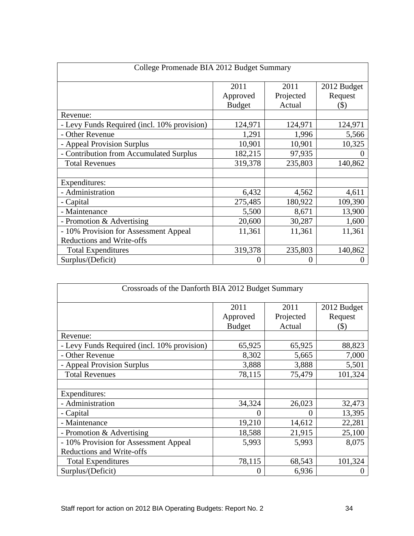| College Promenade BIA 2012 Budget Summary   |                  |                   |                        |  |
|---------------------------------------------|------------------|-------------------|------------------------|--|
|                                             | 2011<br>Approved | 2011<br>Projected | 2012 Budget<br>Request |  |
|                                             | <b>Budget</b>    | Actual            | $($ \$)                |  |
| Revenue:                                    |                  |                   |                        |  |
| - Levy Funds Required (incl. 10% provision) | 124,971          | 124,971           | 124,971                |  |
| - Other Revenue                             | 1,291            | 1,996             | 5,566                  |  |
| - Appeal Provision Surplus                  | 10,901           | 10,901            | 10,325                 |  |
| - Contribution from Accumulated Surplus     | 182,215          | 97,935            |                        |  |
| <b>Total Revenues</b>                       | 319,378          | 235,803           | 140,862                |  |
| Expenditures:                               |                  |                   |                        |  |
| - Administration                            | 6,432            | 4,562             | 4,611                  |  |
| - Capital                                   | 275,485          | 180,922           | 109,390                |  |
| - Maintenance                               | 5,500            | 8,671             | 13,900                 |  |
| - Promotion & Advertising                   | 20,600           | 30,287            | 1,600                  |  |
| - 10% Provision for Assessment Appeal       | 11,361           | 11,361            | 11,361                 |  |
| Reductions and Write-offs                   |                  |                   |                        |  |
| <b>Total Expenditures</b>                   | 319,378          | 235,803           | 140,862                |  |
| Surplus/(Deficit)                           |                  |                   |                        |  |

| Crossroads of the Danforth BIA 2012 Budget Summary |               |           |             |  |  |
|----------------------------------------------------|---------------|-----------|-------------|--|--|
|                                                    | 2011          | 2011      | 2012 Budget |  |  |
|                                                    | Approved      | Projected | Request     |  |  |
|                                                    | <b>Budget</b> | Actual    | $($ \$)     |  |  |
| Revenue:                                           |               |           |             |  |  |
| - Levy Funds Required (incl. 10% provision)        | 65,925        | 65,925    | 88,823      |  |  |
| - Other Revenue                                    | 8,302         | 5,665     | 7,000       |  |  |
| - Appeal Provision Surplus                         | 3,888         | 3,888     | 5,501       |  |  |
| <b>Total Revenues</b>                              | 78,115        | 75,479    | 101,324     |  |  |
|                                                    |               |           |             |  |  |
| Expenditures:                                      |               |           |             |  |  |
| - Administration                                   | 34,324        | 26,023    | 32,473      |  |  |
| - Capital                                          |               |           | 13,395      |  |  |
| - Maintenance                                      | 19,210        | 14,612    | 22,281      |  |  |
| - Promotion & Advertising                          | 18,588        | 21,915    | 25,100      |  |  |
| - 10% Provision for Assessment Appeal              | 5,993         | 5,993     | 8,075       |  |  |
| <b>Reductions and Write-offs</b>                   |               |           |             |  |  |
| <b>Total Expenditures</b>                          | 78,115        | 68,543    | 101,324     |  |  |
| Surplus/(Deficit)                                  |               | 6,936     |             |  |  |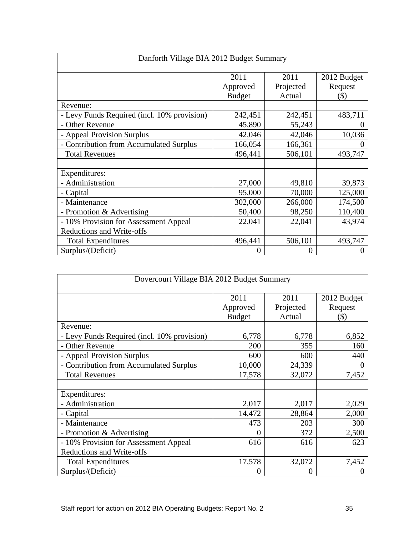| Danforth Village BIA 2012 Budget Summary                      |                  |                   |                        |  |
|---------------------------------------------------------------|------------------|-------------------|------------------------|--|
|                                                               | 2011<br>Approved | 2011<br>Projected | 2012 Budget<br>Request |  |
|                                                               | <b>Budget</b>    | Actual            | (S)                    |  |
| Revenue:                                                      |                  |                   |                        |  |
| - Levy Funds Required (incl. 10% provision)                   | 242,451          | 242,451           | 483,711                |  |
| - Other Revenue                                               | 45,890           | 55,243            |                        |  |
| - Appeal Provision Surplus                                    | 42,046           | 42,046            | 10,036                 |  |
| - Contribution from Accumulated Surplus                       | 166,054          | 166,361           |                        |  |
| <b>Total Revenues</b>                                         | 496,441          | 506,101           | 493,747                |  |
| Expenditures:                                                 |                  |                   |                        |  |
| - Administration                                              | 27,000           | 49,810            | 39,873                 |  |
| - Capital                                                     | 95,000           | 70,000            | 125,000                |  |
| - Maintenance                                                 | 302,000          | 266,000           | 174,500                |  |
| - Promotion & Advertising                                     | 50,400           | 98,250            | 110,400                |  |
| - 10% Provision for Assessment Appeal                         | 22,041           | 22,041            | 43,974                 |  |
| <b>Reductions and Write-offs</b><br><b>Total Expenditures</b> | 496,441          | 506,101           | 493,747                |  |
| Surplus/(Deficit)                                             |                  | $\left($          |                        |  |

| Dovercourt Village BIA 2012 Budget Summary  |          |           |             |  |
|---------------------------------------------|----------|-----------|-------------|--|
|                                             | 2011     | 2011      | 2012 Budget |  |
|                                             | Approved | Projected | Request     |  |
|                                             | Budget   | Actual    | $($ \$)     |  |
| Revenue:                                    |          |           |             |  |
| - Levy Funds Required (incl. 10% provision) | 6,778    | 6,778     | 6,852       |  |
| - Other Revenue                             | 200      | 355       | 160         |  |
| - Appeal Provision Surplus                  | 600      | 600       | 440         |  |
| - Contribution from Accumulated Surplus     | 10,000   | 24,339    |             |  |
| <b>Total Revenues</b>                       | 17,578   | 32,072    | 7,452       |  |
|                                             |          |           |             |  |
| Expenditures:                               |          |           |             |  |
| - Administration                            | 2,017    | 2,017     | 2,029       |  |
| - Capital                                   | 14,472   | 28,864    | 2,000       |  |
| Maintenance                                 | 473      | 203       | 300         |  |
| - Promotion & Advertising                   |          | 372       | 2,500       |  |
| - 10% Provision for Assessment Appeal       | 616      | 616       | 623         |  |
| <b>Reductions and Write-offs</b>            |          |           |             |  |
| <b>Total Expenditures</b>                   | 17,578   | 32,072    | 7,452       |  |
| Surplus/(Deficit)                           |          | $\Omega$  |             |  |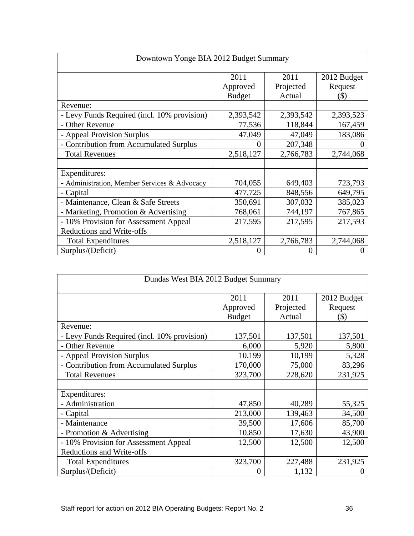| Downtown Yonge BIA 2012 Budget Summary      |                           |                   |                        |  |
|---------------------------------------------|---------------------------|-------------------|------------------------|--|
|                                             | 2011                      | 2011<br>Projected | 2012 Budget<br>Request |  |
|                                             | Approved<br><b>Budget</b> | Actual            | (S)                    |  |
| Revenue:                                    |                           |                   |                        |  |
| - Levy Funds Required (incl. 10% provision) | 2,393,542                 | 2,393,542         | 2,393,523              |  |
| - Other Revenue                             | 77,536                    | 118,844           | 167,459                |  |
| - Appeal Provision Surplus                  | 47,049                    | 47,049            | 183,086                |  |
| - Contribution from Accumulated Surplus     |                           | 207,348           |                        |  |
| <b>Total Revenues</b>                       | 2,518,127                 | 2,766,783         | 2,744,068              |  |
| Expenditures:                               |                           |                   |                        |  |
| Administration, Member Services & Advocacy  | 704,055                   | 649,403           | 723,793                |  |
| - Capital                                   | 477,725                   | 848,556           | 649,795                |  |
| Maintenance, Clean & Safe Streets           | 350,691                   | 307,032           | 385,023                |  |
| - Marketing, Promotion & Advertising        | 768,061                   | 744,197           | 767,865                |  |
| - 10% Provision for Assessment Appeal       | 217,595                   | 217,595           | 217,593                |  |
| Reductions and Write-offs                   |                           |                   |                        |  |
| <b>Total Expenditures</b>                   | 2,518,127                 | 2,766,783         | 2,744,068              |  |
| Surplus/(Deficit)                           |                           |                   |                        |  |

| Dundas West BIA 2012 Budget Summary         |               |           |             |  |  |
|---------------------------------------------|---------------|-----------|-------------|--|--|
|                                             | 2011          | 2011      | 2012 Budget |  |  |
|                                             | Approved      | Projected | Request     |  |  |
|                                             | <b>Budget</b> | Actual    | $($ \$)     |  |  |
| Revenue:                                    |               |           |             |  |  |
| - Levy Funds Required (incl. 10% provision) | 137,501       | 137,501   | 137,501     |  |  |
| - Other Revenue                             | 6,000         | 5,920     | 5,800       |  |  |
| - Appeal Provision Surplus                  | 10,199        | 10,199    | 5,328       |  |  |
| - Contribution from Accumulated Surplus     | 170,000       | 75,000    | 83,296      |  |  |
| <b>Total Revenues</b>                       | 323,700       | 228,620   | 231,925     |  |  |
|                                             |               |           |             |  |  |
| Expenditures:                               |               |           |             |  |  |
| - Administration                            | 47,850        | 40,289    | 55,325      |  |  |
| - Capital                                   | 213,000       | 139,463   | 34,500      |  |  |
| Maintenance                                 | 39,500        | 17,606    | 85,700      |  |  |
| - Promotion & Advertising                   | 10,850        | 17,630    | 43,900      |  |  |
| - 10% Provision for Assessment Appeal       | 12,500        | 12,500    | 12,500      |  |  |
| Reductions and Write-offs                   |               |           |             |  |  |
| <b>Total Expenditures</b>                   | 323,700       | 227,488   | 231,925     |  |  |
| Surplus/(Deficit)                           |               | 1,132     |             |  |  |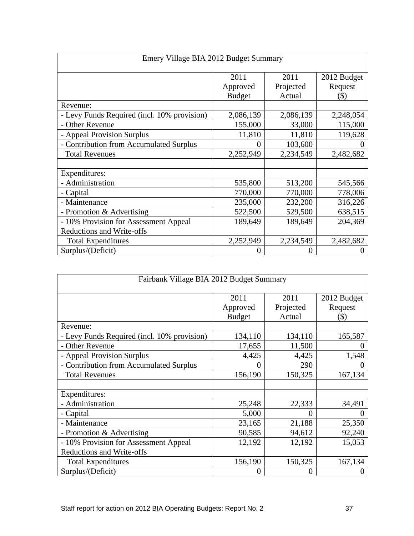| Emery Village BIA 2012 Budget Summary       |                           |                     |                |  |
|---------------------------------------------|---------------------------|---------------------|----------------|--|
|                                             | 2011                      | 2011                | 2012 Budget    |  |
|                                             | Approved<br><b>Budget</b> | Projected<br>Actual | Request<br>(S) |  |
| Revenue:                                    |                           |                     |                |  |
| - Levy Funds Required (incl. 10% provision) | 2,086,139                 | 2,086,139           | 2,248,054      |  |
| - Other Revenue                             | 155,000                   | 33,000              | 115,000        |  |
| - Appeal Provision Surplus                  | 11,810                    | 11,810              | 119,628        |  |
| - Contribution from Accumulated Surplus     |                           | 103,600             |                |  |
| <b>Total Revenues</b>                       | 2,252,949                 | 2,234,549           | 2,482,682      |  |
| Expenditures:                               |                           |                     |                |  |
| - Administration                            | 535,800                   | 513,200             | 545,566        |  |
| - Capital                                   | 770,000                   | 770,000             | 778,006        |  |
| - Maintenance                               | 235,000                   | 232,200             | 316,226        |  |
| - Promotion & Advertising                   | 522,500                   | 529,500             | 638,515        |  |
| - 10% Provision for Assessment Appeal       | 189,649                   | 189,649             | 204,369        |  |
| Reductions and Write-offs                   |                           |                     |                |  |
| <b>Total Expenditures</b>                   | 2,252,949                 | 2,234,549           | 2,482,682      |  |
| Surplus/(Deficit)                           |                           |                     |                |  |

| Fairbank Village BIA 2012 Budget Summary    |                           |                     |                    |
|---------------------------------------------|---------------------------|---------------------|--------------------|
|                                             | 2011                      | 2011                | 2012 Budget        |
|                                             | Approved<br><b>Budget</b> | Projected<br>Actual | Request<br>$($ \$) |
| Revenue:                                    |                           |                     |                    |
| - Levy Funds Required (incl. 10% provision) | 134,110                   | 134,110             | 165,587            |
| - Other Revenue                             | 17,655                    | 11,500              |                    |
| - Appeal Provision Surplus                  | 4,425                     | 4,425               | 1,548              |
| - Contribution from Accumulated Surplus     |                           | 290                 |                    |
| <b>Total Revenues</b>                       | 156,190                   | 150,325             | 167,134            |
|                                             |                           |                     |                    |
| Expenditures:                               |                           |                     |                    |
| - Administration                            | 25,248                    | 22,333              | 34,491             |
| - Capital                                   | 5,000                     |                     |                    |
| - Maintenance                               | 23,165                    | 21,188              | 25,350             |
| - Promotion & Advertising                   | 90,585                    | 94,612              | 92,240             |
| - 10% Provision for Assessment Appeal       | 12,192                    | 12,192              | 15,053             |
| Reductions and Write-offs                   |                           |                     |                    |
| <b>Total Expenditures</b>                   | 156,190                   | 150,325             | 167,134            |
| Surplus/(Deficit)                           |                           |                     |                    |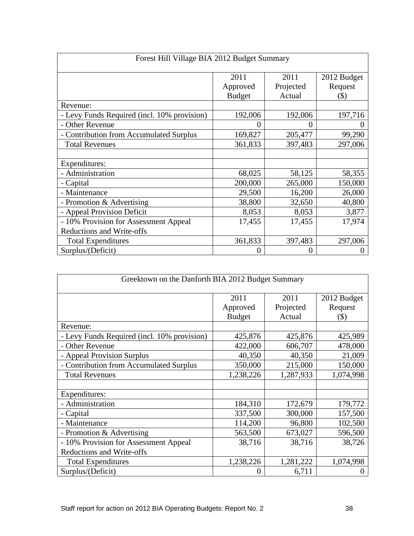| Forest Hill Village BIA 2012 Budget Summary |                           |                     |                |  |
|---------------------------------------------|---------------------------|---------------------|----------------|--|
|                                             | 2011                      | 2011                | 2012 Budget    |  |
|                                             | Approved<br><b>Budget</b> | Projected<br>Actual | Request<br>(S) |  |
| Revenue:                                    |                           |                     |                |  |
| - Levy Funds Required (incl. 10% provision) | 192,006                   | 192,006             | 197,716        |  |
| - Other Revenue                             |                           |                     |                |  |
| - Contribution from Accumulated Surplus     | 169,827                   | 205,477             | 99,290         |  |
| <b>Total Revenues</b>                       | 361,833                   | 397,483             | 297,006        |  |
| Expenditures:                               |                           |                     |                |  |
| - Administration                            | 68,025                    | 58,125              | 58,355         |  |
| - Capital                                   | 200,000                   | 265,000             | 150,000        |  |
| - Maintenance                               | 29,500                    | 16,200              | 26,000         |  |
| - Promotion & Advertising                   | 38,800                    | 32,650              | 40,800         |  |
| - Appeal Provision Deficit                  | 8,053                     | 8,053               | 3,877          |  |
| - 10% Provision for Assessment Appeal       | 17,455                    | 17,455              | 17,974         |  |
| Reductions and Write-offs                   |                           |                     |                |  |
| <b>Total Expenditures</b>                   | 361,833                   | 397,483             | 297,006        |  |
| Surplus/(Deficit)                           |                           |                     |                |  |

| Greektown on the Danforth BIA 2012 Budget Summary |               |           |             |  |  |
|---------------------------------------------------|---------------|-----------|-------------|--|--|
|                                                   | 2011          | 2011      | 2012 Budget |  |  |
|                                                   | Approved      | Projected | Request     |  |  |
|                                                   | <b>Budget</b> | Actual    | (S)         |  |  |
| Revenue:                                          |               |           |             |  |  |
| - Levy Funds Required (incl. 10% provision)       | 425,876       | 425,876   | 425,989     |  |  |
| - Other Revenue                                   | 422,000       | 606,707   | 478,000     |  |  |
| - Appeal Provision Surplus                        | 40,350        | 40,350    | 21,009      |  |  |
| - Contribution from Accumulated Surplus           | 350,000       | 215,000   | 150,000     |  |  |
| <b>Total Revenues</b>                             | 1,238,226     | 1,287,933 | 1,074,998   |  |  |
|                                                   |               |           |             |  |  |
| Expenditures:                                     |               |           |             |  |  |
| - Administration                                  | 184,310       | 172,679   | 179,772     |  |  |
| - Capital                                         | 337,500       | 300,000   | 157,500     |  |  |
| Maintenance                                       | 114,200       | 96,800    | 102,500     |  |  |
| - Promotion & Advertising                         | 563,500       | 673,027   | 596,500     |  |  |
| - 10% Provision for Assessment Appeal             | 38,716        | 38,716    | 38,726      |  |  |
| Reductions and Write-offs                         |               |           |             |  |  |
| <b>Total Expenditures</b>                         | 1,238,226     | 1,281,222 | 1,074,998   |  |  |
| Surplus/(Deficit)                                 |               | 6,711     |             |  |  |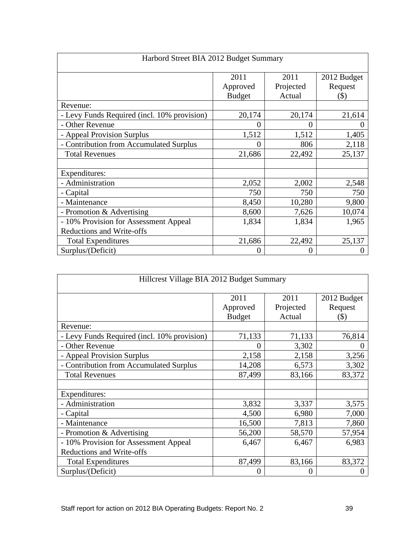| Harbord Street BIA 2012 Budget Summary                             |                                   |                             |                                   |
|--------------------------------------------------------------------|-----------------------------------|-----------------------------|-----------------------------------|
|                                                                    | 2011<br>Approved<br><b>Budget</b> | 2011<br>Projected<br>Actual | 2012 Budget<br>Request<br>$($ \$) |
| Revenue:                                                           |                                   |                             |                                   |
| - Levy Funds Required (incl. 10% provision)                        | 20,174                            | 20,174                      | 21,614                            |
| - Other Revenue                                                    |                                   |                             |                                   |
| - Appeal Provision Surplus                                         | 1,512                             | 1,512                       | 1,405                             |
| - Contribution from Accumulated Surplus                            |                                   | 806                         | 2,118                             |
| <b>Total Revenues</b>                                              | 21,686                            | 22,492                      | 25,137                            |
| Expenditures:                                                      |                                   |                             |                                   |
| - Administration                                                   | 2,052                             | 2,002                       | 2,548                             |
| - Capital                                                          | 750                               | 750                         | 750                               |
| - Maintenance                                                      | 8,450                             | 10,280                      | 9,800                             |
| - Promotion & Advertising                                          | 8,600                             | 7,626                       | 10,074                            |
| - 10% Provision for Assessment Appeal<br>Reductions and Write-offs | 1,834                             | 1,834                       | 1,965                             |
| <b>Total Expenditures</b>                                          | 21,686                            | 22,492                      | 25,137                            |
| Surplus/(Deficit)                                                  |                                   | $\left($                    |                                   |

| Hillcrest Village BIA 2012 Budget Summary   |               |                     |                |  |  |
|---------------------------------------------|---------------|---------------------|----------------|--|--|
|                                             | 2011          | 2011                | 2012 Budget    |  |  |
|                                             | Approved      | Projected<br>Actual | Request<br>(S) |  |  |
| Revenue:                                    | <b>Budget</b> |                     |                |  |  |
| - Levy Funds Required (incl. 10% provision) | 71,133        | 71,133              | 76,814         |  |  |
| - Other Revenue                             |               | 3,302               |                |  |  |
| - Appeal Provision Surplus                  | 2,158         | 2,158               | 3,256          |  |  |
| - Contribution from Accumulated Surplus     | 14,208        | 6,573               | 3,302          |  |  |
| <b>Total Revenues</b>                       | 87,499        | 83,166              | 83,372         |  |  |
|                                             |               |                     |                |  |  |
| Expenditures:<br>- Administration           | 3,832         | 3,337               | 3,575          |  |  |
| - Capital                                   | 4,500         | 6,980               | 7,000          |  |  |
| - Maintenance                               | 16,500        | 7,813               | 7,860          |  |  |
| - Promotion & Advertising                   | 56,200        | 58,570              | 57,954         |  |  |
| - 10% Provision for Assessment Appeal       | 6,467         | 6,467               | 6,983          |  |  |
| <b>Reductions and Write-offs</b>            |               |                     |                |  |  |
| <b>Total Expenditures</b>                   | 87,499        | 83,166              | 83,372         |  |  |
| Surplus/(Deficit)                           |               | $\Omega$            |                |  |  |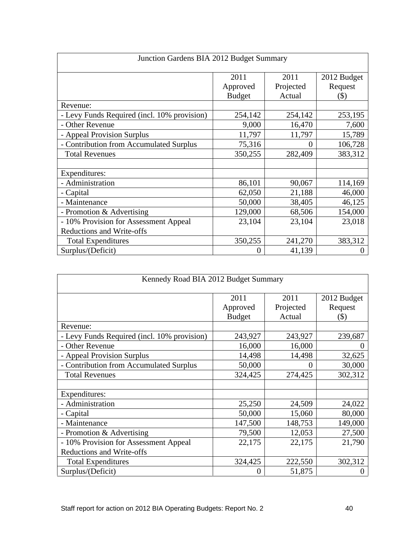| Junction Gardens BIA 2012 Budget Summary    |                                   |                             |                                   |  |
|---------------------------------------------|-----------------------------------|-----------------------------|-----------------------------------|--|
|                                             | 2011<br>Approved<br><b>Budget</b> | 2011<br>Projected<br>Actual | 2012 Budget<br>Request<br>$($ \$) |  |
| Revenue:                                    |                                   |                             |                                   |  |
| - Levy Funds Required (incl. 10% provision) | 254,142                           | 254,142                     | 253,195                           |  |
| - Other Revenue                             | 9,000                             | 16,470                      | 7,600                             |  |
| - Appeal Provision Surplus                  | 11,797                            | 11,797                      | 15,789                            |  |
| - Contribution from Accumulated Surplus     | 75,316                            | $\Omega$                    | 106,728                           |  |
| <b>Total Revenues</b>                       | 350,255                           | 282,409                     | 383,312                           |  |
| Expenditures:                               |                                   |                             |                                   |  |
| - Administration                            | 86,101                            | 90,067                      | 114,169                           |  |
| - Capital                                   | 62,050                            | 21,188                      | 46,000                            |  |
| Maintenance                                 | 50,000                            | 38,405                      | 46,125                            |  |
| - Promotion & Advertising                   | 129,000                           | 68,506                      | 154,000                           |  |
| - 10% Provision for Assessment Appeal       | 23,104                            | 23,104                      | 23,018                            |  |
| <b>Reductions and Write-offs</b>            |                                   |                             |                                   |  |
| <b>Total Expenditures</b>                   | 350,255                           | 241,270                     | 383,312                           |  |
| Surplus/(Deficit)                           |                                   | 41,139                      |                                   |  |

| Kennedy Road BIA 2012 Budget Summary        |          |           |             |  |  |
|---------------------------------------------|----------|-----------|-------------|--|--|
|                                             | 2011     | 2011      | 2012 Budget |  |  |
|                                             | Approved | Projected | Request     |  |  |
|                                             | Budget   | Actual    | $($ \$)     |  |  |
| Revenue:                                    |          |           |             |  |  |
| - Levy Funds Required (incl. 10% provision) | 243,927  | 243,927   | 239,687     |  |  |
| - Other Revenue                             | 16,000   | 16,000    |             |  |  |
| - Appeal Provision Surplus                  | 14,498   | 14,498    | 32,625      |  |  |
| - Contribution from Accumulated Surplus     | 50,000   | $\Omega$  | 30,000      |  |  |
| <b>Total Revenues</b>                       | 324,425  | 274,425   | 302,312     |  |  |
|                                             |          |           |             |  |  |
| Expenditures:                               |          |           |             |  |  |
| - Administration                            | 25,250   | 24,509    | 24,022      |  |  |
| - Capital                                   | 50,000   | 15,060    | 80,000      |  |  |
| Maintenance                                 | 147,500  | 148,753   | 149,000     |  |  |
| - Promotion & Advertising                   | 79,500   | 12,053    | 27,500      |  |  |
| - 10% Provision for Assessment Appeal       | 22,175   | 22,175    | 21,790      |  |  |
| Reductions and Write-offs                   |          |           |             |  |  |
| <b>Total Expenditures</b>                   | 324,425  | 222,550   | 302,312     |  |  |
| Surplus/(Deficit)                           |          | 51,875    |             |  |  |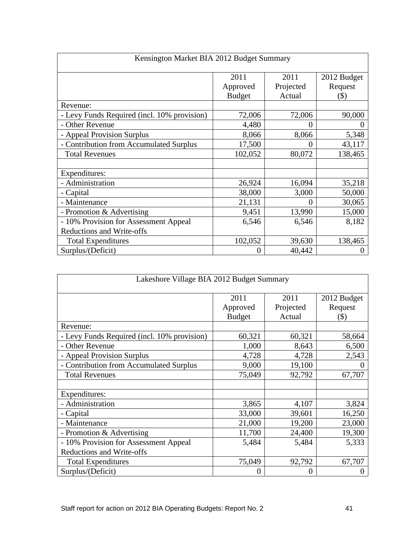| Kensington Market BIA 2012 Budget Summary   |                  |                   |                        |  |
|---------------------------------------------|------------------|-------------------|------------------------|--|
|                                             | 2011<br>Approved | 2011<br>Projected | 2012 Budget<br>Request |  |
|                                             | <b>Budget</b>    | Actual            | $($ \$)                |  |
| Revenue:                                    |                  |                   |                        |  |
| - Levy Funds Required (incl. 10% provision) | 72,006           | 72,006            | 90,000                 |  |
| - Other Revenue                             | 4,480            | $\Omega$          |                        |  |
| - Appeal Provision Surplus                  | 8,066            | 8,066             | 5,348                  |  |
| - Contribution from Accumulated Surplus     | 17,500           |                   | 43,117                 |  |
| <b>Total Revenues</b>                       | 102,052          | 80,072            | 138,465                |  |
| Expenditures:                               |                  |                   |                        |  |
| - Administration                            | 26,924           | 16,094            | 35,218                 |  |
| - Capital                                   | 38,000           | 3,000             | 50,000                 |  |
| Maintenance                                 | 21,131           |                   | 30,065                 |  |
| - Promotion & Advertising                   | 9,451            | 13,990            | 15,000                 |  |
| - 10% Provision for Assessment Appeal       | 6,546            | 6,546             | 8,182                  |  |
| <b>Reductions and Write-offs</b>            |                  |                   |                        |  |
| <b>Total Expenditures</b>                   | 102,052          | 39,630            | 138,465                |  |
| Surplus/(Deficit)                           |                  | 40,442            |                        |  |

| Lakeshore Village BIA 2012 Budget Summary   |                           |                   |                    |  |
|---------------------------------------------|---------------------------|-------------------|--------------------|--|
|                                             | 2011                      | 2011<br>Projected | 2012 Budget        |  |
|                                             | Approved<br><b>Budget</b> | Actual            | Request<br>$($ \$) |  |
| Revenue:                                    |                           |                   |                    |  |
| - Levy Funds Required (incl. 10% provision) | 60,321                    | 60,321            | 58,664             |  |
| - Other Revenue                             | 1,000                     | 8,643             | 6,500              |  |
| - Appeal Provision Surplus                  | 4,728                     | 4,728             | 2,543              |  |
| - Contribution from Accumulated Surplus     | 9,000                     | 19,100            |                    |  |
| <b>Total Revenues</b>                       | 75,049                    | 92,792            | 67,707             |  |
| Expenditures:                               |                           |                   |                    |  |
| - Administration                            | 3,865                     | 4,107             | 3,824              |  |
| - Capital                                   | 33,000                    | 39,601            | 16,250             |  |
| Maintenance                                 | 21,000                    | 19,200            | 23,000             |  |
| - Promotion & Advertising                   | 11,700                    | 24,400            | 19,300             |  |
| - 10% Provision for Assessment Appeal       | 5,484                     | 5,484             | 5,333              |  |
| <b>Reductions and Write-offs</b>            |                           |                   |                    |  |
| <b>Total Expenditures</b>                   | 75,049                    | 92,792            | 67,707             |  |
| Surplus/(Deficit)                           |                           | $\Omega$          |                    |  |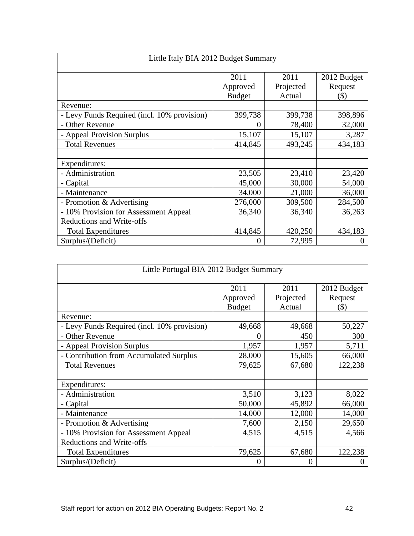| Little Italy BIA 2012 Budget Summary        |               |           |             |  |  |
|---------------------------------------------|---------------|-----------|-------------|--|--|
|                                             | 2011          | 2011      | 2012 Budget |  |  |
|                                             | Approved      | Projected | Request     |  |  |
|                                             | <b>Budget</b> | Actual    | $(\$)$      |  |  |
| Revenue:                                    |               |           |             |  |  |
| - Levy Funds Required (incl. 10% provision) | 399,738       | 399,738   | 398,896     |  |  |
| - Other Revenue                             |               | 78,400    | 32,000      |  |  |
| - Appeal Provision Surplus                  | 15,107        | 15,107    | 3,287       |  |  |
| <b>Total Revenues</b>                       | 414,845       | 493,245   | 434,183     |  |  |
|                                             |               |           |             |  |  |
| Expenditures:                               |               |           |             |  |  |
| - Administration                            | 23,505        | 23,410    | 23,420      |  |  |
| - Capital                                   | 45,000        | 30,000    | 54,000      |  |  |
| - Maintenance                               | 34,000        | 21,000    | 36,000      |  |  |
| - Promotion & Advertising                   | 276,000       | 309,500   | 284,500     |  |  |
| - 10% Provision for Assessment Appeal       | 36,340        | 36,340    | 36,263      |  |  |
| <b>Reductions and Write-offs</b>            |               |           |             |  |  |
| <b>Total Expenditures</b>                   | 414,845       | 420,250   | 434,183     |  |  |
| Surplus/(Deficit)                           |               | 72,995    |             |  |  |

| Little Portugal BIA 2012 Budget Summary     |          |           |             |  |  |
|---------------------------------------------|----------|-----------|-------------|--|--|
|                                             | 2011     | 2011      | 2012 Budget |  |  |
|                                             | Approved | Projected | Request     |  |  |
|                                             | Budget   | Actual    | $($ \$)     |  |  |
| Revenue:                                    |          |           |             |  |  |
| - Levy Funds Required (incl. 10% provision) | 49,668   | 49,668    | 50,227      |  |  |
| - Other Revenue                             |          | 450       | 300         |  |  |
| - Appeal Provision Surplus                  | 1,957    | 1,957     | 5,711       |  |  |
| - Contribution from Accumulated Surplus     | 28,000   | 15,605    | 66,000      |  |  |
| <b>Total Revenues</b>                       | 79,625   | 67,680    | 122,238     |  |  |
|                                             |          |           |             |  |  |
| Expenditures:                               |          |           |             |  |  |
| - Administration                            | 3,510    | 3,123     | 8,022       |  |  |
| - Capital                                   | 50,000   | 45,892    | 66,000      |  |  |
| Maintenance                                 | 14,000   | 12,000    | 14,000      |  |  |
| - Promotion & Advertising                   | 7,600    | 2,150     | 29,650      |  |  |
| - 10% Provision for Assessment Appeal       | 4,515    | 4,515     | 4,566       |  |  |
| Reductions and Write-offs                   |          |           |             |  |  |
| <b>Total Expenditures</b>                   | 79,625   | 67,680    | 122,238     |  |  |
| Surplus/(Deficit)                           |          |           |             |  |  |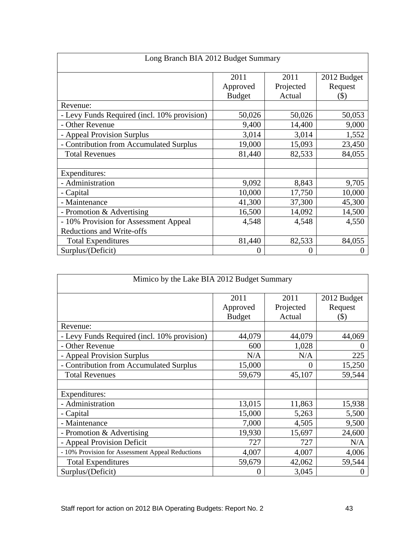| Long Branch BIA 2012 Budget Summary                                |                  |                   |                        |  |  |
|--------------------------------------------------------------------|------------------|-------------------|------------------------|--|--|
|                                                                    | 2011<br>Approved | 2011<br>Projected | 2012 Budget<br>Request |  |  |
|                                                                    | <b>Budget</b>    | Actual            | $($ \$)                |  |  |
| Revenue:                                                           |                  |                   |                        |  |  |
| - Levy Funds Required (incl. 10% provision)                        | 50,026           | 50,026            | 50,053                 |  |  |
| - Other Revenue                                                    | 9,400            | 14,400            | 9,000                  |  |  |
| - Appeal Provision Surplus                                         | 3,014            | 3,014             | 1,552                  |  |  |
| - Contribution from Accumulated Surplus                            | 19,000           | 15,093            | 23,450                 |  |  |
| <b>Total Revenues</b>                                              | 81,440           | 82,533            | 84,055                 |  |  |
| Expenditures:                                                      |                  |                   |                        |  |  |
| - Administration                                                   | 9,092            | 8,843             | 9,705                  |  |  |
| - Capital                                                          | 10,000           | 17,750            | 10,000                 |  |  |
| - Maintenance                                                      | 41,300           | 37,300            | 45,300                 |  |  |
| - Promotion & Advertising                                          | 16,500           | 14,092            | 14,500                 |  |  |
| - 10% Provision for Assessment Appeal<br>Reductions and Write-offs | 4,548            | 4,548             | 4,550                  |  |  |
| <b>Total Expenditures</b>                                          | 81,440           | 82,533            | 84,055                 |  |  |
| Surplus/(Deficit)                                                  |                  | $\Omega$          |                        |  |  |

|                                                  | Mimico by the Lake BIA 2012 Budget Summary |                    |             |
|--------------------------------------------------|--------------------------------------------|--------------------|-------------|
|                                                  | 2011                                       | 2011               | 2012 Budget |
|                                                  | Approved                                   | Projected          | Request     |
| Revenue:                                         | <b>Budget</b>                              | Actual             | (S)         |
| - Levy Funds Required (incl. 10% provision)      | 44,079                                     | 44,079             | 44,069      |
| - Other Revenue                                  | 600                                        | 1,028              |             |
| - Appeal Provision Surplus                       | N/A                                        | N/A                | 2251        |
| - Contribution from Accumulated Surplus          | 15,000                                     |                    | 15,250      |
| <b>Total Revenues</b>                            | 59,679                                     | 45,107             | 59,544      |
| Expenditures:                                    |                                            |                    |             |
| - Administration                                 | 13,015                                     | 11,863             | 15,938      |
| - Capital                                        | 15,000                                     | 5,263              | 5,500       |
| - Maintenance                                    | 7,000                                      | $\overline{4,505}$ | 9,500       |
| - Promotion & Advertising                        | 19,930                                     | 15,697             | 24,600      |
| - Appeal Provision Deficit                       | 727                                        | 727                | N/A         |
| - 10% Provision for Assessment Appeal Reductions | 4,007                                      | 4,007              | 4,006       |
| <b>Total Expenditures</b>                        | 59,679                                     | 42,062             | 59,544      |
| Surplus/(Deficit)                                |                                            | 3,045              |             |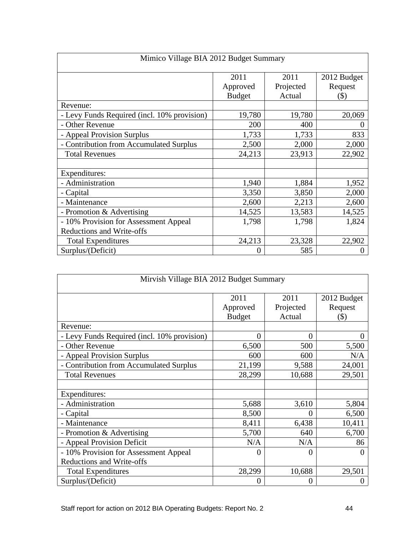| Mimico Village BIA 2012 Budget Summary      |                  |                   |                           |
|---------------------------------------------|------------------|-------------------|---------------------------|
|                                             | 2011<br>Approved | 2011<br>Projected | 2012 Budget<br>Request    |
|                                             | <b>Budget</b>    | Actual            | $\left( \text{\$}\right)$ |
| Revenue:                                    |                  |                   |                           |
| - Levy Funds Required (incl. 10% provision) | 19,780           | 19,780            | 20,069                    |
| - Other Revenue                             | 200              | 400               |                           |
| - Appeal Provision Surplus                  | 1,733            | 1,733             | 833                       |
| - Contribution from Accumulated Surplus     | 2,500            | 2,000             | 2,000                     |
| <b>Total Revenues</b>                       | 24,213           | 23,913            | 22,902                    |
| Expenditures:                               |                  |                   |                           |
| - Administration                            | 1,940            | 1,884             | 1,952                     |
| - Capital                                   | 3,350            | 3,850             | 2,000                     |
| - Maintenance                               | 2,600            | 2,213             | 2,600                     |
| - Promotion & Advertising                   | 14,525           | 13,583            | 14,525                    |
| - 10% Provision for Assessment Appeal       | 1,798            | 1,798             | 1,824                     |
| Reductions and Write-offs                   |                  |                   |                           |
| <b>Total Expenditures</b>                   | 24,213           | 23,328            | 22,902                    |
| Surplus/(Deficit)                           |                  | 585               |                           |

| Mirvish Village BIA 2012 Budget Summary     |               |           |                           |
|---------------------------------------------|---------------|-----------|---------------------------|
|                                             | 2011          | 2011      | 2012 Budget               |
|                                             | Approved      | Projected | Request                   |
|                                             | <b>Budget</b> | Actual    | $\left( \text{\$}\right)$ |
| Revenue:                                    |               |           |                           |
| - Levy Funds Required (incl. 10% provision) |               |           |                           |
| - Other Revenue                             | 6,500         | 500       | 5,500                     |
| - Appeal Provision Surplus                  | 600           | 600       | N/A                       |
| - Contribution from Accumulated Surplus     | 21,199        | 9,588     | 24,001                    |
| <b>Total Revenues</b>                       | 28,299        | 10,688    | 29,501                    |
|                                             |               |           |                           |
| Expenditures:                               |               |           |                           |
| - Administration                            | 5,688         | 3,610     | 5,804                     |
| - Capital                                   | 8,500         |           | 6,500                     |
| - Maintenance                               | 8,411         | 6,438     | 10,411                    |
| - Promotion & Advertising                   | 5,700         | 640       | 6,700                     |
| - Appeal Provision Deficit                  | N/A           | N/A       |                           |
| - 10% Provision for Assessment Appeal       |               |           |                           |
| Reductions and Write-offs                   |               |           |                           |
| <b>Total Expenditures</b>                   | 28,299        | 10,688    | 29,501                    |
| Surplus/(Deficit)                           |               |           |                           |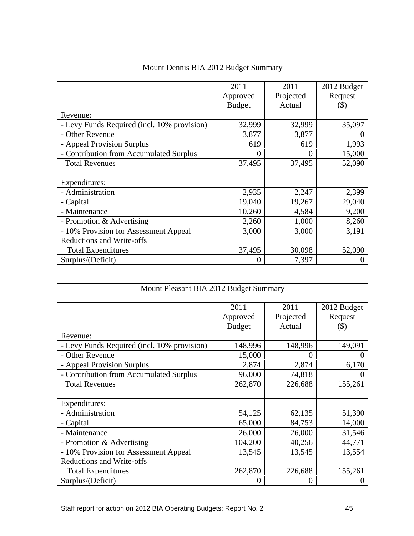| Mount Dennis BIA 2012 Budget Summary        |                  |                   |                        |  |  |
|---------------------------------------------|------------------|-------------------|------------------------|--|--|
|                                             | 2011<br>Approved | 2011<br>Projected | 2012 Budget<br>Request |  |  |
|                                             | Budget           | Actual            | $($ \$)                |  |  |
| Revenue:                                    |                  |                   |                        |  |  |
| - Levy Funds Required (incl. 10% provision) | 32,999           | 32,999            | 35,097                 |  |  |
| - Other Revenue                             | 3,877            | 3,877             |                        |  |  |
| - Appeal Provision Surplus                  | 619              | 619               | 1,993                  |  |  |
| - Contribution from Accumulated Surplus     |                  |                   | 15,000                 |  |  |
| <b>Total Revenues</b>                       | 37,495           | 37,495            | 52,090                 |  |  |
| Expenditures:                               |                  |                   |                        |  |  |
| - Administration                            | 2,935            | 2,247             | 2,399                  |  |  |
| - Capital                                   | 19,040           | 19,267            | 29,040                 |  |  |
| Maintenance                                 | 10,260           | 4,584             | 9,200                  |  |  |
| - Promotion & Advertising                   | 2,260            | 1,000             | 8,260                  |  |  |
| - 10% Provision for Assessment Appeal       | 3,000            | 3,000             | 3,191                  |  |  |
| <b>Reductions and Write-offs</b>            |                  |                   |                        |  |  |
| <b>Total Expenditures</b>                   | 37,495           | 30,098            | 52,090                 |  |  |
| Surplus/(Deficit)                           |                  | 7,397             |                        |  |  |

| Mount Pleasant BIA 2012 Budget Summary      |                                   |                             |                                  |  |  |  |
|---------------------------------------------|-----------------------------------|-----------------------------|----------------------------------|--|--|--|
|                                             | 2011<br>Approved<br><b>Budget</b> | 2011<br>Projected<br>Actual | 2012 Budget<br>Request<br>$(\$)$ |  |  |  |
| Revenue:                                    |                                   |                             |                                  |  |  |  |
| - Levy Funds Required (incl. 10% provision) | 148,996                           | 148,996                     | 149,091                          |  |  |  |
| - Other Revenue                             | 15,000                            | $\theta$                    |                                  |  |  |  |
| - Appeal Provision Surplus                  | 2,874                             | 2,874                       | 6,170                            |  |  |  |
| - Contribution from Accumulated Surplus     | 96,000                            | 74,818                      |                                  |  |  |  |
| <b>Total Revenues</b>                       | 262,870                           | 226,688                     | 155,261                          |  |  |  |
| Expenditures:                               |                                   |                             |                                  |  |  |  |
| - Administration                            | 54,125                            | 62,135                      | 51,390                           |  |  |  |
| - Capital                                   | 65,000                            | 84,753                      | 14,000                           |  |  |  |
| Maintenance                                 | 26,000                            | 26,000                      | 31,546                           |  |  |  |
| - Promotion & Advertising                   | 104,200                           | 40,256                      | 44,771                           |  |  |  |
| - 10% Provision for Assessment Appeal       | 13,545                            | 13,545                      | 13,554                           |  |  |  |
| <b>Reductions and Write-offs</b>            |                                   |                             |                                  |  |  |  |
| <b>Total Expenditures</b>                   | 262,870                           | 226,688                     | 155,261                          |  |  |  |
| Surplus/(Deficit)                           |                                   | $\theta$                    |                                  |  |  |  |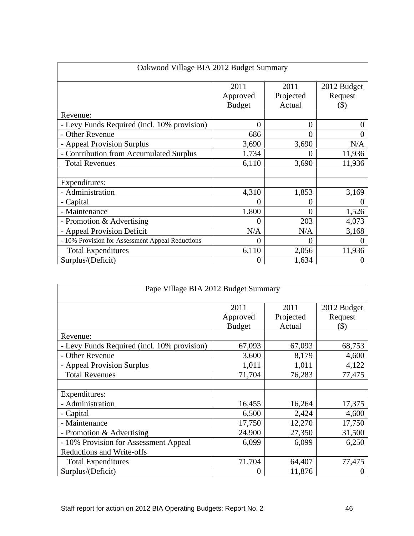| Oakwood Village BIA 2012 Budget Summary          |                  |                   |                        |
|--------------------------------------------------|------------------|-------------------|------------------------|
|                                                  | 2011<br>Approved | 2011<br>Projected | 2012 Budget<br>Request |
|                                                  | Budget           | Actual            | $($ \$)                |
| Revenue:                                         |                  |                   |                        |
| - Levy Funds Required (incl. 10% provision)      |                  |                   |                        |
| - Other Revenue                                  | 686              |                   |                        |
| - Appeal Provision Surplus                       | 3,690            | 3,690             | N/A                    |
| - Contribution from Accumulated Surplus          | 1,734            |                   | 11,936                 |
| <b>Total Revenues</b>                            | 6,110            | 3,690             | 11,936                 |
|                                                  |                  |                   |                        |
| Expenditures:                                    |                  |                   |                        |
| - Administration                                 | 4,310            | 1,853             | 3,169                  |
| - Capital                                        |                  |                   |                        |
| - Maintenance                                    | 1.800            |                   | 1,526                  |
| - Promotion & Advertising                        |                  | 203               | 4,073                  |
| - Appeal Provision Deficit                       | N/A              | N/A               | 3,168                  |
| - 10% Provision for Assessment Appeal Reductions |                  |                   |                        |
| <b>Total Expenditures</b>                        | 6,110            | 2,056             | 11,936                 |
| Surplus/(Deficit)                                |                  |                   |                        |

| Pape Village BIA 2012 Budget Summary        |          |           |             |  |  |  |
|---------------------------------------------|----------|-----------|-------------|--|--|--|
|                                             | 2011     | 2011      | 2012 Budget |  |  |  |
|                                             | Approved | Projected | Request     |  |  |  |
|                                             | Budget   | Actual    | $(\$)$      |  |  |  |
| Revenue:                                    |          |           |             |  |  |  |
| - Levy Funds Required (incl. 10% provision) | 67,093   | 67,093    | 68,753      |  |  |  |
| - Other Revenue                             | 3,600    | 8,179     | 4,600       |  |  |  |
| - Appeal Provision Surplus                  | 1,011    | 1,011     | 4,122       |  |  |  |
| <b>Total Revenues</b>                       | 71,704   | 76,283    | 77,475      |  |  |  |
|                                             |          |           |             |  |  |  |
| Expenditures:                               |          |           |             |  |  |  |
| - Administration                            | 16,455   | 16,264    | 17,375      |  |  |  |
| - Capital                                   | 6,500    | 2,424     | 4,600       |  |  |  |
| - Maintenance                               | 17,750   | 12,270    | 17,750      |  |  |  |
| - Promotion & Advertising                   | 24,900   | 27,350    | 31,500      |  |  |  |
| - 10% Provision for Assessment Appeal       | 6,099    | 6,099     | 6,250       |  |  |  |
| Reductions and Write-offs                   |          |           |             |  |  |  |
| <b>Total Expenditures</b>                   | 71,704   | 64,407    | 77,475      |  |  |  |
| Surplus/(Deficit)                           |          | 11,876    |             |  |  |  |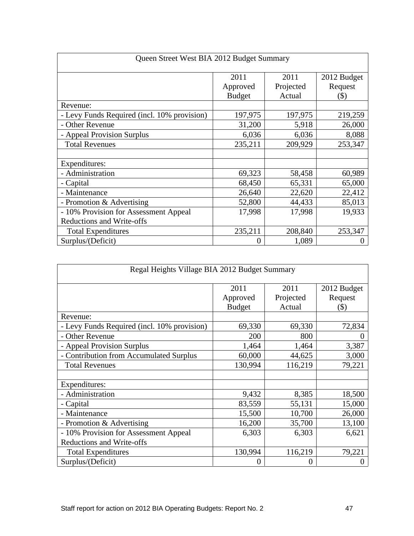| Queen Street West BIA 2012 Budget Summary |               |           |             |  |  |
|-------------------------------------------|---------------|-----------|-------------|--|--|
|                                           | 2011          | 2011      | 2012 Budget |  |  |
|                                           | Approved      | Projected | Request     |  |  |
|                                           | <b>Budget</b> | Actual    | $(\$)$      |  |  |
| Revenue:                                  |               |           |             |  |  |
| Levy Funds Required (incl. 10% provision) | 197,975       | 197,975   | 219,259     |  |  |
| - Other Revenue                           | 31,200        | 5,918     | 26,000      |  |  |
| - Appeal Provision Surplus                | 6,036         | 6,036     | 8,088       |  |  |
| <b>Total Revenues</b>                     | 235,211       | 209,929   | 253,347     |  |  |
|                                           |               |           |             |  |  |
| Expenditures:                             |               |           |             |  |  |
| - Administration                          | 69,323        | 58,458    | 60,989      |  |  |
| - Capital                                 | 68,450        | 65,331    | 65,000      |  |  |
| - Maintenance                             | 26,640        | 22,620    | 22,412      |  |  |
| - Promotion & Advertising                 | 52,800        | 44,433    | 85,013      |  |  |
| - 10% Provision for Assessment Appeal     | 17,998        | 17,998    | 19,933      |  |  |
| Reductions and Write-offs                 |               |           |             |  |  |
| <b>Total Expenditures</b>                 | 235,211       | 208,840   | 253,347     |  |  |
| Surplus/(Deficit)                         |               | 1,089     |             |  |  |

| Regal Heights Village BIA 2012 Budget Summary |               |           |             |  |  |  |
|-----------------------------------------------|---------------|-----------|-------------|--|--|--|
|                                               | 2011          | 2011      | 2012 Budget |  |  |  |
|                                               | Approved      | Projected | Request     |  |  |  |
|                                               | <b>Budget</b> | Actual    | $($ \$)     |  |  |  |
| Revenue:                                      |               |           |             |  |  |  |
| - Levy Funds Required (incl. 10% provision)   | 69,330        | 69,330    | 72,834      |  |  |  |
| - Other Revenue                               | 200           | 800       |             |  |  |  |
| - Appeal Provision Surplus                    | 1,464         | 1,464     | 3,387       |  |  |  |
| - Contribution from Accumulated Surplus       | 60,000        | 44,625    | 3,000       |  |  |  |
| <b>Total Revenues</b>                         | 130,994       | 116,219   | 79,221      |  |  |  |
| Expenditures:                                 |               |           |             |  |  |  |
| - Administration                              | 9,432         | 8,385     | 18,500      |  |  |  |
| - Capital                                     | 83,559        | 55,131    | 15,000      |  |  |  |
| Maintenance                                   | 15,500        | 10,700    | 26,000      |  |  |  |
| - Promotion & Advertising                     | 16,200        | 35,700    | 13,100      |  |  |  |
| - 10% Provision for Assessment Appeal         | 6,303         | 6,303     | 6,621       |  |  |  |
| <b>Reductions and Write-offs</b>              |               |           |             |  |  |  |
| <b>Total Expenditures</b>                     | 130,994       | 116,219   | 79,221      |  |  |  |
| Surplus/(Deficit)                             |               | $\Omega$  |             |  |  |  |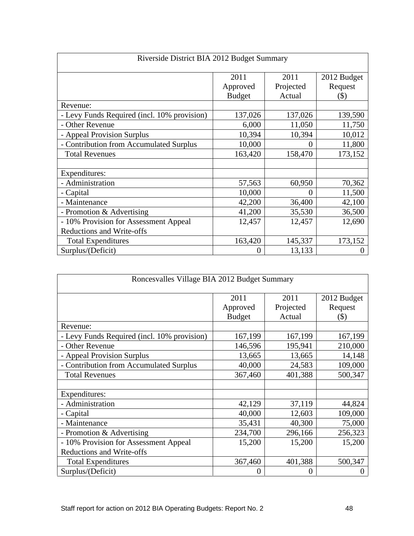| Riverside District BIA 2012 Budget Summary  |                  |                   |                        |  |
|---------------------------------------------|------------------|-------------------|------------------------|--|
|                                             | 2011<br>Approved | 2011<br>Projected | 2012 Budget<br>Request |  |
|                                             | <b>Budget</b>    | Actual            | $($ \$)                |  |
| Revenue:                                    |                  |                   |                        |  |
| - Levy Funds Required (incl. 10% provision) | 137,026          | 137,026           | 139,590                |  |
| - Other Revenue                             | 6,000            | 11,050            | 11,750                 |  |
| - Appeal Provision Surplus                  | 10,394           | 10,394            | 10,012                 |  |
| - Contribution from Accumulated Surplus     | 10,000           | $\Omega$          | 11,800                 |  |
| <b>Total Revenues</b>                       | 163,420          | 158,470           | 173,152                |  |
| Expenditures:                               |                  |                   |                        |  |
| - Administration                            | 57,563           | 60,950            | 70,362                 |  |
| - Capital                                   | 10,000           |                   | 11,500                 |  |
| - Maintenance                               | 42,200           | 36,400            | 42,100                 |  |
| - Promotion & Advertising                   | 41,200           | 35,530            | 36,500                 |  |
| - 10% Provision for Assessment Appeal       | 12,457           | 12,457            | 12,690                 |  |
| <b>Reductions and Write-offs</b>            |                  |                   |                        |  |
| <b>Total Expenditures</b>                   | 163,420          | 145,337           | 173,152                |  |
| Surplus/(Deficit)                           |                  | 13,133            |                        |  |

| Roncesvalles Village BIA 2012 Budget Summary |               |           |             |  |  |  |
|----------------------------------------------|---------------|-----------|-------------|--|--|--|
|                                              | 2011          | 2011      | 2012 Budget |  |  |  |
|                                              | Approved      | Projected | Request     |  |  |  |
|                                              | <b>Budget</b> | Actual    | (S)         |  |  |  |
| Revenue:                                     |               |           |             |  |  |  |
| - Levy Funds Required (incl. 10% provision)  | 167,199       | 167,199   | 167,199     |  |  |  |
| - Other Revenue                              | 146,596       | 195,941   | 210,000     |  |  |  |
| - Appeal Provision Surplus                   | 13,665        | 13,665    | 14,148      |  |  |  |
| - Contribution from Accumulated Surplus      | 40,000        | 24,583    | 109,000     |  |  |  |
| <b>Total Revenues</b>                        | 367,460       | 401,388   | 500,347     |  |  |  |
|                                              |               |           |             |  |  |  |
| Expenditures:                                |               |           |             |  |  |  |
| Administration                               | 42,129        | 37,119    | 44,824      |  |  |  |
| - Capital                                    | 40,000        | 12,603    | 109,000     |  |  |  |
| - Maintenance                                | 35,431        | 40,300    | 75,000      |  |  |  |
| - Promotion & Advertising                    | 234,700       | 296,166   | 256,323     |  |  |  |
| - 10% Provision for Assessment Appeal        | 15,200        | 15,200    | 15,200      |  |  |  |
| <b>Reductions and Write-offs</b>             |               |           |             |  |  |  |
| <b>Total Expenditures</b>                    | 367,460       | 401,388   | 500,347     |  |  |  |
| Surplus/(Deficit)                            |               | $\Omega$  |             |  |  |  |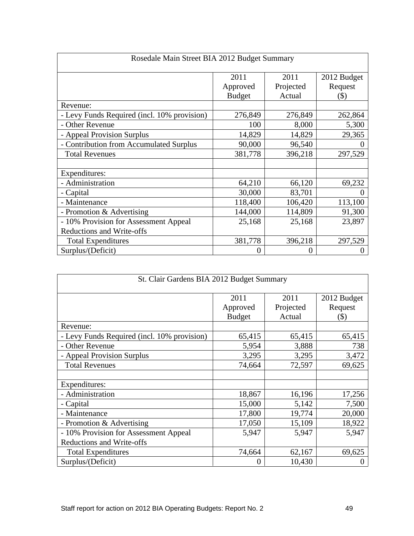| Rosedale Main Street BIA 2012 Budget Summary                       |                           |                   |                        |  |  |
|--------------------------------------------------------------------|---------------------------|-------------------|------------------------|--|--|
|                                                                    | 2011                      | 2011<br>Projected | 2012 Budget<br>Request |  |  |
|                                                                    | Approved<br><b>Budget</b> | Actual            | (S)                    |  |  |
| Revenue:                                                           |                           |                   |                        |  |  |
| - Levy Funds Required (incl. 10% provision)                        | 276,849                   | 276,849           | 262,864                |  |  |
| - Other Revenue                                                    | 100                       | 8,000             | 5,300                  |  |  |
| - Appeal Provision Surplus                                         | 14,829                    | 14,829            | 29,365                 |  |  |
| - Contribution from Accumulated Surplus                            | 90,000                    | 96,540            |                        |  |  |
| <b>Total Revenues</b>                                              | 381,778                   | 396,218           | 297,529                |  |  |
| Expenditures:                                                      |                           |                   |                        |  |  |
| - Administration                                                   | 64,210                    | 66,120            | 69,232                 |  |  |
| - Capital                                                          | 30,000                    | 83,701            |                        |  |  |
| - Maintenance                                                      | 118,400                   | 106,420           | 113,100                |  |  |
| - Promotion & Advertising                                          | 144,000                   | 114,809           | 91,300                 |  |  |
| - 10% Provision for Assessment Appeal<br>Reductions and Write-offs | 25,168                    | 25,168            | 23,897                 |  |  |
| <b>Total Expenditures</b>                                          | 381,778                   | 396,218           | 297,529                |  |  |
| Surplus/(Deficit)                                                  |                           |                   |                        |  |  |

| St. Clair Gardens BIA 2012 Budget Summary   |               |           |             |  |  |  |
|---------------------------------------------|---------------|-----------|-------------|--|--|--|
|                                             | 2011          | 2011      | 2012 Budget |  |  |  |
|                                             | Approved      | Projected | Request     |  |  |  |
|                                             | <b>Budget</b> | Actual    | $($ \$)     |  |  |  |
| Revenue:                                    |               |           |             |  |  |  |
| - Levy Funds Required (incl. 10% provision) | 65,415        | 65,415    | 65,415      |  |  |  |
| - Other Revenue                             | 5,954         | 3,888     | 738         |  |  |  |
| - Appeal Provision Surplus                  | 3,295         | 3,295     | 3,472       |  |  |  |
| <b>Total Revenues</b>                       | 74,664        | 72,597    | 69,625      |  |  |  |
| Expenditures:                               |               |           |             |  |  |  |
| - Administration                            | 18,867        | 16,196    | 17,256      |  |  |  |
| - Capital                                   | 15,000        | 5,142     | 7,500       |  |  |  |
| Maintenance                                 | 17,800        | 19,774    | 20,000      |  |  |  |
| - Promotion & Advertising                   | 17,050        | 15,109    | 18,922      |  |  |  |
| - 10% Provision for Assessment Appeal       | 5,947         | 5,947     | 5,947       |  |  |  |
| Reductions and Write-offs                   |               |           |             |  |  |  |
| <b>Total Expenditures</b>                   | 74,664        | 62,167    | 69,625      |  |  |  |
| Surplus/(Deficit)                           |               | 10,430    |             |  |  |  |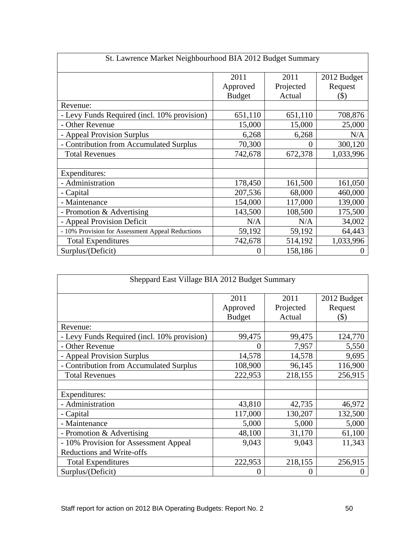| St. Lawrence Market Neighbourhood BIA 2012 Budget Summary |               |           |             |
|-----------------------------------------------------------|---------------|-----------|-------------|
|                                                           | 2011          | 2011      | 2012 Budget |
|                                                           | Approved      | Projected | Request     |
| Revenue:                                                  | <b>Budget</b> | Actual    | (S)         |
| - Levy Funds Required (incl. 10% provision)               | 651,110       | 651,110   | 708,876     |
| - Other Revenue                                           | 15,000        | 15,000    | 25,000      |
| - Appeal Provision Surplus                                | 6,268         | 6,268     | N/A         |
| - Contribution from Accumulated Surplus                   | 70,300        |           | 300,120     |
| <b>Total Revenues</b>                                     | 742,678       | 672,378   | 1,033,996   |
|                                                           |               |           |             |
| Expenditures:<br>- Administration                         | 178,450       | 161,500   | 161,050     |
| - Capital                                                 | 207,536       | 68,000    | 460,000     |
| - Maintenance                                             | 154,000       | 117,000   | 139,000     |
| - Promotion & Advertising                                 | 143,500       | 108,500   | 175,500     |
| - Appeal Provision Deficit                                | N/A           | N/A       | 34,002      |
| - 10% Provision for Assessment Appeal Reductions          | 59,192        | 59,192    | 64,443      |
| <b>Total Expenditures</b>                                 | 742,678       | 514,192   | 1,033,996   |
| Surplus/(Deficit)                                         |               | 158,186   |             |

| Sheppard East Village BIA 2012 Budget Summary |               |           |             |  |  |
|-----------------------------------------------|---------------|-----------|-------------|--|--|
|                                               | 2011          | 2011      | 2012 Budget |  |  |
|                                               | Approved      | Projected | Request     |  |  |
|                                               | <b>Budget</b> | Actual    | $($ \$)     |  |  |
| Revenue:                                      |               |           |             |  |  |
| - Levy Funds Required (incl. 10% provision)   | 99,475        | 99,475    | 124,770     |  |  |
| - Other Revenue                               |               | 7,957     | 5,550       |  |  |
| - Appeal Provision Surplus                    | 14,578        | 14,578    | 9,695       |  |  |
| - Contribution from Accumulated Surplus       | 108,900       | 96,145    | 116,900     |  |  |
| <b>Total Revenues</b>                         | 222,953       | 218,155   | 256,915     |  |  |
| Expenditures:                                 |               |           |             |  |  |
| - Administration                              | 43,810        | 42,735    | 46,972      |  |  |
| - Capital                                     | 117,000       | 130,207   | 132,500     |  |  |
| Maintenance                                   | 5,000         | 5,000     | 5,000       |  |  |
| - Promotion & Advertising                     | 48,100        | 31,170    | 61,100      |  |  |
| - 10% Provision for Assessment Appeal         | 9,043         | 9,043     | 11,343      |  |  |
| <b>Reductions and Write-offs</b>              |               |           |             |  |  |
| <b>Total Expenditures</b>                     | 222,953       | 218,155   | 256,915     |  |  |
| Surplus/(Deficit)                             |               |           |             |  |  |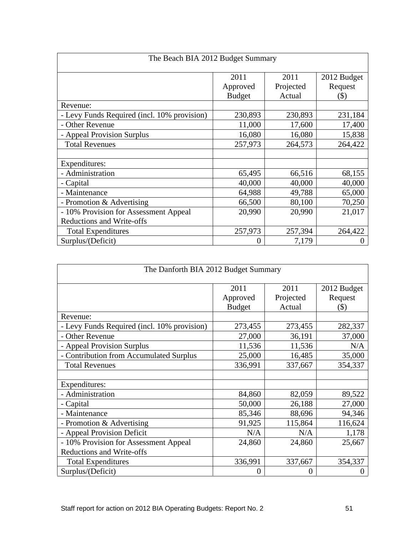|                                             | The Beach BIA 2012 Budget Summary |                   |                        |
|---------------------------------------------|-----------------------------------|-------------------|------------------------|
|                                             | 2011<br>Approved                  | 2011<br>Projected | 2012 Budget<br>Request |
|                                             | <b>Budget</b>                     | Actual            | $($ \$)                |
| Revenue:                                    |                                   |                   |                        |
| - Levy Funds Required (incl. 10% provision) | 230,893                           | 230,893           | 231,184                |
| - Other Revenue                             | 11,000                            | 17,600            | 17,400                 |
| - Appeal Provision Surplus                  | 16,080                            | 16,080            | 15,838                 |
| <b>Total Revenues</b>                       | 257,973                           | 264,573           | 264,422                |
|                                             |                                   |                   |                        |
| Expenditures:                               |                                   |                   |                        |
| - Administration                            | 65,495                            | 66,516            | 68,155                 |
| - Capital                                   | 40,000                            | 40,000            | 40,000                 |
| - Maintenance                               | 64,988                            | 49,788            | 65,000                 |
| - Promotion & Advertising                   | 66,500                            | 80,100            | 70,250                 |
| - 10% Provision for Assessment Appeal       | 20,990                            | 20,990            | 21,017                 |
| Reductions and Write-offs                   |                                   |                   |                        |
| <b>Total Expenditures</b>                   | 257,973                           | 257,394           | 264,422                |
| Surplus/(Deficit)                           |                                   | 7,179             |                        |

| The Danforth BIA 2012 Budget Summary        |               |           |             |
|---------------------------------------------|---------------|-----------|-------------|
|                                             |               |           |             |
|                                             | 2011          | 2011      | 2012 Budget |
|                                             | Approved      | Projected | Request     |
|                                             | <b>Budget</b> | Actual    | (S)         |
| Revenue:                                    |               |           |             |
| - Levy Funds Required (incl. 10% provision) | 273,455       | 273,455   | 282,337     |
| - Other Revenue                             | 27,000        | 36,191    | 37,000      |
| - Appeal Provision Surplus                  | 11,536        | 11,536    | N/A         |
| - Contribution from Accumulated Surplus     | 25,000        | 16,485    | 35,000      |
| <b>Total Revenues</b>                       | 336,991       | 337,667   | 354,337     |
|                                             |               |           |             |
| Expenditures:                               |               |           |             |
| - Administration                            | 84,860        | 82,059    | 89,522      |
| - Capital                                   | 50,000        | 26,188    | 27,000      |
| - Maintenance                               | 85,346        | 88,696    | 94,346      |
| - Promotion & Advertising                   | 91,925        | 115,864   | 116,624     |
| - Appeal Provision Deficit                  | N/A           | N/A       | 1,178       |
| - 10% Provision for Assessment Appeal       | 24,860        | 24,860    | 25,667      |
| Reductions and Write-offs                   |               |           |             |
| <b>Total Expenditures</b>                   | 336,991       | 337,667   | 354,337     |
| Surplus/(Deficit)                           |               |           |             |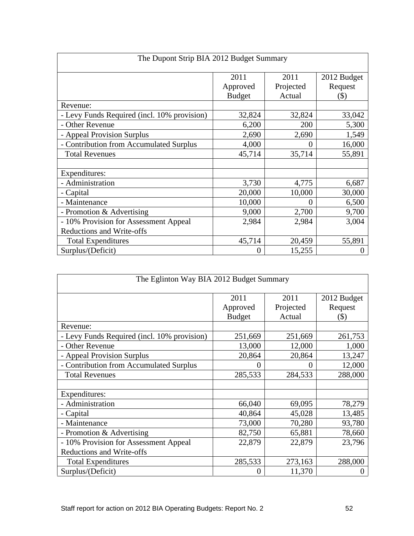| The Dupont Strip BIA 2012 Budget Summary    |                  |                   |                        |  |
|---------------------------------------------|------------------|-------------------|------------------------|--|
|                                             | 2011<br>Approved | 2011<br>Projected | 2012 Budget<br>Request |  |
|                                             | <b>Budget</b>    | Actual            | $($ \$)                |  |
| Revenue:                                    |                  |                   |                        |  |
| - Levy Funds Required (incl. 10% provision) | 32,824           | 32,824            | 33,042                 |  |
| - Other Revenue                             | 6,200            | 200               | 5,300                  |  |
| - Appeal Provision Surplus                  | 2,690            | 2,690             | 1,549                  |  |
| - Contribution from Accumulated Surplus     | 4,000            | $\Omega$          | 16,000                 |  |
| <b>Total Revenues</b>                       | 45,714           | 35,714            | 55,891                 |  |
| Expenditures:                               |                  |                   |                        |  |
| - Administration                            | 3,730            | 4,775             | 6,687                  |  |
| - Capital                                   | 20,000           | 10,000            | 30,000                 |  |
| Maintenance                                 | 10,000           |                   | 6,500                  |  |
| - Promotion & Advertising                   | 9,000            | 2,700             | 9,700                  |  |
| - 10% Provision for Assessment Appeal       | 2,984            | 2,984             | 3,004                  |  |
| <b>Reductions and Write-offs</b>            |                  |                   |                        |  |
| <b>Total Expenditures</b>                   | 45,714           | 20,459            | 55,891                 |  |
| Surplus/(Deficit)                           | $\Omega$         | 15,255            |                        |  |

| The Eglinton Way BIA 2012 Budget Summary    |               |           |             |  |  |
|---------------------------------------------|---------------|-----------|-------------|--|--|
|                                             | 2011          | 2011      | 2012 Budget |  |  |
|                                             | Approved      | Projected | Request     |  |  |
|                                             | <b>Budget</b> | Actual    | $($ \$)     |  |  |
| Revenue:                                    |               |           |             |  |  |
| - Levy Funds Required (incl. 10% provision) | 251,669       | 251,669   | 261,753     |  |  |
| - Other Revenue                             | 13,000        | 12,000    | 1,000       |  |  |
| - Appeal Provision Surplus                  | 20,864        | 20,864    | 13,247      |  |  |
| - Contribution from Accumulated Surplus     |               |           | 12,000      |  |  |
| <b>Total Revenues</b>                       | 285,533       | 284,533   | 288,000     |  |  |
|                                             |               |           |             |  |  |
| Expenditures:                               |               |           |             |  |  |
| - Administration                            | 66,040        | 69,095    | 78,279      |  |  |
| - Capital                                   | 40,864        | 45,028    | 13,485      |  |  |
| Maintenance                                 | 73,000        | 70,280    | 93,780      |  |  |
| - Promotion & Advertising                   | 82,750        | 65,881    | 78,660      |  |  |
| 10% Provision for Assessment Appeal         | 22,879        | 22,879    | 23,796      |  |  |
| Reductions and Write-offs                   |               |           |             |  |  |
| <b>Total Expenditures</b>                   | 285,533       | 273,163   | 288,000     |  |  |
| Surplus/(Deficit)                           |               | 11,370    |             |  |  |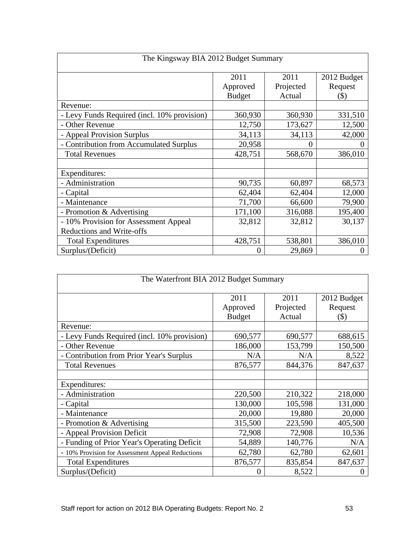| The Kingsway BIA 2012 Budget Summary        |                  |                   |                        |  |  |
|---------------------------------------------|------------------|-------------------|------------------------|--|--|
|                                             | 2011<br>Approved | 2011<br>Projected | 2012 Budget<br>Request |  |  |
|                                             | <b>Budget</b>    | Actual            | $(\$)$                 |  |  |
| Revenue:                                    |                  |                   |                        |  |  |
| - Levy Funds Required (incl. 10% provision) | 360,930          | 360,930           | 331,510                |  |  |
| - Other Revenue                             | 12,750           | 173,627           | 12,500                 |  |  |
| - Appeal Provision Surplus                  | 34,113           | 34,113            | 42,000                 |  |  |
| Contribution from Accumulated Surplus       | 20,958           |                   |                        |  |  |
| <b>Total Revenues</b>                       | 428,751          | 568,670           | 386,010                |  |  |
| Expenditures:                               |                  |                   |                        |  |  |
| - Administration                            | 90,735           | 60,897            | 68,573                 |  |  |
| - Capital                                   | 62,404           | 62,404            | 12,000                 |  |  |
| Maintenance                                 | 71,700           | 66,600            | 79,900                 |  |  |
| - Promotion & Advertising                   | 171,100          | 316,088           | 195,400                |  |  |
| - 10% Provision for Assessment Appeal       | 32,812           | 32,812            | 30,137                 |  |  |
| Reductions and Write-offs                   |                  |                   |                        |  |  |
| <b>Total Expenditures</b>                   | 428,751          | 538,801           | 386,010                |  |  |
| Surplus/(Deficit)                           | $\Omega$         | 29,869            |                        |  |  |

|                                                  | The Waterfront BIA 2012 Budget Summary |                     |                    |
|--------------------------------------------------|----------------------------------------|---------------------|--------------------|
|                                                  | 2011                                   | 2011                | 2012 Budget        |
|                                                  | Approved<br>Budget                     | Projected<br>Actual | Request<br>$($ \$) |
| Revenue:                                         |                                        |                     |                    |
| - Levy Funds Required (incl. 10% provision)      | 690,577                                | 690,577             | 688,615            |
| - Other Revenue                                  | 186,000                                | 153,799             | 150,500            |
| - Contribution from Prior Year's Surplus         | N/A                                    | N/A                 | 8,522              |
| <b>Total Revenues</b>                            | 876,577                                | 844,376             | 847,637            |
| Expenditures:                                    |                                        |                     |                    |
| - Administration                                 | 220,500                                | 210,322             | 218,000            |
| - Capital                                        | 130,000                                | 105,598             | 131,000            |
| - Maintenance                                    | 20,000                                 | 19,880              | 20,000             |
| - Promotion & Advertising                        | 315,500                                | 223,590             | 405,500            |
| - Appeal Provision Deficit                       | 72,908                                 | 72,908              | 10,536             |
| - Funding of Prior Year's Operating Deficit      | 54,889                                 | 140,776             | N/A                |
| - 10% Provision for Assessment Appeal Reductions | 62,780                                 | 62,780              | 62,601             |
| <b>Total Expenditures</b>                        | 876,577                                | 835,854             | 847,637            |
| Surplus/(Deficit)                                |                                        | 8,522               |                    |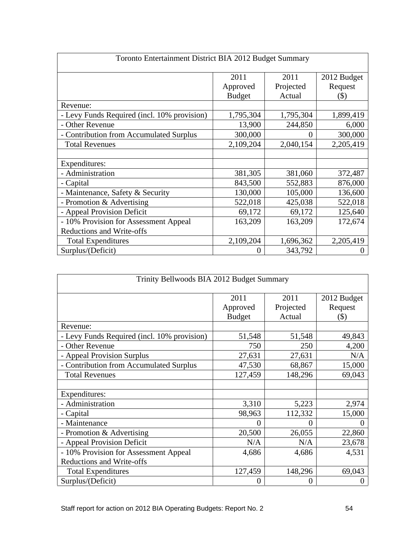| Toronto Entertainment District BIA 2012 Budget Summary |                           |                   |                        |  |  |
|--------------------------------------------------------|---------------------------|-------------------|------------------------|--|--|
|                                                        | 2011                      | 2011<br>Projected | 2012 Budget<br>Request |  |  |
|                                                        | Approved<br><b>Budget</b> | Actual            | $($ \$)                |  |  |
| Revenue:                                               |                           |                   |                        |  |  |
| - Levy Funds Required (incl. 10% provision)            | 1,795,304                 | 1,795,304         | 1,899,419              |  |  |
| - Other Revenue                                        | 13,900                    | 244,850           | 6,000                  |  |  |
| - Contribution from Accumulated Surplus                | 300,000                   | $\overline{0}$    | 300,000                |  |  |
| <b>Total Revenues</b>                                  | 2,109,204                 | 2,040,154         | 2,205,419              |  |  |
| Expenditures:                                          |                           |                   |                        |  |  |
| - Administration                                       | 381,305                   | 381,060           | 372,487                |  |  |
| - Capital                                              | 843,500                   | 552,883           | 876,000                |  |  |
| Maintenance, Safety & Security                         | 130,000                   | 105,000           | 136,600                |  |  |
| Promotion & Advertising                                | 522,018                   | 425,038           | 522,018                |  |  |
| - Appeal Provision Deficit                             | 69,172                    | 69,172            | 125,640                |  |  |
| - 10% Provision for Assessment Appeal                  | 163,209                   | 163,209           | 172,674                |  |  |
| Reductions and Write-offs                              |                           |                   |                        |  |  |
| <b>Total Expenditures</b>                              | 2,109,204                 | 1,696,362         | 2,205,419              |  |  |
| Surplus/(Deficit)                                      |                           | 343,792           |                        |  |  |

| Trinity Bellwoods BIA 2012 Budget Summary   |                           |                    |                        |
|---------------------------------------------|---------------------------|--------------------|------------------------|
|                                             | 2011                      | 2011<br>Projected  | 2012 Budget<br>Request |
|                                             | Approved<br><b>Budget</b> | Actual             | $($ \$) $-$            |
| Revenue:                                    |                           |                    |                        |
| - Levy Funds Required (incl. 10% provision) | 51,548                    | 51,548             | 49,843                 |
| - Other Revenue                             | 750                       | 250                | 4,200                  |
| - Appeal Provision Surplus                  | 27,631                    | 27,631             | N/A                    |
| - Contribution from Accumulated Surplus     | 47,530                    | 68,867             | 15,000                 |
| <b>Total Revenues</b>                       | 127,459                   | 148,296            | 69,043                 |
|                                             |                           |                    |                        |
| Expenditures:                               |                           |                    |                        |
| - Administration                            | 3,310                     | 5,223              | 2,974                  |
| - Capital                                   | 98,963                    | 112,332            | 15,000                 |
| - Maintenance                               |                           |                    |                        |
| - Promotion & Advertising                   | 20,500                    | 26,055             | 22,860                 |
| - Appeal Provision Deficit                  | N/A                       | N/A                | 23,678                 |
| - 10% Provision for Assessment Appeal       | 4,686                     | $\overline{4,686}$ | 4,531                  |
| Reductions and Write-offs                   |                           |                    |                        |
| <b>Total Expenditures</b>                   | 127,459                   | 148,296            | 69,043                 |
| Surplus/(Deficit)                           |                           |                    |                        |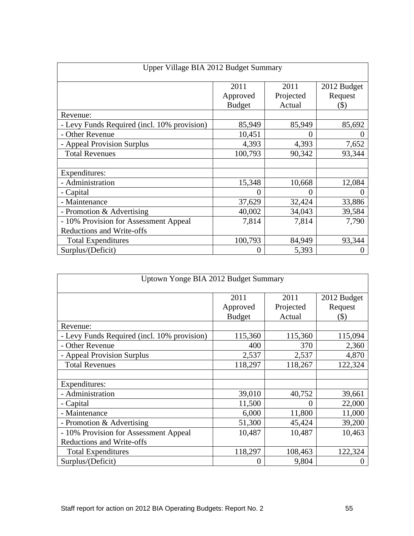| Upper Village BIA 2012 Budget Summary       |                  |                   |                        |  |  |
|---------------------------------------------|------------------|-------------------|------------------------|--|--|
|                                             | 2011<br>Approved | 2011<br>Projected | 2012 Budget<br>Request |  |  |
|                                             | <b>Budget</b>    | Actual            | $(\$)$                 |  |  |
| Revenue:                                    |                  |                   |                        |  |  |
| - Levy Funds Required (incl. 10% provision) | 85,949           | 85,949            | 85,692                 |  |  |
| - Other Revenue                             | 10,451           | $\Omega$          |                        |  |  |
| - Appeal Provision Surplus                  | 4,393            | 4,393             | 7,652                  |  |  |
| <b>Total Revenues</b>                       | 100,793          | 90,342            | 93,344                 |  |  |
| Expenditures:                               |                  |                   |                        |  |  |
| - Administration                            | 15,348           | 10,668            | 12,084                 |  |  |
| - Capital                                   |                  |                   |                        |  |  |
| - Maintenance                               | 37,629           | 32,424            | 33,886                 |  |  |
| - Promotion & Advertising                   | 40,002           | 34,043            | 39,584                 |  |  |
| - 10% Provision for Assessment Appeal       | 7,814            | 7,814             | 7,790                  |  |  |
| <b>Reductions and Write-offs</b>            |                  |                   |                        |  |  |
| <b>Total Expenditures</b>                   | 100,793          | 84,949            | 93,344                 |  |  |
| Surplus/(Deficit)                           |                  | 5,393             |                        |  |  |

| Uptown Yonge BIA 2012 Budget Summary        |               |           |             |  |
|---------------------------------------------|---------------|-----------|-------------|--|
|                                             | 2011          | 2011      | 2012 Budget |  |
|                                             | Approved      | Projected | Request     |  |
|                                             | <b>Budget</b> | Actual    | $(\$)$      |  |
| Revenue:                                    |               |           |             |  |
| - Levy Funds Required (incl. 10% provision) | 115,360       | 115,360   | 115,094     |  |
| - Other Revenue                             | 400           | 370       | 2,360       |  |
| - Appeal Provision Surplus                  | 2,537         | 2,537     | 4,870       |  |
| <b>Total Revenues</b>                       | 118,297       | 118,267   | 122,324     |  |
|                                             |               |           |             |  |
| Expenditures:                               |               |           |             |  |
| - Administration                            | 39,010        | 40,752    | 39,661      |  |
| - Capital                                   | 11,500        | $\theta$  | 22,000      |  |
| - Maintenance                               | 6,000         | 11,800    | 11,000      |  |
| - Promotion & Advertising                   | 51,300        | 45,424    | 39,200      |  |
| - 10% Provision for Assessment Appeal       | 10,487        | 10,487    | 10,463      |  |
| Reductions and Write-offs                   |               |           |             |  |
| <b>Total Expenditures</b>                   | 118,297       | 108,463   | 122,324     |  |
| Surplus/(Deficit)                           |               | 9,804     |             |  |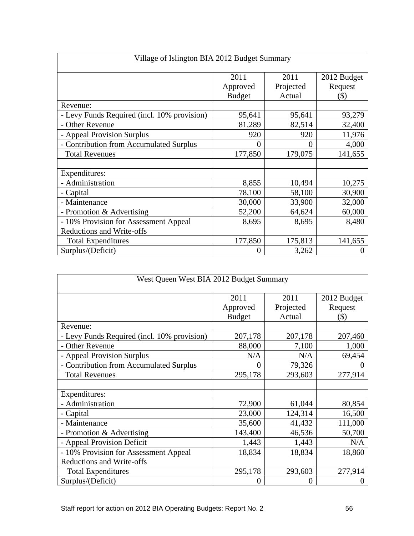| Village of Islington BIA 2012 Budget Summary |                  |                   |                        |  |  |
|----------------------------------------------|------------------|-------------------|------------------------|--|--|
|                                              | 2011<br>Approved | 2011<br>Projected | 2012 Budget<br>Request |  |  |
| Revenue:                                     | <b>Budget</b>    | Actual            | $(\$)$                 |  |  |
| - Levy Funds Required (incl. 10% provision)  | 95,641           | 95,641            | 93,279                 |  |  |
| - Other Revenue                              | 81,289           | 82,514            | 32,400                 |  |  |
| - Appeal Provision Surplus                   | 920              | 920               | 11,976                 |  |  |
| - Contribution from Accumulated Surplus      |                  |                   | 4,000                  |  |  |
| <b>Total Revenues</b>                        | 177,850          | 179,075           | 141,655                |  |  |
| Expenditures:                                |                  |                   |                        |  |  |
| - Administration                             | 8,855            | 10,494            | 10,275                 |  |  |
| - Capital                                    | 78,100           | 58,100            | 30,900                 |  |  |
| Maintenance                                  | 30,000           | 33,900            | 32,000                 |  |  |
| - Promotion & Advertising                    | 52,200           | 64,624            | 60,000                 |  |  |
| - 10% Provision for Assessment Appeal        | 8,695            | 8,695             | 8,480                  |  |  |
| <b>Reductions and Write-offs</b>             |                  |                   |                        |  |  |
| <b>Total Expenditures</b>                    | 177,850          | 175,813           | 141,655                |  |  |
| Surplus/(Deficit)                            |                  | 3,262             |                        |  |  |

| West Queen West BIA 2012 Budget Summary     |               |           |             |
|---------------------------------------------|---------------|-----------|-------------|
|                                             | 2011          | 2011      | 2012 Budget |
|                                             | Approved      | Projected | Request     |
|                                             | <b>Budget</b> | Actual    | (S)         |
| Revenue:                                    |               |           |             |
| - Levy Funds Required (incl. 10% provision) | 207,178       | 207,178   | 207,460     |
| - Other Revenue                             | 88,000        | 7,100     | 1,000       |
| - Appeal Provision Surplus                  | N/A           | N/A       | 69,454      |
| - Contribution from Accumulated Surplus     |               | 79,326    |             |
| <b>Total Revenues</b>                       | 295,178       | 293,603   | 277,914     |
|                                             |               |           |             |
| Expenditures:                               |               |           |             |
| - Administration                            | 72,900        | 61,044    | 80,854      |
| - Capital                                   | 23,000        | 124,314   | 16,500      |
| - Maintenance                               | 35,600        | 41,432    | 111,000     |
| - Promotion & Advertising                   | 143,400       | 46,536    | 50,700      |
| - Appeal Provision Deficit                  | 1,443         | 1,443     | N/A         |
| - 10% Provision for Assessment Appeal       | 18,834        | 18,834    | 18,860      |
| Reductions and Write-offs                   |               |           |             |
| <b>Total Expenditures</b>                   | 295,178       | 293,603   | 277,914     |
| Surplus/(Deficit)                           |               |           |             |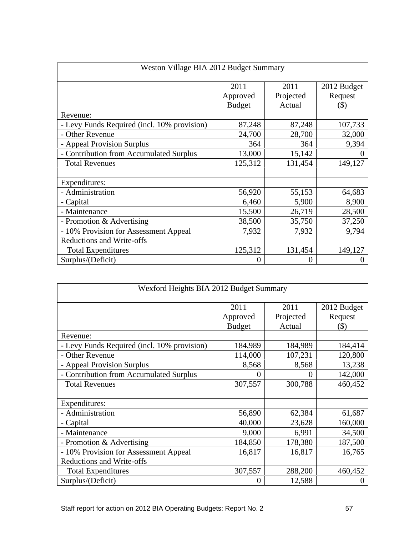| Weston Village BIA 2012 Budget Summary      |                  |                   |                        |  |
|---------------------------------------------|------------------|-------------------|------------------------|--|
|                                             | 2011<br>Approved | 2011<br>Projected | 2012 Budget<br>Request |  |
|                                             | <b>Budget</b>    | Actual            | $($ \$)                |  |
| Revenue:                                    |                  |                   |                        |  |
| - Levy Funds Required (incl. 10% provision) | 87,248           | 87,248            | 107,733                |  |
| - Other Revenue                             | 24,700           | 28,700            | 32,000                 |  |
| - Appeal Provision Surplus                  | 364              | 364               | 9,394                  |  |
| - Contribution from Accumulated Surplus     | 13,000           | 15,142            |                        |  |
| <b>Total Revenues</b>                       | 125,312          | 131,454           | 149,127                |  |
| Expenditures:                               |                  |                   |                        |  |
| - Administration                            | 56,920           | 55,153            | 64,683                 |  |
| - Capital                                   | 6,460            | 5,900             | 8,900                  |  |
| Maintenance                                 | 15,500           | 26,719            | 28,500                 |  |
| - Promotion & Advertising                   | 38,500           | 35,750            | 37,250                 |  |
| - 10% Provision for Assessment Appeal       | 7,932            | 7,932             | 9,794                  |  |
| Reductions and Write-offs                   |                  |                   |                        |  |
| <b>Total Expenditures</b>                   | 125,312          | 131,454           | 149,127                |  |
| Surplus/(Deficit)                           |                  |                   |                        |  |

| Wexford Heights BIA 2012 Budget Summary     |                  |                   |                        |
|---------------------------------------------|------------------|-------------------|------------------------|
|                                             | 2011<br>Approved | 2011<br>Projected | 2012 Budget<br>Request |
|                                             | <b>Budget</b>    | Actual            | $(\$)$                 |
| Revenue:                                    |                  |                   |                        |
| - Levy Funds Required (incl. 10% provision) | 184,989          | 184,989           | 184,414                |
| - Other Revenue                             | 114,000          | 107,231           | 120,800                |
| - Appeal Provision Surplus                  | 8,568            | 8,568             | 13,238                 |
| - Contribution from Accumulated Surplus     |                  |                   | 142,000                |
| <b>Total Revenues</b>                       | 307,557          | 300,788           | 460,452                |
|                                             |                  |                   |                        |
| Expenditures:                               |                  |                   |                        |
| - Administration                            | 56,890           | 62,384            | 61,687                 |
| - Capital                                   | 40,000           | 23,628            | 160,000                |
| - Maintenance                               | 9,000            | 6,991             | 34,500                 |
| - Promotion & Advertising                   | 184,850          | 178,380           | 187,500                |
| - 10% Provision for Assessment Appeal       | 16,817           | 16,817            | 16,765                 |
| Reductions and Write-offs                   |                  |                   |                        |
| <b>Total Expenditures</b>                   | 307,557          | 288,200           | 460,452                |
| Surplus/(Deficit)                           |                  | 12,588            |                        |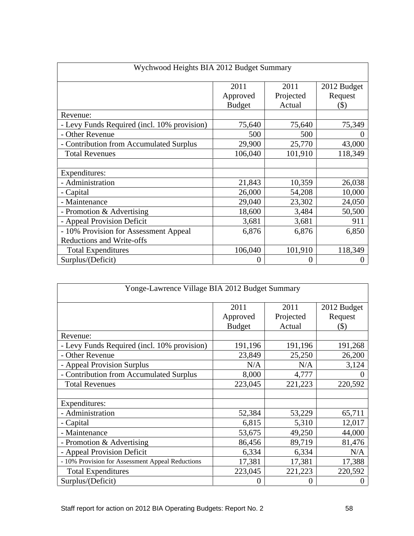| Wychwood Heights BIA 2012 Budget Summary    |                    |                     |                    |
|---------------------------------------------|--------------------|---------------------|--------------------|
|                                             | 2011               | 2011                | 2012 Budget        |
|                                             | Approved<br>Budget | Projected<br>Actual | Request<br>$($ \$) |
| Revenue:                                    |                    |                     |                    |
| - Levy Funds Required (incl. 10% provision) | 75,640             | 75,640              | 75,349             |
| - Other Revenue                             | 500                | 500                 |                    |
| - Contribution from Accumulated Surplus     | 29,900             | 25,770              | 43,000             |
| <b>Total Revenues</b>                       | 106,040            | 101,910             | 118,349            |
| Expenditures:                               |                    |                     |                    |
| - Administration                            | 21,843             | 10,359              | 26,038             |
| - Capital                                   | 26,000             | 54,208              | 10,000             |
| - Maintenance                               | 29,040             | 23,302              | 24,050             |
| - Promotion & Advertising                   | 18,600             | 3,484               | 50,500             |
| - Appeal Provision Deficit                  | 3,681              | 3,681               | 911                |
| - 10% Provision for Assessment Appeal       | 6,876              | 6,876               | 6,850              |
| Reductions and Write-offs                   |                    |                     |                    |
| <b>Total Expenditures</b>                   | 106,040            | 101,910             | 118,349            |
| Surplus/(Deficit)                           |                    |                     |                    |

| Yonge-Lawrence Village BIA 2012 Budget Summary   |                  |                   |                        |
|--------------------------------------------------|------------------|-------------------|------------------------|
|                                                  | 2011<br>Approved | 2011<br>Projected | 2012 Budget<br>Request |
| Revenue:                                         | <b>Budget</b>    | Actual            | (S)                    |
| - Levy Funds Required (incl. 10% provision)      | 191,196          | 191,196           | 191,268                |
| - Other Revenue                                  | 23,849           | 25,250            | 26,200                 |
| - Appeal Provision Surplus                       | N/A              | N/A               | 3,124                  |
| - Contribution from Accumulated Surplus          | 8,000            | $\frac{1}{4,777}$ |                        |
| <b>Total Revenues</b>                            | 223,045          | 221,223           | 220,592                |
| Expenditures:                                    |                  |                   |                        |
| - Administration                                 | 52,384           | 53,229            | 65,711                 |
| - Capital                                        | 6,815            | 5,310             | 12,017                 |
| - Maintenance                                    | 53,675           | 49,250            | 44,000                 |
| - Promotion & Advertising                        | 86,456           | 89,719            | 81,476                 |
| - Appeal Provision Deficit                       | 6,334            | 6,334             | N/A                    |
| - 10% Provision for Assessment Appeal Reductions | 17,381           | 17,381            | 17,388                 |
| <b>Total Expenditures</b>                        | 223,045          | 221,223           | 220,592                |
| Surplus/(Deficit)                                |                  |                   |                        |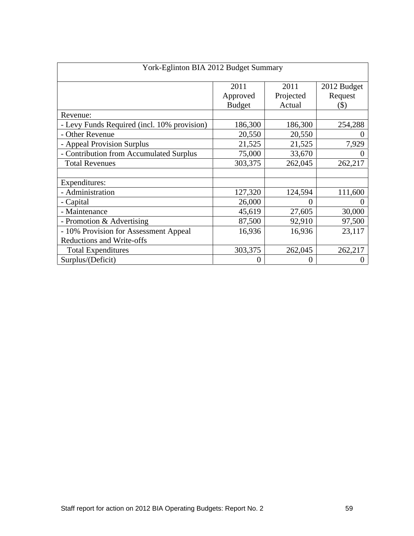| York-Eglinton BIA 2012 Budget Summary       |                                   |                             |                                  |  |
|---------------------------------------------|-----------------------------------|-----------------------------|----------------------------------|--|
|                                             | 2011<br>Approved<br><b>Budget</b> | 2011<br>Projected<br>Actual | 2012 Budget<br>Request<br>$(\$)$ |  |
| Revenue:                                    |                                   |                             |                                  |  |
| - Levy Funds Required (incl. 10% provision) | 186,300                           | 186,300                     | 254,288                          |  |
| - Other Revenue                             | 20,550                            | 20,550                      |                                  |  |
| - Appeal Provision Surplus                  | 21,525                            | 21,525                      | 7,929                            |  |
| - Contribution from Accumulated Surplus     | 75,000                            | 33,670                      |                                  |  |
| <b>Total Revenues</b>                       | 303,375                           | 262,045                     | 262,217                          |  |
| Expenditures:                               |                                   |                             |                                  |  |
| - Administration                            | 127,320                           | 124,594                     | 111,600                          |  |
| - Capital                                   | 26,000                            |                             |                                  |  |
| - Maintenance                               | 45,619                            | 27,605                      | 30,000                           |  |
| - Promotion & Advertising                   | 87,500                            | 92,910                      | 97,500                           |  |
| - 10% Provision for Assessment Appeal       | 16,936                            | 16,936                      | 23,117                           |  |
| Reductions and Write-offs                   |                                   |                             |                                  |  |
| <b>Total Expenditures</b>                   | 303,375                           | 262,045                     | 262,217                          |  |
| Surplus/(Deficit)                           |                                   |                             |                                  |  |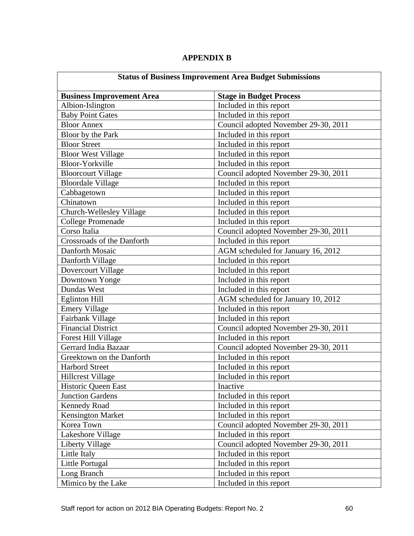|                                  | <b>Status of Business Improvement Area Budget Submissions</b> |
|----------------------------------|---------------------------------------------------------------|
| <b>Business Improvement Area</b> | <b>Stage in Budget Process</b>                                |
| Albion-Islington                 | Included in this report                                       |
| <b>Baby Point Gates</b>          | Included in this report                                       |
| <b>Bloor Annex</b>               | Council adopted November 29-30, 2011                          |
| Bloor by the Park                | Included in this report                                       |
| <b>Bloor Street</b>              | Included in this report                                       |
| <b>Bloor West Village</b>        | Included in this report                                       |
| Bloor-Yorkville                  | Included in this report                                       |
| <b>Bloorcourt Village</b>        | Council adopted November 29-30, 2011                          |
| <b>Bloordale Village</b>         | Included in this report                                       |
| Cabbagetown                      | Included in this report                                       |
| Chinatown                        | Included in this report                                       |
| Church-Wellesley Village         | Included in this report                                       |
| College Promenade                | Included in this report                                       |
| Corso Italia                     | Council adopted November 29-30, 2011                          |
| Crossroads of the Danforth       | Included in this report                                       |
| Danforth Mosaic                  | AGM scheduled for January 16, 2012                            |
| Danforth Village                 | Included in this report                                       |
| Dovercourt Village               | Included in this report                                       |
| Downtown Yonge                   | Included in this report                                       |
| Dundas West                      | Included in this report                                       |
| Eglinton Hill                    | AGM scheduled for January 10, 2012                            |
| <b>Emery Village</b>             | Included in this report                                       |
| Fairbank Village                 | Included in this report                                       |
| <b>Financial District</b>        | Council adopted November 29-30, 2011                          |
| <b>Forest Hill Village</b>       | Included in this report                                       |
| Gerrard India Bazaar             | Council adopted November 29-30, 2011                          |
| Greektown on the Danforth        | Included in this report                                       |
| <b>Harbord Street</b>            | Included in this report                                       |
| <b>Hillcrest Village</b>         | Included in this report                                       |
| <b>Historic Queen East</b>       | Inactive                                                      |
| <b>Junction Gardens</b>          | Included in this report                                       |
| <b>Kennedy Road</b>              | Included in this report                                       |
| <b>Kensington Market</b>         | Included in this report                                       |
| Korea Town                       | Council adopted November 29-30, 2011                          |
| Lakeshore Village                | Included in this report                                       |
| Liberty Village                  | Council adopted November 29-30, 2011                          |
| Little Italy                     | Included in this report                                       |
| Little Portugal                  | Included in this report                                       |
| Long Branch                      | Included in this report                                       |
| Mimico by the Lake               | Included in this report                                       |

#### **APPENDIX B**